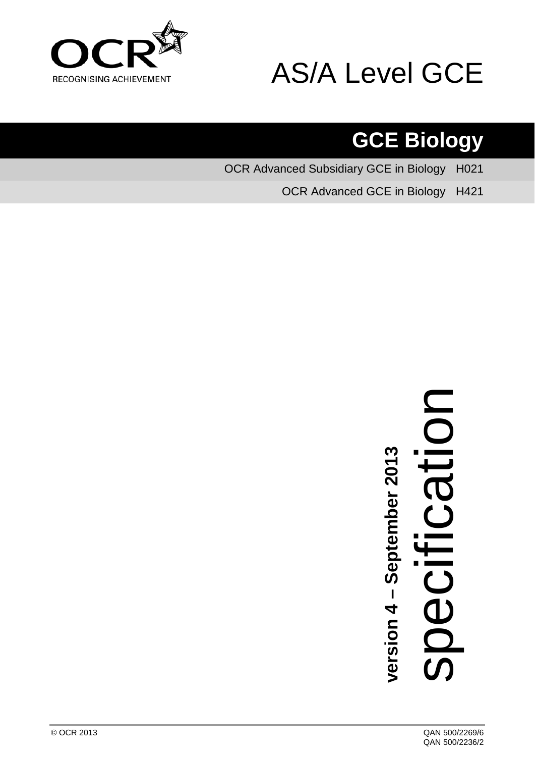



# **GCE Biology**

OCR Advanced Subsidiary GCE in Biology H021

OCR Advanced GCE in Biology H421



**version 4 – September 201** <u>ო</u>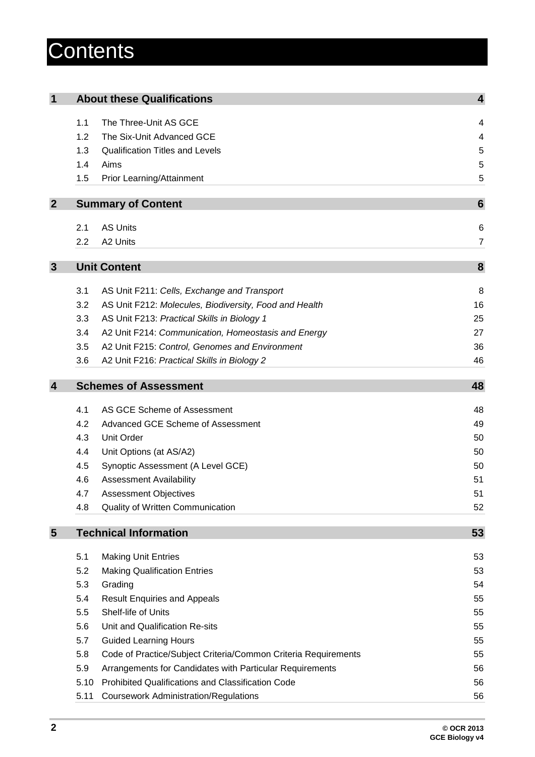# **Contents**

| $\mathbf 1$    |      | <b>About these Qualifications</b>                              | $\overline{\mathbf{4}}$ |
|----------------|------|----------------------------------------------------------------|-------------------------|
|                | 1.1  | The Three-Unit AS GCE                                          | 4                       |
|                | 1.2  | The Six-Unit Advanced GCE                                      | 4                       |
|                | 1.3  | <b>Qualification Titles and Levels</b>                         | 5                       |
|                | 1.4  | Aims                                                           | 5                       |
|                | 1.5  | Prior Learning/Attainment                                      | 5                       |
|                |      |                                                                |                         |
| $\mathbf{2}$   |      | <b>Summary of Content</b>                                      | 6                       |
|                | 2.1  | <b>AS Units</b>                                                | 6                       |
|                | 2.2  | A2 Units                                                       | 7                       |
|                |      |                                                                |                         |
| $\mathbf{3}$   |      | <b>Unit Content</b>                                            | 8                       |
|                | 3.1  | AS Unit F211: Cells, Exchange and Transport                    | 8                       |
|                | 3.2  | AS Unit F212: Molecules, Biodiversity, Food and Health         | 16                      |
|                | 3.3  | AS Unit F213: Practical Skills in Biology 1                    | 25                      |
|                | 3.4  | A2 Unit F214: Communication, Homeostasis and Energy            | 27                      |
|                | 3.5  | A2 Unit F215: Control, Genomes and Environment                 | 36                      |
|                | 3.6  | A2 Unit F216: Practical Skills in Biology 2                    | 46                      |
|                |      |                                                                |                         |
| $\overline{4}$ |      | <b>Schemes of Assessment</b>                                   | 48                      |
|                | 4.1  | AS GCE Scheme of Assessment                                    | 48                      |
|                | 4.2  | Advanced GCE Scheme of Assessment                              | 49                      |
|                | 4.3  | <b>Unit Order</b>                                              | 50                      |
|                | 4.4  | Unit Options (at AS/A2)                                        | 50                      |
|                | 4.5  | Synoptic Assessment (A Level GCE)                              | 50                      |
|                | 4.6  | <b>Assessment Availability</b>                                 | 51                      |
|                | 4.7  | <b>Assessment Objectives</b>                                   | 51                      |
|                | 4.8  | Quality of Written Communication                               | 52                      |
| 5              |      | <b>Technical Information</b>                                   | 53                      |
|                |      |                                                                |                         |
|                | 5.1  | <b>Making Unit Entries</b>                                     | 53                      |
|                | 5.2  | <b>Making Qualification Entries</b>                            | 53                      |
|                | 5.3  | Grading                                                        | 54                      |
|                | 5.4  | <b>Result Enquiries and Appeals</b>                            | 55                      |
|                | 5.5  | Shelf-life of Units                                            | 55                      |
|                | 5.6  | Unit and Qualification Re-sits                                 | 55                      |
|                | 5.7  | <b>Guided Learning Hours</b>                                   | 55                      |
|                | 5.8  | Code of Practice/Subject Criteria/Common Criteria Requirements | 55                      |
|                | 5.9  | Arrangements for Candidates with Particular Requirements       | 56                      |
|                | 5.10 | Prohibited Qualifications and Classification Code              | 56                      |
|                | 5.11 | <b>Coursework Administration/Regulations</b>                   | 56                      |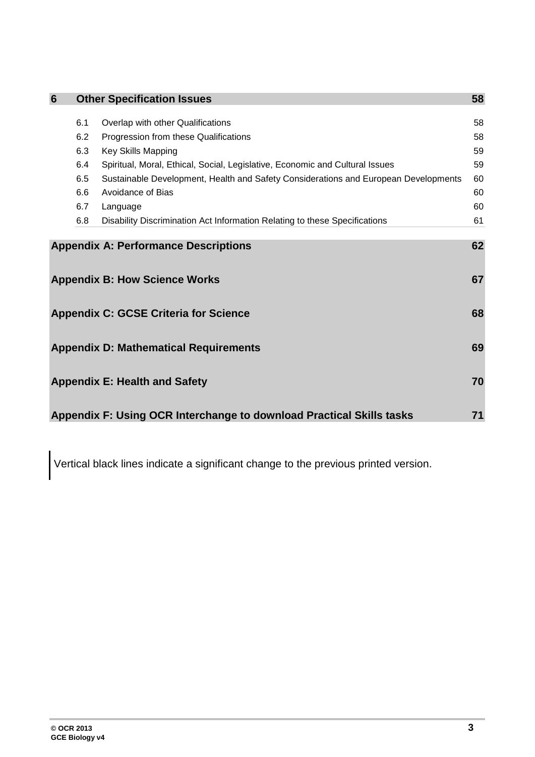| 6                                            |     | <b>Other Specification Issues</b>                                                   | 58 |
|----------------------------------------------|-----|-------------------------------------------------------------------------------------|----|
|                                              |     |                                                                                     |    |
|                                              | 6.1 | Overlap with other Qualifications                                                   | 58 |
|                                              | 6.2 | Progression from these Qualifications                                               | 58 |
|                                              | 6.3 | <b>Key Skills Mapping</b>                                                           | 59 |
|                                              | 6.4 | Spiritual, Moral, Ethical, Social, Legislative, Economic and Cultural Issues        | 59 |
|                                              | 6.5 | Sustainable Development, Health and Safety Considerations and European Developments | 60 |
|                                              | 6.6 | Avoidance of Bias                                                                   | 60 |
|                                              | 6.7 | Language                                                                            | 60 |
|                                              | 6.8 | Disability Discrimination Act Information Relating to these Specifications          | 61 |
|                                              |     |                                                                                     |    |
|                                              |     | <b>Appendix A: Performance Descriptions</b>                                         | 62 |
|                                              |     |                                                                                     |    |
|                                              |     | <b>Appendix B: How Science Works</b>                                                | 67 |
|                                              |     |                                                                                     |    |
|                                              |     |                                                                                     | 68 |
|                                              |     | <b>Appendix C: GCSE Criteria for Science</b>                                        |    |
|                                              |     |                                                                                     |    |
| <b>Appendix D: Mathematical Requirements</b> |     |                                                                                     | 69 |
|                                              |     |                                                                                     |    |
| <b>Appendix E: Health and Safety</b>         |     |                                                                                     | 70 |
|                                              |     |                                                                                     |    |
|                                              |     |                                                                                     |    |
|                                              |     | Appendix F: Using OCR Interchange to download Practical Skills tasks                | 71 |

Vertical black lines indicate a significant change to the previous printed version.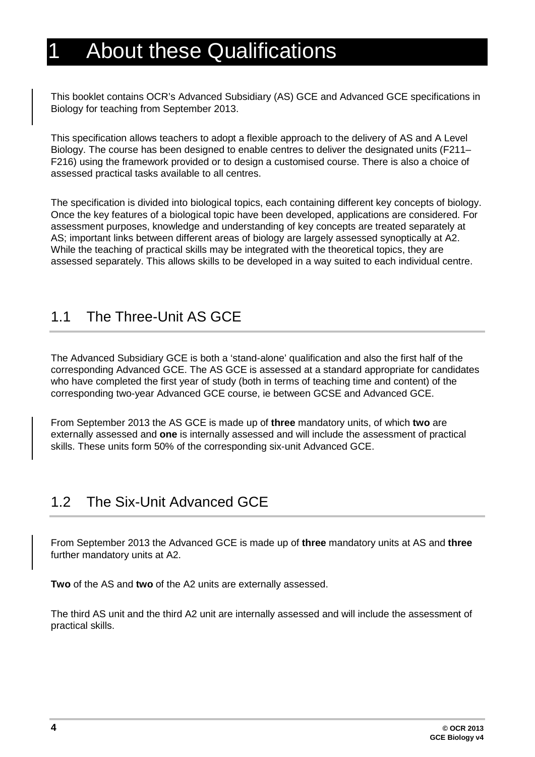# <span id="page-3-0"></span>**About these Qualifications**

This booklet contains OCR's Advanced Subsidiary (AS) GCE and Advanced GCE specifications in Biology for teaching from September 2013.

This specification allows teachers to adopt a flexible approach to the delivery of AS and A Level Biology. The course has been designed to enable centres to deliver the designated units (F211– F216) using the framework provided or to design a customised course. There is also a choice of assessed practical tasks available to all centres.

The specification is divided into biological topics, each containing different key concepts of biology. Once the key features of a biological topic have been developed, applications are considered. For assessment purposes, knowledge and understanding of key concepts are treated separately at AS; important links between different areas of biology are largely assessed synoptically at A2. While the teaching of practical skills may be integrated with the theoretical topics, they are assessed separately. This allows skills to be developed in a way suited to each individual centre.

### <span id="page-3-1"></span>1.1 The Three-Unit AS GCE

The Advanced Subsidiary GCE is both a 'stand-alone' qualification and also the first half of the corresponding Advanced GCE. The AS GCE is assessed at a standard appropriate for candidates who have completed the first year of study (both in terms of teaching time and content) of the corresponding two-year Advanced GCE course, ie between GCSE and Advanced GCE.

From September 2013 the AS GCE is made up of **three** mandatory units, of which **two** are externally assessed and **one** is internally assessed and will include the assessment of practical skills. These units form 50% of the corresponding six-unit Advanced GCE.

### <span id="page-3-2"></span>1.2 The Six-Unit Advanced GCE

From September 2013 the Advanced GCE is made up of **three** mandatory units at AS and **three**  further mandatory units at A2.

**Two** of the AS and **two** of the A2 units are externally assessed.

The third AS unit and the third A2 unit are internally assessed and will include the assessment of practical skills.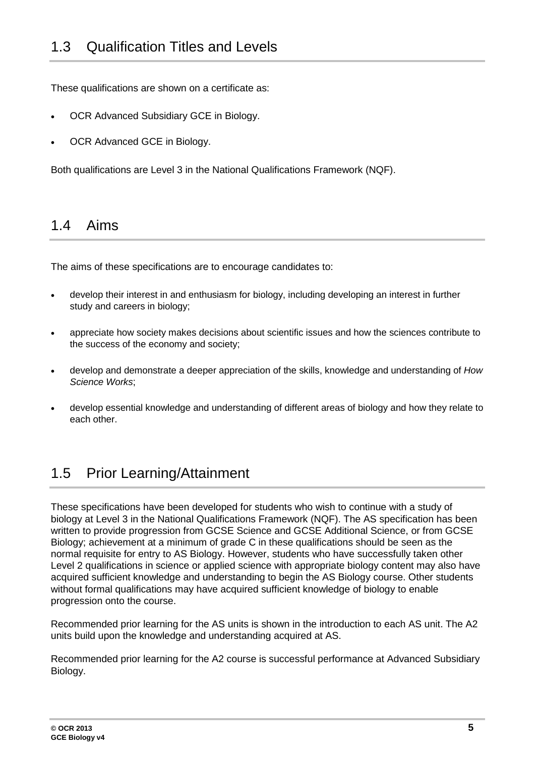<span id="page-4-0"></span>These qualifications are shown on a certificate as:

- OCR Advanced Subsidiary GCE in Biology.
- OCR Advanced GCE in Biology.

<span id="page-4-1"></span>Both qualifications are Level 3 in the National Qualifications Framework (NQF).

### 1.4 Aims

The aims of these specifications are to encourage candidates to:

- develop their interest in and enthusiasm for biology, including developing an interest in further study and careers in biology;
- appreciate how society makes decisions about scientific issues and how the sciences contribute to the success of the economy and society;
- develop and demonstrate a deeper appreciation of the skills, knowledge and understanding of *How Science Works*;
- <span id="page-4-2"></span>• develop essential knowledge and understanding of different areas of biology and how they relate to each other.

# 1.5 Prior Learning/Attainment

These specifications have been developed for students who wish to continue with a study of biology at Level 3 in the National Qualifications Framework (NQF). The AS specification has been written to provide progression from GCSE Science and GCSE Additional Science, or from GCSE Biology; achievement at a minimum of grade C in these qualifications should be seen as the normal requisite for entry to AS Biology. However, students who have successfully taken other Level 2 qualifications in science or applied science with appropriate biology content may also have acquired sufficient knowledge and understanding to begin the AS Biology course. Other students without formal qualifications may have acquired sufficient knowledge of biology to enable progression onto the course.

Recommended prior learning for the AS units is shown in the introduction to each AS unit. The A2 units build upon the knowledge and understanding acquired at AS.

Recommended prior learning for the A2 course is successful performance at Advanced Subsidiary Biology.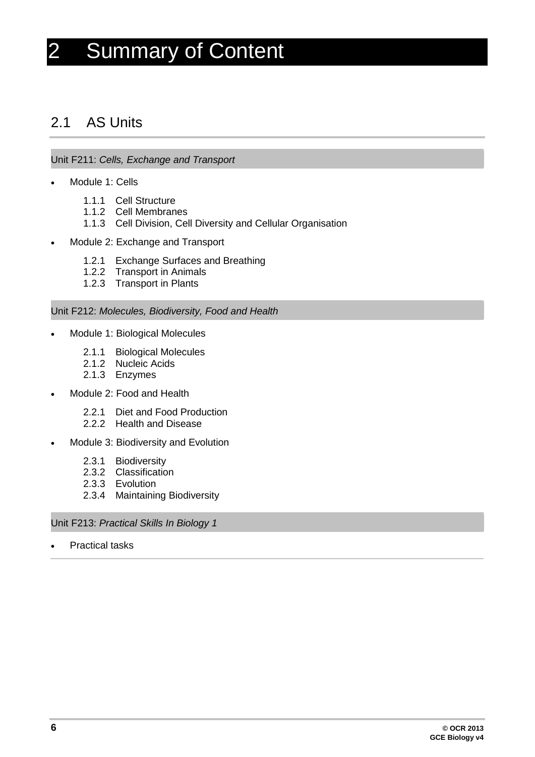# <span id="page-5-0"></span>2 Summary of Content

### <span id="page-5-1"></span>2.1 AS Units

#### Unit F211: *Cells, Exchange and Transport*

- Module 1: Cells
	- 1.1.1 Cell Structure
	- 1.1.2 Cell Membranes
	- 1.1.3 Cell Division, Cell Diversity and Cellular Organisation
- Module 2: Exchange and Transport
	- 1.2.1 Exchange Surfaces and Breathing
	- 1.2.2 Transport in Animals
	- 1.2.3 Transport in Plants

#### Unit F212: *Molecules, Biodiversity, Food and Health*

- Module 1: Biological Molecules
	- 2.1.1 Biological Molecules
	- 2.1.2 Nucleic Acids
	- 2.1.3 Enzymes
- Module 2: Food and Health
	- 2.2.1 Diet and Food Production
	- 2.2.2 Health and Disease
- Module 3: Biodiversity and Evolution
	- 2.3.1 Biodiversity
	- 2.3.2 Classification
	- 2.3.3 Evolution
	- 2.3.4 Maintaining Biodiversity

Unit F213: *Practical Skills In Biology 1*

**Practical tasks**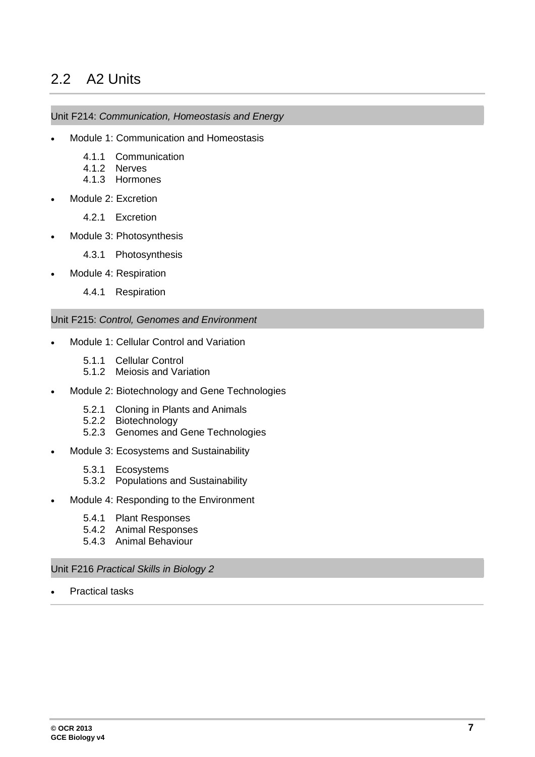# <span id="page-6-0"></span>2.2 A2 Units

#### Unit F214: *Communication, Homeostasis and Energy*

- Module 1: Communication and Homeostasis
	- 4.1.1 Communication
	- 4.1.2 Nerves
	- 4.1.3 Hormones
- Module 2: Excretion
	- 4.2.1 Excretion
- Module 3: Photosynthesis
	- 4.3.1 Photosynthesis
- Module 4: Respiration
	- 4.4.1 Respiration

#### Unit F215: *Control, Genomes and Environment*

- Module 1: Cellular Control and Variation
	- 5.1.1 Cellular Control
	- 5.1.2 Meiosis and Variation
- Module 2: Biotechnology and Gene Technologies
	- 5.2.1 Cloning in Plants and Animals
	- 5.2.2 Biotechnology
	- 5.2.3 Genomes and Gene Technologies
- Module 3: Ecosystems and Sustainability
	- 5.3.1 Ecosystems
	- 5.3.2 Populations and Sustainability
- Module 4: Responding to the Environment
	- 5.4.1 Plant Responses
	- 5.4.2 Animal Responses
	- 5.4.3 Animal Behaviour

#### Unit F216 *Practical Skills in Biology 2*

**Practical tasks**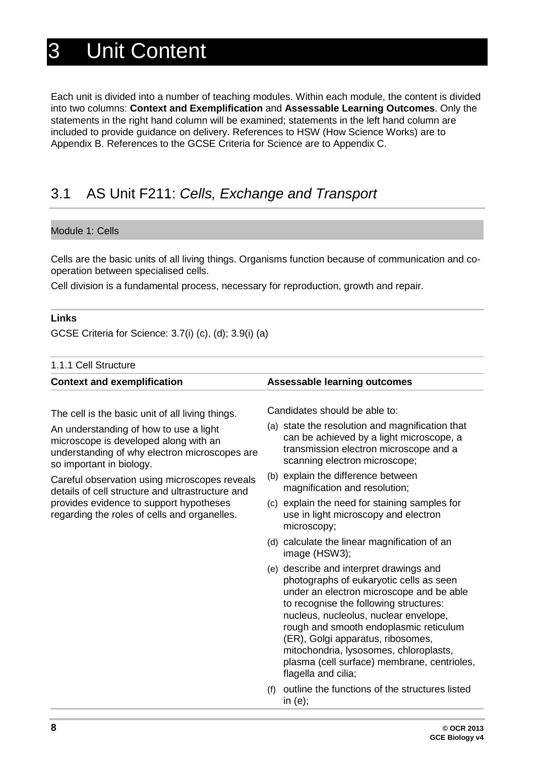# <span id="page-7-0"></span>3 Unit Content

Each unit is divided into a number of teaching modules. Within each module, the content is divided into two columns: **Context and Exemplification** and **Assessable Learning Outcomes**. Only the statements in the right hand column will be examined; statements in the left hand column are included to provide guidance on delivery. References to HSW (How Science Works) are to Appendix B. References to the GCSE Criteria for Science are to Appendix C.

# <span id="page-7-1"></span>3.1 AS Unit F211: *Cells, Exchange and Transport*

#### Module 1: Cells

Cells are the basic units of all living things. Organisms function because of communication and cooperation between specialised cells.

Cell division is a fundamental process, necessary for reproduction, growth and repair.

#### **Links**

GCSE Criteria for Science: 3.7(i) (c), (d); 3.9(i) (a)

| 1.1.1 Cell Structure                                                                                                                                                                         |                                                                                                                                                                                                                                                                                                                                                                                                                  |  |
|----------------------------------------------------------------------------------------------------------------------------------------------------------------------------------------------|------------------------------------------------------------------------------------------------------------------------------------------------------------------------------------------------------------------------------------------------------------------------------------------------------------------------------------------------------------------------------------------------------------------|--|
| <b>Context and exemplification</b>                                                                                                                                                           | <b>Assessable learning outcomes</b>                                                                                                                                                                                                                                                                                                                                                                              |  |
| The cell is the basic unit of all living things.                                                                                                                                             | Candidates should be able to:                                                                                                                                                                                                                                                                                                                                                                                    |  |
| An understanding of how to use a light<br>microscope is developed along with an<br>understanding of why electron microscopes are<br>so important in biology.                                 | (a) state the resolution and magnification that<br>can be achieved by a light microscope, a<br>transmission electron microscope and a<br>scanning electron microscope;                                                                                                                                                                                                                                           |  |
| Careful observation using microscopes reveals<br>details of cell structure and ultrastructure and<br>provides evidence to support hypotheses<br>regarding the roles of cells and organelles. | (b) explain the difference between<br>magnification and resolution;                                                                                                                                                                                                                                                                                                                                              |  |
|                                                                                                                                                                                              | (c) explain the need for staining samples for<br>use in light microscopy and electron<br>microscopy;                                                                                                                                                                                                                                                                                                             |  |
|                                                                                                                                                                                              | (d) calculate the linear magnification of an<br>image (HSW3);                                                                                                                                                                                                                                                                                                                                                    |  |
|                                                                                                                                                                                              | (e) describe and interpret drawings and<br>photographs of eukaryotic cells as seen<br>under an electron microscope and be able<br>to recognise the following structures:<br>nucleus, nucleolus, nuclear envelope,<br>rough and smooth endoplasmic reticulum<br>(ER), Golgi apparatus, ribosomes,<br>mitochondria, lysosomes, chloroplasts,<br>plasma (cell surface) membrane, centrioles,<br>flagella and cilia; |  |
|                                                                                                                                                                                              | outline the functions of the structures listed<br>(f)<br>in $(e)$ ;                                                                                                                                                                                                                                                                                                                                              |  |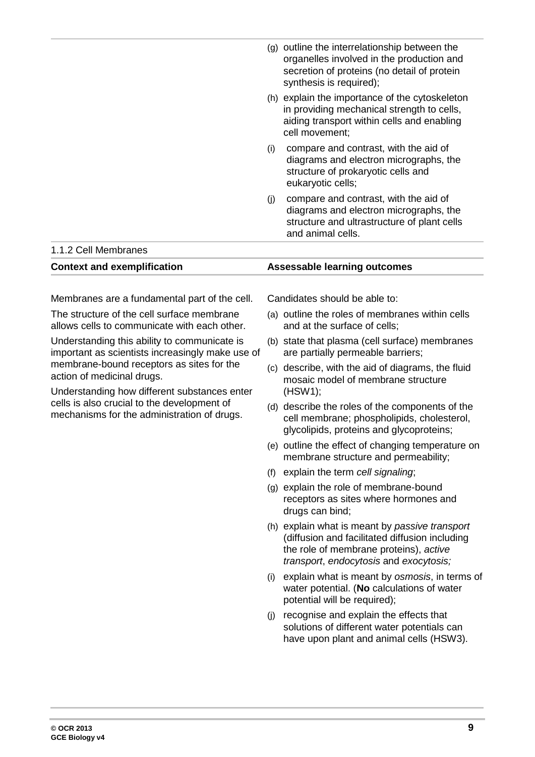|                                                                                                                         | (g) outline the interrelationship between the<br>organelles involved in the production and<br>secretion of proteins (no detail of protein<br>synthesis is required); |
|-------------------------------------------------------------------------------------------------------------------------|----------------------------------------------------------------------------------------------------------------------------------------------------------------------|
|                                                                                                                         | (h) explain the importance of the cytoskeleton<br>in providing mechanical strength to cells,<br>aiding transport within cells and enabling<br>cell movement;         |
|                                                                                                                         | compare and contrast, with the aid of<br>(i)<br>diagrams and electron micrographs, the<br>structure of prokaryotic cells and<br>eukaryotic cells;                    |
|                                                                                                                         | compare and contrast, with the aid of<br>(i)<br>diagrams and electron micrographs, the<br>structure and ultrastructure of plant cells<br>and animal cells.           |
| 1.1.2 Cell Membranes                                                                                                    |                                                                                                                                                                      |
| <b>Context and exemplification</b>                                                                                      | <b>Assessable learning outcomes</b>                                                                                                                                  |
| Membranes are a fundamental part of the cell.                                                                           | Candidates should be able to:                                                                                                                                        |
| The structure of the cell surface membrane<br>allows cells to communicate with each other.                              | (a) outline the roles of membranes within cells<br>and at the surface of cells;                                                                                      |
| Understanding this ability to communicate is<br>important as scientists increasingly make use of                        | (b) state that plasma (cell surface) membranes<br>are partially permeable barriers;                                                                                  |
| membrane-bound receptors as sites for the<br>action of medicinal drugs.<br>Understanding how different substances enter | (c) describe, with the aid of diagrams, the fluid<br>mosaic model of membrane structure<br>(HSW1);                                                                   |
| cells is also crucial to the development of<br>mechanisms for the administration of drugs.                              | (d) describe the roles of the components of the<br>cell membrane; phospholipids, cholesterol,<br>glycolipids, proteins and glycoproteins;                            |

- (e) outline the effect of changing temperature on membrane structure and permeability;
- (f) explain the term *cell signaling*;
- (g) explain the role of membrane-bound receptors as sites where hormones and drugs can bind;
- (h) explain what is meant by *passive transport* (diffusion and facilitated diffusion including the role of membrane proteins), *active transport*, *endocytosis* and *exocytosis;*
- (i) explain what is meant by *osmosis*, in terms of water potential. (**No** calculations of water potential will be required);
- (j) recognise and explain the effects that solutions of different water potentials can have upon plant and animal cells (HSW3).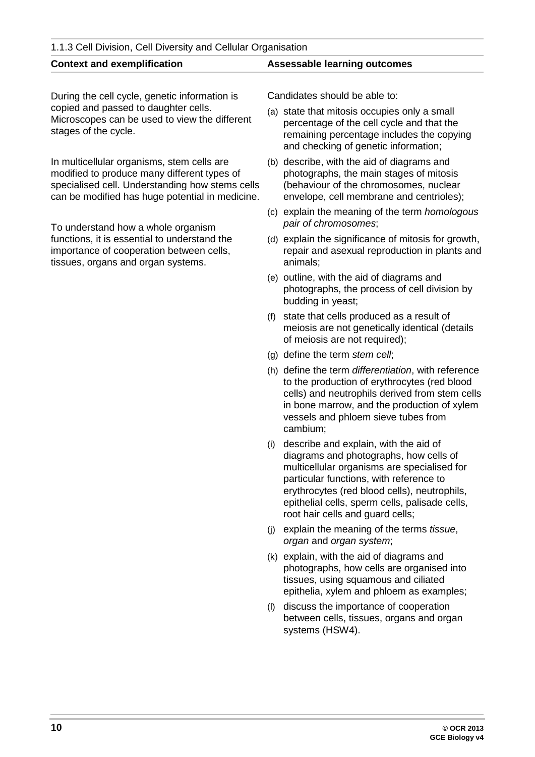#### 1.1.3 Cell Division, Cell Diversity and Cellular Organisation

During the cell cycle, genetic information is copied and passed to daughter cells. Microscopes can be used to view the different stages of the cycle.

In multicellular organisms, stem cells are modified to produce many different types of specialised cell. Understanding how stems cells can be modified has huge potential in medicine.

To understand how a whole organism functions, it is essential to understand the importance of cooperation between cells, tissues, organs and organ systems.

#### **Context and exemplification Assessable learning outcomes**

Candidates should be able to:

- (a) state that mitosis occupies only a small percentage of the cell cycle and that the remaining percentage includes the copying and checking of genetic information;
- (b) describe, with the aid of diagrams and photographs, the main stages of mitosis (behaviour of the chromosomes, nuclear envelope, cell membrane and centrioles);
- (c) explain the meaning of the term *homologous pair of chromosomes*;
- (d) explain the significance of mitosis for growth, repair and asexual reproduction in plants and animals;
- (e) outline, with the aid of diagrams and photographs, the process of cell division by budding in yeast;
- (f) state that cells produced as a result of meiosis are not genetically identical (details of meiosis are not required);
- (g) define the term *stem cell*;
- (h) define the term *differentiation*, with reference to the production of erythrocytes (red blood cells) and neutrophils derived from stem cells in bone marrow, and the production of xylem vessels and phloem sieve tubes from cambium;
- (i) describe and explain, with the aid of diagrams and photographs, how cells of multicellular organisms are specialised for particular functions, with reference to erythrocytes (red blood cells), neutrophils, epithelial cells, sperm cells, palisade cells, root hair cells and guard cells;
- (j) explain the meaning of the terms *tissue*, *organ* and *organ system*;
- (k) explain, with the aid of diagrams and photographs, how cells are organised into tissues, using squamous and ciliated epithelia, xylem and phloem as examples;
- (l) discuss the importance of cooperation between cells, tissues, organs and organ systems (HSW4).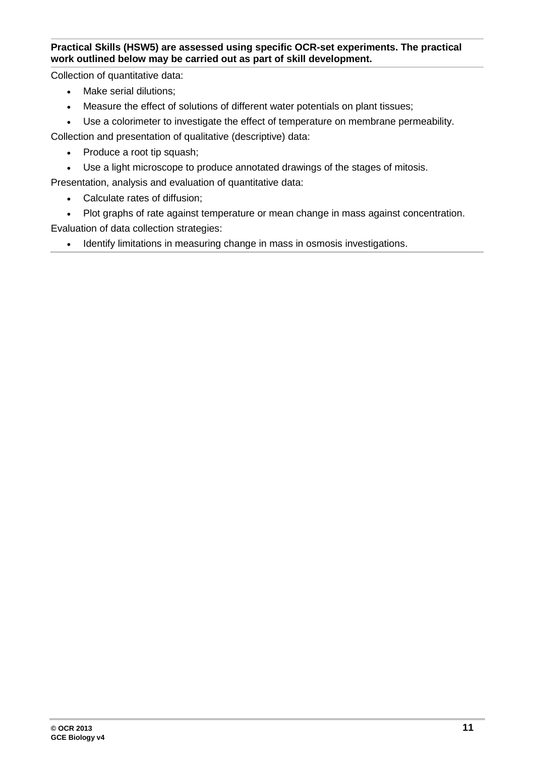#### **Practical Skills (HSW5) are assessed using specific OCR-set experiments. The practical work outlined below may be carried out as part of skill development.**

Collection of quantitative data:

- Make serial dilutions;
- Measure the effect of solutions of different water potentials on plant tissues;
- Use a colorimeter to investigate the effect of temperature on membrane permeability.

Collection and presentation of qualitative (descriptive) data:

- Produce a root tip squash;
- Use a light microscope to produce annotated drawings of the stages of mitosis.

Presentation, analysis and evaluation of quantitative data:

- Calculate rates of diffusion;
- Plot graphs of rate against temperature or mean change in mass against concentration. Evaluation of data collection strategies:
	- Identify limitations in measuring change in mass in osmosis investigations.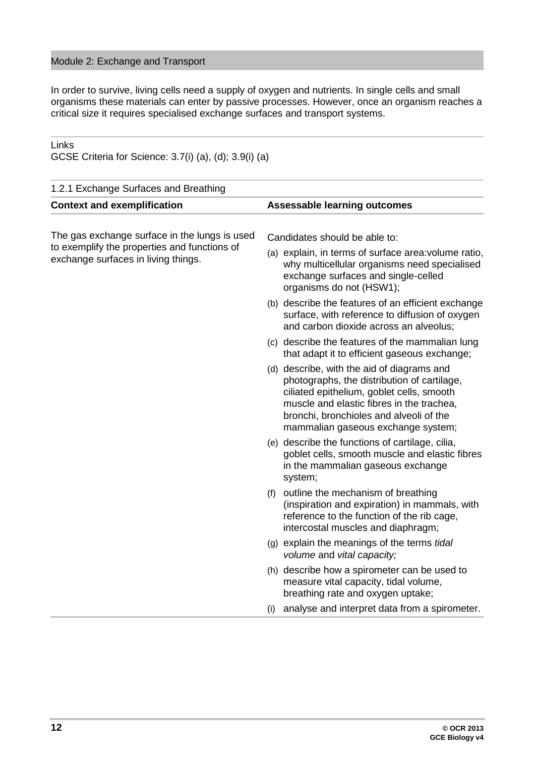#### Module 2: Exchange and Transport

GCSE Criteria for Science: 3.7(i) (a), (d); 3.9(i) (a)

Links

In order to survive, living cells need a supply of oxygen and nutrients. In single cells and small organisms these materials can enter by passive processes. However, once an organism reaches a critical size it requires specialised exchange surfaces and transport systems.

| 1.2.1 Exchange Surfaces and Breathing                                               |                                                                                                                                                                                                                                                                      |
|-------------------------------------------------------------------------------------|----------------------------------------------------------------------------------------------------------------------------------------------------------------------------------------------------------------------------------------------------------------------|
| <b>Context and exemplification</b>                                                  | <b>Assessable learning outcomes</b>                                                                                                                                                                                                                                  |
| The gas exchange surface in the lungs is used                                       | Candidates should be able to:                                                                                                                                                                                                                                        |
| to exemplify the properties and functions of<br>exchange surfaces in living things. | (a) explain, in terms of surface area: volume ratio,<br>why multicellular organisms need specialised<br>exchange surfaces and single-celled<br>organisms do not (HSW1);                                                                                              |
|                                                                                     | (b) describe the features of an efficient exchange<br>surface, with reference to diffusion of oxygen<br>and carbon dioxide across an alveolus;                                                                                                                       |
|                                                                                     | (c) describe the features of the mammalian lung<br>that adapt it to efficient gaseous exchange;                                                                                                                                                                      |
|                                                                                     | (d) describe, with the aid of diagrams and<br>photographs, the distribution of cartilage,<br>ciliated epithelium, goblet cells, smooth<br>muscle and elastic fibres in the trachea,<br>bronchi, bronchioles and alveoli of the<br>mammalian gaseous exchange system; |
|                                                                                     | (e) describe the functions of cartilage, cilia,<br>goblet cells, smooth muscle and elastic fibres<br>in the mammalian gaseous exchange<br>system;                                                                                                                    |
|                                                                                     | (f) outline the mechanism of breathing<br>(inspiration and expiration) in mammals, with<br>reference to the function of the rib cage,<br>intercostal muscles and diaphragm;                                                                                          |
|                                                                                     | (g) explain the meanings of the terms tidal<br>volume and vital capacity;                                                                                                                                                                                            |
|                                                                                     | (h) describe how a spirometer can be used to<br>measure vital capacity, tidal volume,<br>breathing rate and oxygen uptake;                                                                                                                                           |
|                                                                                     | analyse and interpret data from a spirometer.<br>(i)                                                                                                                                                                                                                 |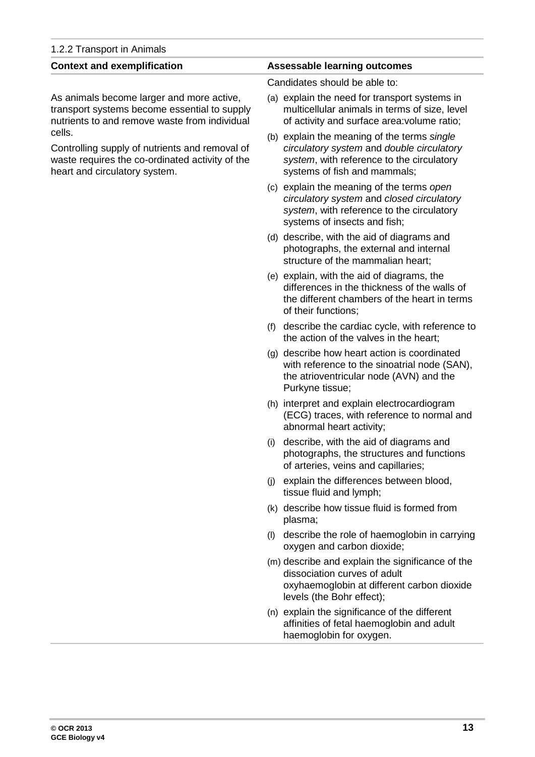| <b>Context and exemplification</b>                                                                                                           | <b>Assessable learning outcomes</b>                                                                                                                                   |
|----------------------------------------------------------------------------------------------------------------------------------------------|-----------------------------------------------------------------------------------------------------------------------------------------------------------------------|
|                                                                                                                                              | Candidates should be able to:                                                                                                                                         |
| As animals become larger and more active,<br>transport systems become essential to supply<br>nutrients to and remove waste from individual   | (a) explain the need for transport systems in<br>multicellular animals in terms of size, level<br>of activity and surface area: volume ratio;                         |
| cells.<br>Controlling supply of nutrients and removal of<br>waste requires the co-ordinated activity of the<br>heart and circulatory system. | (b) explain the meaning of the terms single<br>circulatory system and double circulatory<br>system, with reference to the circulatory<br>systems of fish and mammals; |
|                                                                                                                                              | (c) explain the meaning of the terms open<br>circulatory system and closed circulatory<br>system, with reference to the circulatory<br>systems of insects and fish;   |
|                                                                                                                                              | (d) describe, with the aid of diagrams and<br>photographs, the external and internal<br>structure of the mammalian heart;                                             |
|                                                                                                                                              | (e) explain, with the aid of diagrams, the<br>differences in the thickness of the walls of<br>the different chambers of the heart in terms<br>of their functions;     |
|                                                                                                                                              | (f) describe the cardiac cycle, with reference to<br>the action of the valves in the heart;                                                                           |
|                                                                                                                                              | (g) describe how heart action is coordinated<br>with reference to the sinoatrial node (SAN),<br>the atrioventricular node (AVN) and the<br>Purkyne tissue;            |
|                                                                                                                                              | (h) interpret and explain electrocardiogram<br>(ECG) traces, with reference to normal and<br>abnormal heart activity;                                                 |
|                                                                                                                                              | describe, with the aid of diagrams and<br>(i)<br>photographs, the structures and functions<br>of arteries, veins and capillaries;                                     |
|                                                                                                                                              | explain the differences between blood,<br>(i)<br>tissue fluid and lymph;                                                                                              |
|                                                                                                                                              | (k) describe how tissue fluid is formed from<br>plasma;                                                                                                               |
|                                                                                                                                              | describe the role of haemoglobin in carrying<br>(1)<br>oxygen and carbon dioxide;                                                                                     |
|                                                                                                                                              | (m) describe and explain the significance of the<br>dissociation curves of adult<br>oxyhaemoglobin at different carbon dioxide<br>levels (the Bohr effect);           |
|                                                                                                                                              | (n) explain the significance of the different<br>affinities of fetal haemoglobin and adult<br>haemoglobin for oxygen.                                                 |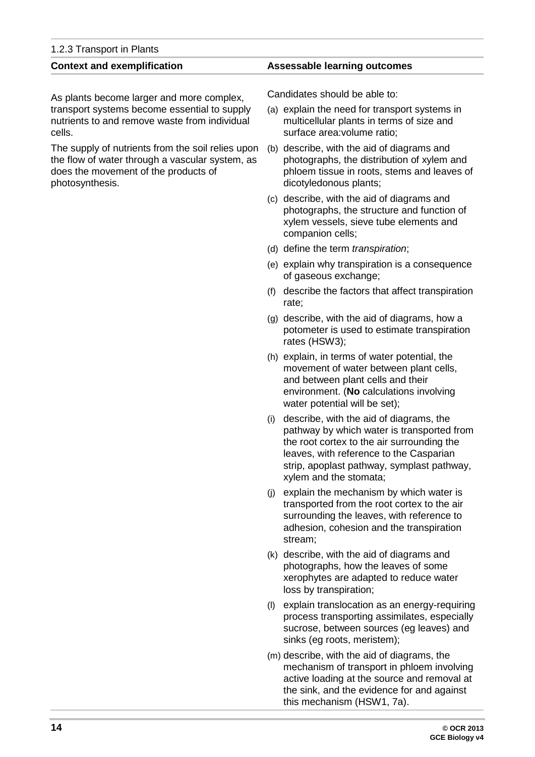| 1.2.3 Transport in Plants |  |
|---------------------------|--|
|---------------------------|--|

As plants become larger and more complex, transport systems become essential to supply nutrients to and remove waste from individual cells.

The supply of nutrients from the soil relies upon the flow of water through a vascular system, as does the movement of the products of photosynthesis.

#### **Context and exemplification Assessable learning outcomes**

Candidates should be able to:

- (a) explain the need for transport systems in multicellular plants in terms of size and surface area:volume ratio;
- (b) describe, with the aid of diagrams and photographs, the distribution of xylem and phloem tissue in roots, stems and leaves of dicotyledonous plants;
- (c) describe, with the aid of diagrams and photographs, the structure and function of xylem vessels, sieve tube elements and companion cells;
- (d) define the term *transpiration*;
- (e) explain why transpiration is a consequence of gaseous exchange;
- (f) describe the factors that affect transpiration rate;
- (g) describe, with the aid of diagrams, how a potometer is used to estimate transpiration rates (HSW3);
- (h) explain, in terms of water potential, the movement of water between plant cells, and between plant cells and their environment. (**No** calculations involving water potential will be set);
- (i) describe, with the aid of diagrams, the pathway by which water is transported from the root cortex to the air surrounding the leaves, with reference to the Casparian strip, apoplast pathway, symplast pathway, xylem and the stomata;
- (j) explain the mechanism by which water is transported from the root cortex to the air surrounding the leaves, with reference to adhesion, cohesion and the transpiration stream;
- (k) describe, with the aid of diagrams and photographs, how the leaves of some xerophytes are adapted to reduce water loss by transpiration;
- (l) explain translocation as an energy-requiring process transporting assimilates, especially sucrose, between sources (eg leaves) and sinks (eg roots, meristem);
- (m) describe, with the aid of diagrams, the mechanism of transport in phloem involving active loading at the source and removal at the sink, and the evidence for and against this mechanism (HSW1, 7a).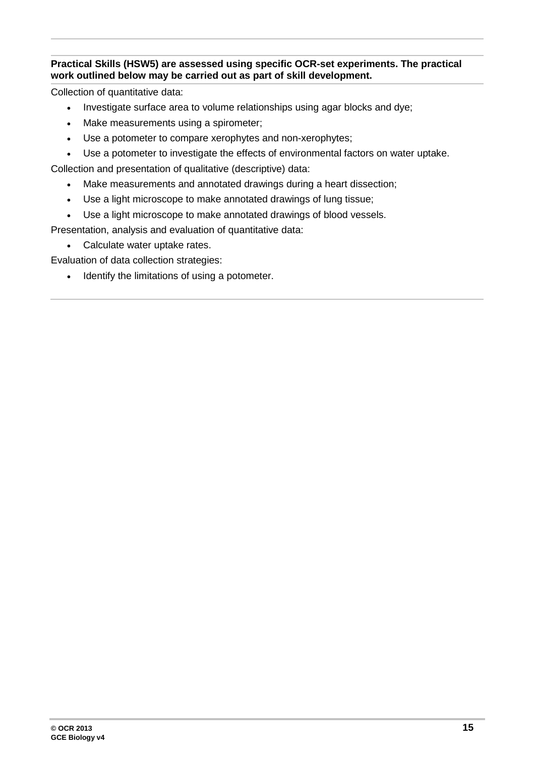#### **Practical Skills (HSW5) are assessed using specific OCR-set experiments. The practical work outlined below may be carried out as part of skill development.**

Collection of quantitative data:

- Investigate surface area to volume relationships using agar blocks and dye;
- Make measurements using a spirometer;
- Use a potometer to compare xerophytes and non-xerophytes;
- Use a potometer to investigate the effects of environmental factors on water uptake.

Collection and presentation of qualitative (descriptive) data:

- Make measurements and annotated drawings during a heart dissection;
- Use a light microscope to make annotated drawings of lung tissue;
- Use a light microscope to make annotated drawings of blood vessels.

Presentation, analysis and evaluation of quantitative data:

• Calculate water uptake rates.

Evaluation of data collection strategies:

• Identify the limitations of using a potometer.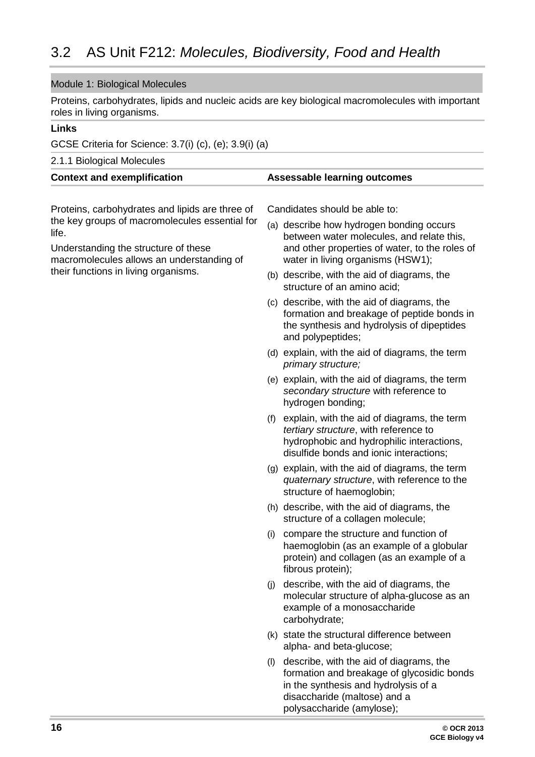#### <span id="page-15-0"></span>Module 1: Biological Molecules

Proteins, carbohydrates, lipids and nucleic acids are key biological macromolecules with important roles in living organisms.

#### **Links**

GCSE Criteria for Science: 3.7(i) (c), (e); 3.9(i) (a)

2.1.1 Biological Molecules

| <b>Assessable learning outcomes</b><br><b>Context and exemplification</b> |  |
|---------------------------------------------------------------------------|--|
|---------------------------------------------------------------------------|--|

Proteins, carbohydrates and lipids are three of the key groups of macromolecules essential for life.

Understanding the structure of these macromolecules allows an understanding of their functions in living organisms.

Candidates should be able to:

- (a) describe how hydrogen bonding occurs between water molecules, and relate this, and other properties of water, to the roles of water in living organisms (HSW1);
- (b) describe, with the aid of diagrams, the structure of an amino acid;
- (c) describe, with the aid of diagrams, the formation and breakage of peptide bonds in the synthesis and hydrolysis of dipeptides and polypeptides;
- (d) explain, with the aid of diagrams, the term *primary structure;*
- (e) explain, with the aid of diagrams, the term *secondary structure* with reference to hydrogen bonding;
- (f) explain, with the aid of diagrams, the term *tertiary structure*, with reference to hydrophobic and hydrophilic interactions, disulfide bonds and ionic interactions;
- (g) explain, with the aid of diagrams, the term *quaternary structure*, with reference to the structure of haemoglobin;
- (h) describe, with the aid of diagrams, the structure of a collagen molecule;
- (i) compare the structure and function of haemoglobin (as an example of a globular protein) and collagen (as an example of a fibrous protein);
- (j) describe, with the aid of diagrams, the molecular structure of alpha-glucose as an example of a monosaccharide carbohydrate;
- (k) state the structural difference between alpha- and beta-glucose;
- (l) describe, with the aid of diagrams, the formation and breakage of glycosidic bonds in the synthesis and hydrolysis of a disaccharide (maltose) and a polysaccharide (amylose);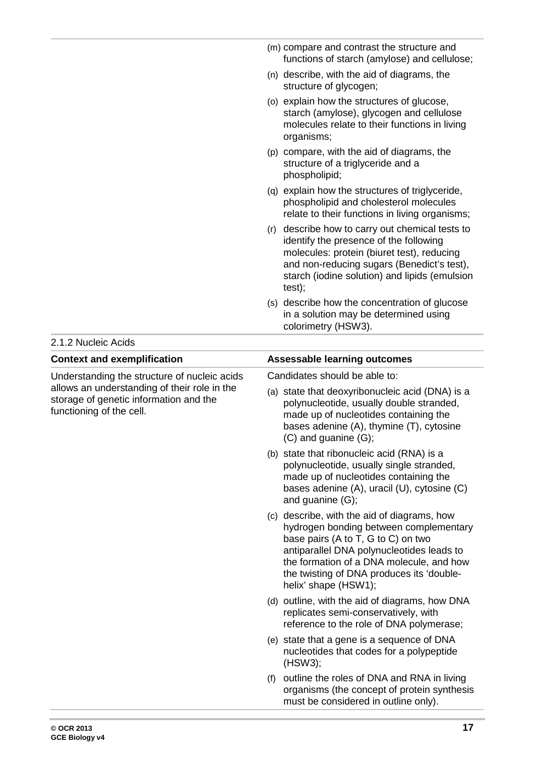|     | (m) compare and contrast the structure and<br>functions of starch (amylose) and cellulose;                                                                                                                                                   |
|-----|----------------------------------------------------------------------------------------------------------------------------------------------------------------------------------------------------------------------------------------------|
|     | (n) describe, with the aid of diagrams, the<br>structure of glycogen;                                                                                                                                                                        |
|     | (o) explain how the structures of glucose,<br>starch (amylose), glycogen and cellulose<br>molecules relate to their functions in living<br>organisms;                                                                                        |
|     | (p) compare, with the aid of diagrams, the<br>structure of a triglyceride and a<br>phospholipid;                                                                                                                                             |
|     | (q) explain how the structures of triglyceride,<br>phospholipid and cholesterol molecules<br>relate to their functions in living organisms;                                                                                                  |
| (r) | describe how to carry out chemical tests to<br>identify the presence of the following<br>molecules: protein (biuret test), reducing<br>and non-reducing sugars (Benedict's test),<br>starch (iodine solution) and lipids (emulsion<br>test); |
|     | (s) describe how the concentration of glucose<br>in a solution may be determined using<br>colorimetry (HSW3).                                                                                                                                |

2.1.2 Nucleic Acids

| <b>Context and exemplification</b>                                                                                 | <b>Assessable learning outcomes</b>                                                                                                                                                                                                                                                       |  |
|--------------------------------------------------------------------------------------------------------------------|-------------------------------------------------------------------------------------------------------------------------------------------------------------------------------------------------------------------------------------------------------------------------------------------|--|
| Understanding the structure of nucleic acids                                                                       | Candidates should be able to:                                                                                                                                                                                                                                                             |  |
| allows an understanding of their role in the<br>storage of genetic information and the<br>functioning of the cell. | (a) state that deoxyribonucleic acid (DNA) is a<br>polynucleotide, usually double stranded,<br>made up of nucleotides containing the<br>bases adenine (A), thymine (T), cytosine<br>$(C)$ and quanine $(G)$ ;                                                                             |  |
|                                                                                                                    | (b) state that ribonucleic acid (RNA) is a<br>polynucleotide, usually single stranded,<br>made up of nucleotides containing the<br>bases adenine (A), uracil (U), cytosine (C)<br>and guanine $(G)$ ;                                                                                     |  |
|                                                                                                                    | (c) describe, with the aid of diagrams, how<br>hydrogen bonding between complementary<br>base pairs (A to T, G to C) on two<br>antiparallel DNA polynucleotides leads to<br>the formation of a DNA molecule, and how<br>the twisting of DNA produces its 'double-<br>helix' shape (HSW1); |  |
|                                                                                                                    | (d) outline, with the aid of diagrams, how DNA<br>replicates semi-conservatively, with<br>reference to the role of DNA polymerase;                                                                                                                                                        |  |
|                                                                                                                    | (e) state that a gene is a sequence of DNA<br>nucleotides that codes for a polypeptide<br>(HSW3);                                                                                                                                                                                         |  |
|                                                                                                                    | outline the roles of DNA and RNA in living<br>(f)<br>organisms (the concept of protein synthesis<br>must be considered in outline only).                                                                                                                                                  |  |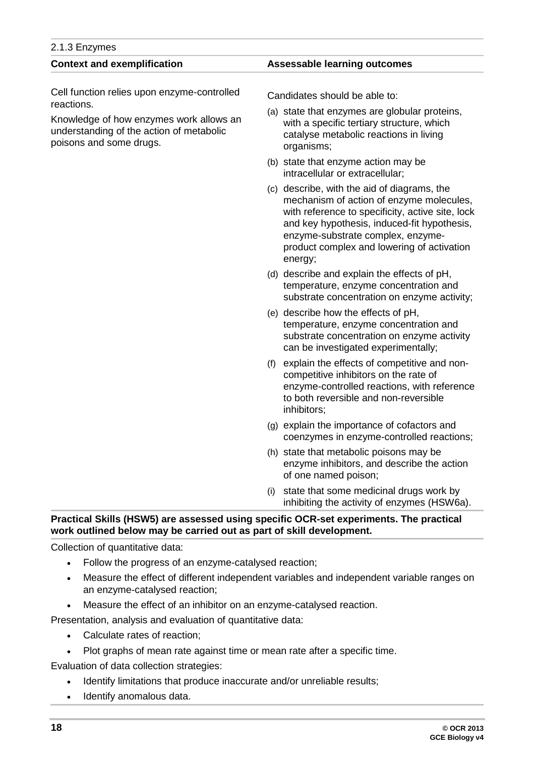| 2.1.3 Enzymes                                                                                                  |                                                                                                                                                                                                                                                                                          |  |  |
|----------------------------------------------------------------------------------------------------------------|------------------------------------------------------------------------------------------------------------------------------------------------------------------------------------------------------------------------------------------------------------------------------------------|--|--|
| <b>Context and exemplification</b>                                                                             | <b>Assessable learning outcomes</b>                                                                                                                                                                                                                                                      |  |  |
| Cell function relies upon enzyme-controlled<br>reactions.                                                      | Candidates should be able to:                                                                                                                                                                                                                                                            |  |  |
| Knowledge of how enzymes work allows an<br>understanding of the action of metabolic<br>poisons and some drugs. | (a) state that enzymes are globular proteins,<br>with a specific tertiary structure, which<br>catalyse metabolic reactions in living<br>organisms;                                                                                                                                       |  |  |
|                                                                                                                | (b) state that enzyme action may be<br>intracellular or extracellular;                                                                                                                                                                                                                   |  |  |
|                                                                                                                | (c) describe, with the aid of diagrams, the<br>mechanism of action of enzyme molecules,<br>with reference to specificity, active site, lock<br>and key hypothesis, induced-fit hypothesis,<br>enzyme-substrate complex, enzyme-<br>product complex and lowering of activation<br>energy; |  |  |
|                                                                                                                | (d) describe and explain the effects of pH,<br>temperature, enzyme concentration and<br>substrate concentration on enzyme activity;                                                                                                                                                      |  |  |
|                                                                                                                | (e) describe how the effects of pH,<br>temperature, enzyme concentration and<br>substrate concentration on enzyme activity<br>can be investigated experimentally;                                                                                                                        |  |  |
|                                                                                                                | explain the effects of competitive and non-<br>(f)<br>competitive inhibitors on the rate of<br>enzyme-controlled reactions, with reference<br>to both reversible and non-reversible<br>inhibitors;                                                                                       |  |  |
|                                                                                                                | (g) explain the importance of cofactors and<br>coenzymes in enzyme-controlled reactions;                                                                                                                                                                                                 |  |  |
|                                                                                                                | (h) state that metabolic poisons may be<br>enzyme inhibitors, and describe the action<br>of one named poison;                                                                                                                                                                            |  |  |
|                                                                                                                | state that some medicinal drugs work by<br>(i)<br>inhibiting the activity of enzymes (HSW6a).                                                                                                                                                                                            |  |  |

#### **Practical Skills (HSW5) are assessed using specific OCR-set experiments. The practical work outlined below may be carried out as part of skill development.**

Collection of quantitative data:

- Follow the progress of an enzyme-catalysed reaction;
- Measure the effect of different independent variables and independent variable ranges on an enzyme-catalysed reaction;
- Measure the effect of an inhibitor on an enzyme-catalysed reaction.

Presentation, analysis and evaluation of quantitative data:

- Calculate rates of reaction;
- Plot graphs of mean rate against time or mean rate after a specific time.

Evaluation of data collection strategies:

- Identify limitations that produce inaccurate and/or unreliable results;
- Identify anomalous data.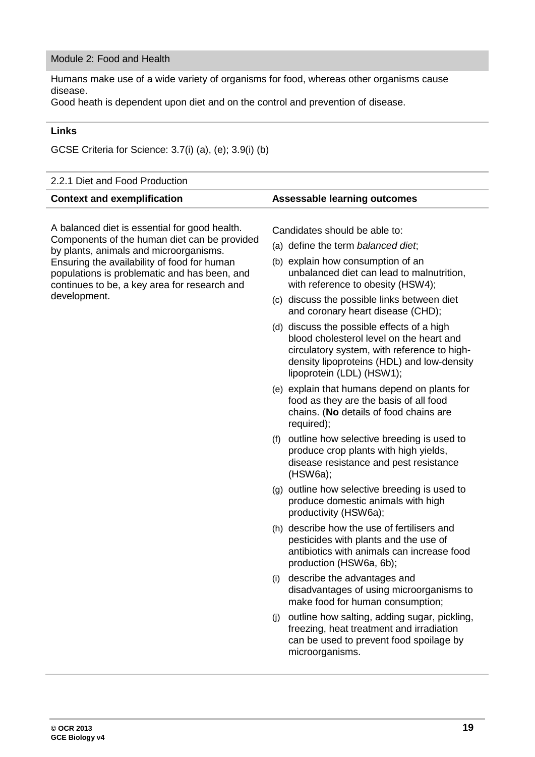#### Module 2: Food and Health

Humans make use of a wide variety of organisms for food, whereas other organisms cause disease.

Good heath is dependent upon diet and on the control and prevention of disease.

#### **Links**

GCSE Criteria for Science: 3.7(i) (a), (e); 3.9(i) (b)

#### 2.2.1 Diet and Food Production **Context and exemplification Assessable learning outcomes** A balanced diet is essential for good health. Components of the human diet can be provided by plants, animals and microorganisms. Ensuring the availability of food for human populations is problematic and has been, and continues to be, a key area for research and development. Candidates should be able to: (a) define the term *balanced diet*; (b) explain how consumption of an unbalanced diet can lead to malnutrition, with reference to obesity (HSW4); (c) discuss the possible links between diet and coronary heart disease (CHD); (d) discuss the possible effects of a high blood cholesterol level on the heart and circulatory system, with reference to highdensity lipoproteins (HDL) and low-density lipoprotein (LDL) (HSW1); (e) explain that humans depend on plants for food as they are the basis of all food chains. (**No** details of food chains are required); (f) outline how selective breeding is used to produce crop plants with high yields, disease resistance and pest resistance (HSW6a); (g) outline how selective breeding is used to produce domestic animals with high productivity (HSW6a); (h) describe how the use of fertilisers and pesticides with plants and the use of antibiotics with animals can increase food production (HSW6a, 6b); (i) describe the advantages and disadvantages of using microorganisms to make food for human consumption; (j) outline how salting, adding sugar, pickling, freezing, heat treatment and irradiation can be used to prevent food spoilage by microorganisms.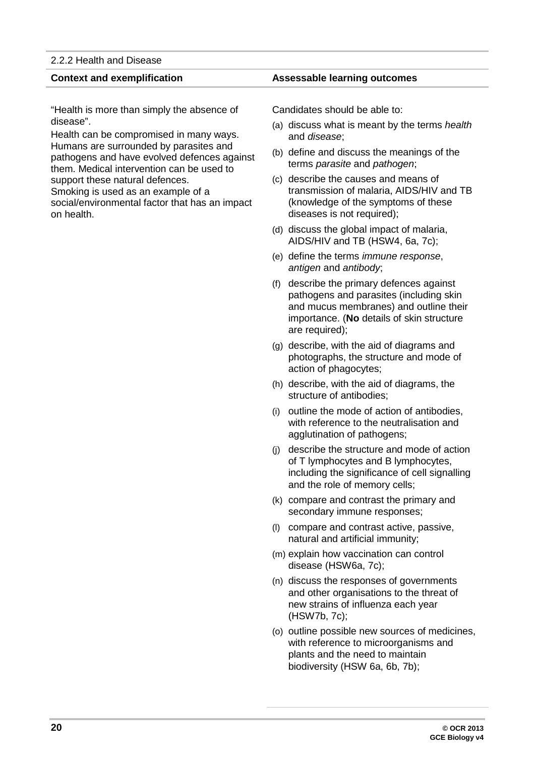#### 2.2.2 Health and Disease

"Health is more than simply the absence of disease".

Health can be compromised in many ways. Humans are surrounded by parasites and pathogens and have evolved defences against them. Medical intervention can be used to support these natural defences.

Smoking is used as an example of a social/environmental factor that has an impact on health.

#### **Context and exemplification Assessable learning outcomes**

Candidates should be able to:

- (a) discuss what is meant by the terms *health* and *disease*;
- (b) define and discuss the meanings of the terms *parasite* and *pathogen*;
- (c) describe the causes and means of transmission of malaria, AIDS/HIV and TB (knowledge of the symptoms of these diseases is not required);
- (d) discuss the global impact of malaria, AIDS/HIV and TB (HSW4, 6a, 7c);
- (e) define the terms *immune response*, *antigen* and *antibody*;
- (f) describe the primary defences against pathogens and parasites (including skin and mucus membranes) and outline their importance. (**No** details of skin structure are required);
- (g) describe, with the aid of diagrams and photographs, the structure and mode of action of phagocytes;
- (h) describe, with the aid of diagrams, the structure of antibodies;
- (i) outline the mode of action of antibodies, with reference to the neutralisation and agglutination of pathogens;
- (j) describe the structure and mode of action of T lymphocytes and B lymphocytes, including the significance of cell signalling and the role of memory cells;
- (k) compare and contrast the primary and secondary immune responses;
- (l) compare and contrast active, passive, natural and artificial immunity;
- (m) explain how vaccination can control disease (HSW6a, 7c);
- (n) discuss the responses of governments and other organisations to the threat of new strains of influenza each year (HSW7b, 7c);
- (o) outline possible new sources of medicines, with reference to microorganisms and plants and the need to maintain biodiversity (HSW 6a, 6b, 7b);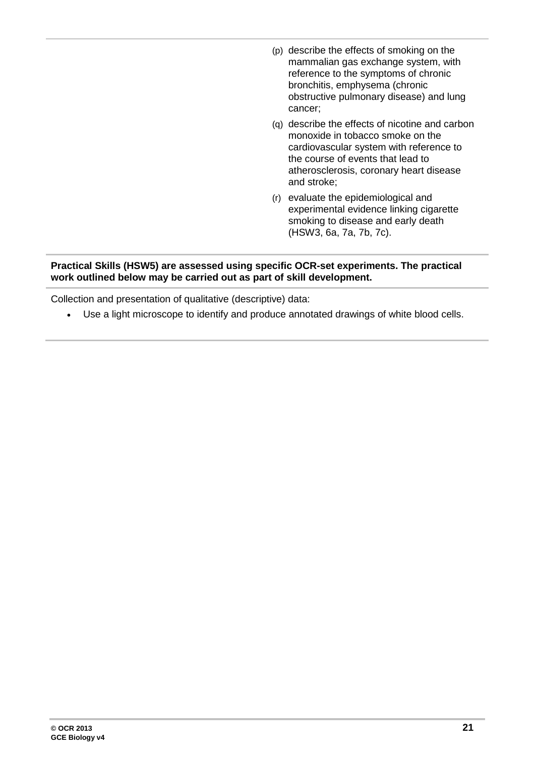- (p) describe the effects of smoking on the mammalian gas exchange system, with reference to the symptoms of chronic bronchitis, emphysema (chronic obstructive pulmonary disease) and lung cancer;
- (q) describe the effects of nicotine and carbon monoxide in tobacco smoke on the cardiovascular system with reference to the course of events that lead to atherosclerosis, coronary heart disease and stroke;
- (r) evaluate the epidemiological and experimental evidence linking cigarette smoking to disease and early death (HSW3, 6a, 7a, 7b, 7c).

#### **Practical Skills (HSW5) are assessed using specific OCR-set experiments. The practical work outlined below may be carried out as part of skill development.**

Collection and presentation of qualitative (descriptive) data:

• Use a light microscope to identify and produce annotated drawings of white blood cells.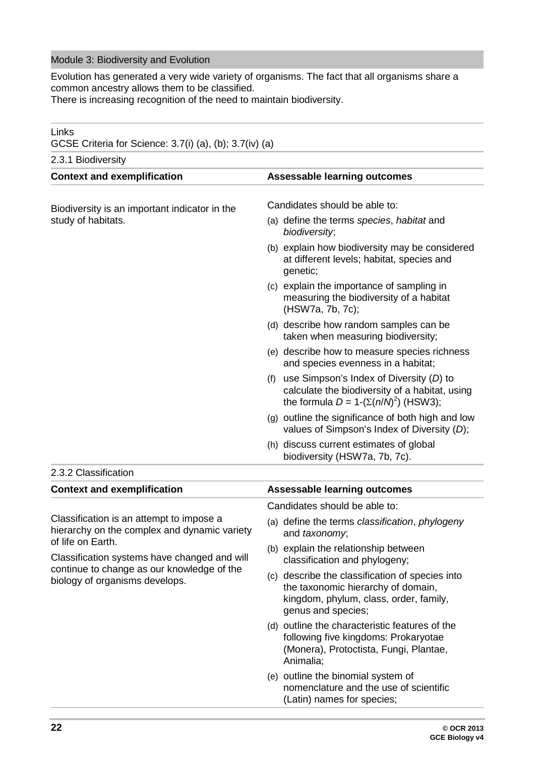#### Module 3: Biodiversity and Evolution

Evolution has generated a very wide variety of organisms. The fact that all organisms share a common ancestry allows them to be classified.

There is increasing recognition of the need to maintain biodiversity.

| Links<br>GCSE Criteria for Science: 3.7(i) (a), (b); 3.7(iv) (a)                         |                                                                                                                                                                                                                                                                                                                                                                                                                                                                                                                                                                                                                                                                                                                                                                                                                             |
|------------------------------------------------------------------------------------------|-----------------------------------------------------------------------------------------------------------------------------------------------------------------------------------------------------------------------------------------------------------------------------------------------------------------------------------------------------------------------------------------------------------------------------------------------------------------------------------------------------------------------------------------------------------------------------------------------------------------------------------------------------------------------------------------------------------------------------------------------------------------------------------------------------------------------------|
| 2.3.1 Biodiversity                                                                       |                                                                                                                                                                                                                                                                                                                                                                                                                                                                                                                                                                                                                                                                                                                                                                                                                             |
| <b>Context and exemplification</b>                                                       | <b>Assessable learning outcomes</b>                                                                                                                                                                                                                                                                                                                                                                                                                                                                                                                                                                                                                                                                                                                                                                                         |
| Biodiversity is an important indicator in the<br>study of habitats.                      | Candidates should be able to:<br>(a) define the terms species, habitat and<br>biodiversity;<br>(b) explain how biodiversity may be considered<br>at different levels; habitat, species and<br>genetic;<br>(c) explain the importance of sampling in<br>measuring the biodiversity of a habitat<br>(HSW7a, 7b, 7c);<br>(d) describe how random samples can be<br>taken when measuring biodiversity;<br>(e) describe how to measure species richness<br>and species evenness in a habitat;<br>use Simpson's Index of Diversity (D) to<br>(f)<br>calculate the biodiversity of a habitat, using<br>the formula $D = 1-(\Sigma(n/N)^2)$ (HSW3);<br>(g) outline the significance of both high and low<br>values of Simpson's Index of Diversity (D);<br>(h) discuss current estimates of global<br>biodiversity (HSW7a, 7b, 7c). |
| 2.3.2 Classification                                                                     |                                                                                                                                                                                                                                                                                                                                                                                                                                                                                                                                                                                                                                                                                                                                                                                                                             |
| <b>Context and exemplification</b>                                                       | <b>Assessable learning outcomes</b>                                                                                                                                                                                                                                                                                                                                                                                                                                                                                                                                                                                                                                                                                                                                                                                         |
|                                                                                          | Candidates should be able to:                                                                                                                                                                                                                                                                                                                                                                                                                                                                                                                                                                                                                                                                                                                                                                                               |
| Classification is an attempt to impose a<br>hierarchy on the complex and dynamic variety | (a) define the terms classification, phylogeny<br>and taxonomy,                                                                                                                                                                                                                                                                                                                                                                                                                                                                                                                                                                                                                                                                                                                                                             |
| of life on Earth.<br>Classification systems have changed and will                        | (b) explain the relationship between<br>classification and phylogeny;                                                                                                                                                                                                                                                                                                                                                                                                                                                                                                                                                                                                                                                                                                                                                       |
| continue to change as our knowledge of the<br>biology of organisms develops.             | (c) describe the classification of species into<br>the taxonomic hierarchy of domain,<br>kingdom, phylum, class, order, family,<br>genus and species;                                                                                                                                                                                                                                                                                                                                                                                                                                                                                                                                                                                                                                                                       |
|                                                                                          | (d) outline the characteristic features of the<br>following five kingdoms: Prokaryotae<br>(Monera), Protoctista, Fungi, Plantae,<br>Animalia;                                                                                                                                                                                                                                                                                                                                                                                                                                                                                                                                                                                                                                                                               |
|                                                                                          | (e) outline the binomial system of<br>nomenclature and the use of scientific<br>(Latin) names for species;                                                                                                                                                                                                                                                                                                                                                                                                                                                                                                                                                                                                                                                                                                                  |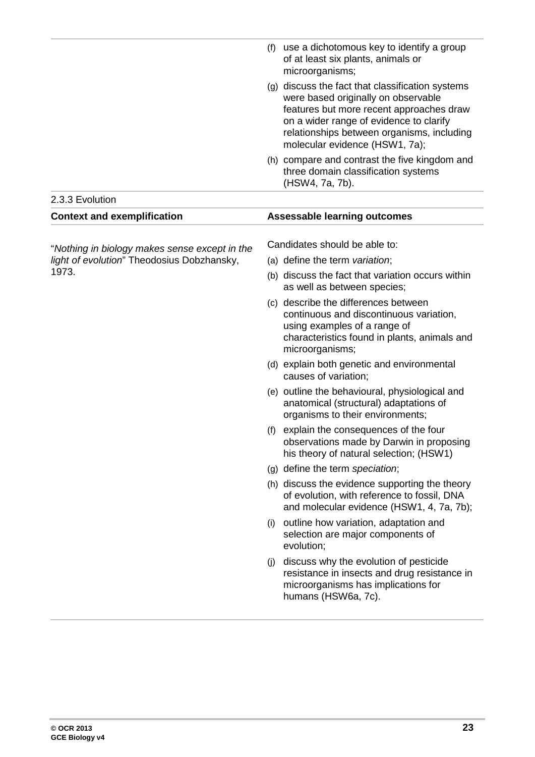|                                                                                             | (f) | use a dichotomous key to identify a group<br>of at least six plants, animals or<br>microorganisms;                                                                                                                                                             |
|---------------------------------------------------------------------------------------------|-----|----------------------------------------------------------------------------------------------------------------------------------------------------------------------------------------------------------------------------------------------------------------|
|                                                                                             |     | (g) discuss the fact that classification systems<br>were based originally on observable<br>features but more recent approaches draw<br>on a wider range of evidence to clarify<br>relationships between organisms, including<br>molecular evidence (HSW1, 7a); |
|                                                                                             |     | (h) compare and contrast the five kingdom and<br>three domain classification systems<br>(HSW4, 7a, 7b).                                                                                                                                                        |
| 2.3.3 Evolution                                                                             |     |                                                                                                                                                                                                                                                                |
| <b>Context and exemplification</b>                                                          |     | <b>Assessable learning outcomes</b>                                                                                                                                                                                                                            |
|                                                                                             |     | Candidates should be able to:                                                                                                                                                                                                                                  |
| "Nothing in biology makes sense except in the<br>light of evolution" Theodosius Dobzhansky, |     | (a) define the term variation;                                                                                                                                                                                                                                 |
| 1973.                                                                                       |     | (b) discuss the fact that variation occurs within<br>as well as between species;                                                                                                                                                                               |
|                                                                                             |     | (c) describe the differences between<br>continuous and discontinuous variation,<br>using examples of a range of<br>characteristics found in plants, animals and<br>microorganisms;                                                                             |
|                                                                                             |     | (d) explain both genetic and environmental<br>causes of variation;                                                                                                                                                                                             |
|                                                                                             |     | (e) outline the behavioural, physiological and<br>anatomical (structural) adaptations of<br>organisms to their environments;                                                                                                                                   |
|                                                                                             | (f) | explain the consequences of the four<br>observations made by Darwin in proposing<br>his theory of natural selection; (HSW1)                                                                                                                                    |
|                                                                                             |     | (g) define the term speciation;                                                                                                                                                                                                                                |
|                                                                                             |     | (h) discuss the evidence supporting the theory<br>of evolution, with reference to fossil, DNA<br>and molecular evidence (HSW1, 4, 7a, 7b);                                                                                                                     |
|                                                                                             | (i) | outline how variation, adaptation and<br>selection are major components of<br>evolution;                                                                                                                                                                       |
|                                                                                             | (i) | discuss why the evolution of pesticide<br>resistance in insects and drug resistance in<br>microorganisms has implications for<br>humans (HSW6a, 7c).                                                                                                           |
|                                                                                             |     |                                                                                                                                                                                                                                                                |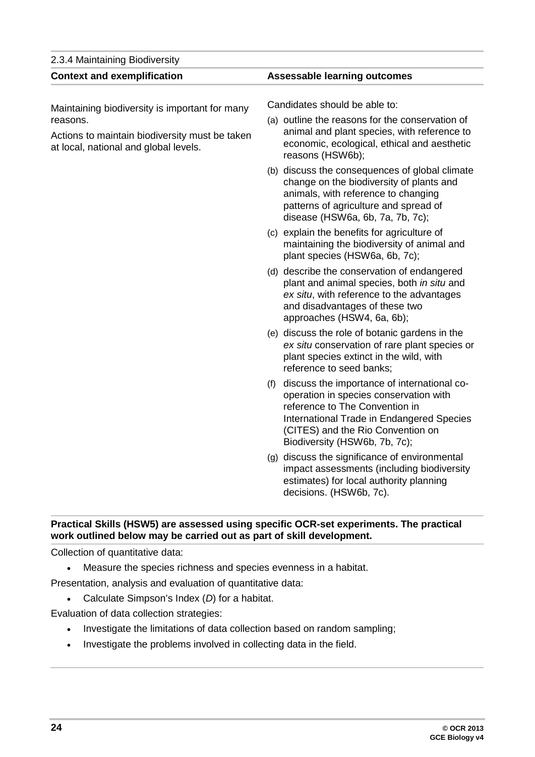| 2.3.4 Maintaining Biodiversity                                                          |                                                                                                                                                                                                                                                   |  |
|-----------------------------------------------------------------------------------------|---------------------------------------------------------------------------------------------------------------------------------------------------------------------------------------------------------------------------------------------------|--|
| <b>Context and exemplification</b>                                                      | <b>Assessable learning outcomes</b>                                                                                                                                                                                                               |  |
| Maintaining biodiversity is important for many<br>reasons.                              | Candidates should be able to:<br>(a) outline the reasons for the conservation of                                                                                                                                                                  |  |
| Actions to maintain biodiversity must be taken<br>at local, national and global levels. | animal and plant species, with reference to<br>economic, ecological, ethical and aesthetic<br>reasons (HSW6b);                                                                                                                                    |  |
|                                                                                         | (b) discuss the consequences of global climate<br>change on the biodiversity of plants and<br>animals, with reference to changing<br>patterns of agriculture and spread of<br>disease (HSW6a, 6b, 7a, 7b, 7c);                                    |  |
|                                                                                         | (c) explain the benefits for agriculture of<br>maintaining the biodiversity of animal and<br>plant species (HSW6a, 6b, 7c);                                                                                                                       |  |
|                                                                                         | (d) describe the conservation of endangered<br>plant and animal species, both in situ and<br>ex situ, with reference to the advantages<br>and disadvantages of these two<br>approaches (HSW4, 6a, 6b);                                            |  |
|                                                                                         | (e) discuss the role of botanic gardens in the<br>ex situ conservation of rare plant species or<br>plant species extinct in the wild, with<br>reference to seed banks;                                                                            |  |
|                                                                                         | discuss the importance of international co-<br>(f)<br>operation in species conservation with<br>reference to The Convention in<br>International Trade in Endangered Species<br>(CITES) and the Rio Convention on<br>Biodiversity (HSW6b, 7b, 7c); |  |
|                                                                                         | (g) discuss the significance of environmental<br>impact assessments (including biodiversity<br>estimates) for local authority planning<br>decisions. (HSW6b, 7c).                                                                                 |  |

#### **Practical Skills (HSW5) are assessed using specific OCR-set experiments. The practical work outlined below may be carried out as part of skill development.**

Collection of quantitative data:

• Measure the species richness and species evenness in a habitat.

Presentation, analysis and evaluation of quantitative data:

• Calculate Simpson's Index (*D*) for a habitat.

Evaluation of data collection strategies:

- Investigate the limitations of data collection based on random sampling;
- Investigate the problems involved in collecting data in the field.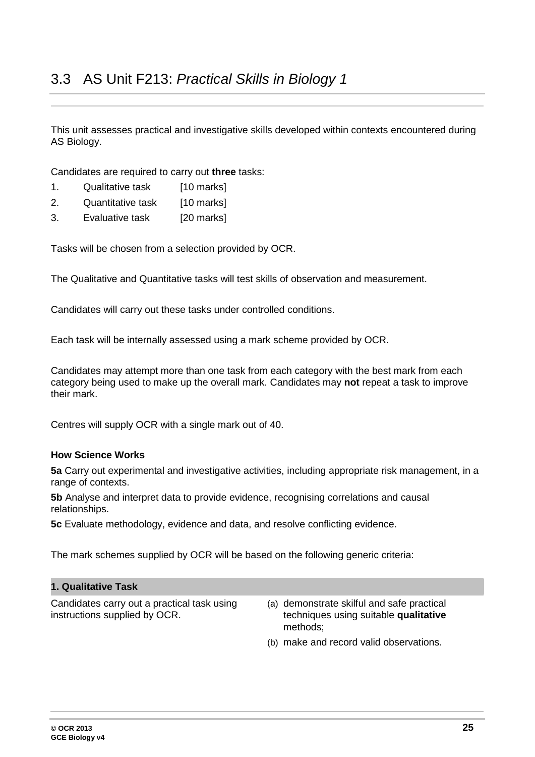<span id="page-24-0"></span>This unit assesses practical and investigative skills developed within contexts encountered during AS Biology.

Candidates are required to carry out **three** tasks:

- 1. Qualitative task [10 marks]
- 2. Quantitative task [10 marks]
- 3. Evaluative task [20 marks]

Tasks will be chosen from a selection provided by OCR.

The Qualitative and Quantitative tasks will test skills of observation and measurement.

Candidates will carry out these tasks under controlled conditions.

Each task will be internally assessed using a mark scheme provided by OCR.

Candidates may attempt more than one task from each category with the best mark from each category being used to make up the overall mark. Candidates may **not** repeat a task to improve their mark.

Centres will supply OCR with a single mark out of 40.

#### **How Science Works**

**5a** Carry out experimental and investigative activities, including appropriate risk management, in a range of contexts.

**5b** Analyse and interpret data to provide evidence, recognising correlations and causal relationships.

**5c** Evaluate methodology, evidence and data, and resolve conflicting evidence.

The mark schemes supplied by OCR will be based on the following generic criteria:

#### **1. Qualitative Task**

Candidates carry out a practical task using instructions supplied by OCR.

- (a) demonstrate skilful and safe practical techniques using suitable **qualitative** methods;
- (b) make and record valid observations.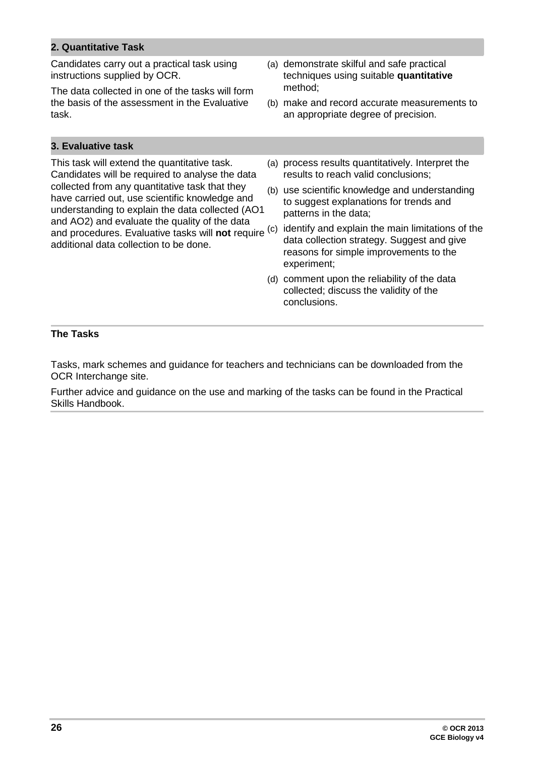#### **2. Quantitative Task**

Candidates carry out a practical task using instructions supplied by OCR.

The data collected in one of the tasks will form the basis of the assessment in the Evaluative task.

#### **3. Evaluative task**

This task will extend the quantitative task. Candidates will be required to analyse the data collected from any quantitative task that they have carried out, use scientific knowledge and understanding to explain the data collected (AO1 and AO2) and evaluate the quality of the data and procedures. Evaluative tasks will **not** require <sup>(c)</sup> identify and explain the main limitations of the additional data collection to be done.

- (a) demonstrate skilful and safe practical techniques using suitable **quantitative** method;
- (b) make and record accurate measurements to an appropriate degree of precision.
- (a) process results quantitatively. Interpret the results to reach valid conclusions;
- (b) use scientific knowledge and understanding to suggest explanations for trends and patterns in the data;
- data collection strategy. Suggest and give reasons for simple improvements to the experiment;
- (d) comment upon the reliability of the data collected; discuss the validity of the conclusions.

#### **The Tasks**

Tasks, mark schemes and guidance for teachers and technicians can be downloaded from the OCR Interchange site.

Further advice and guidance on the use and marking of the tasks can be found in the Practical Skills Handbook.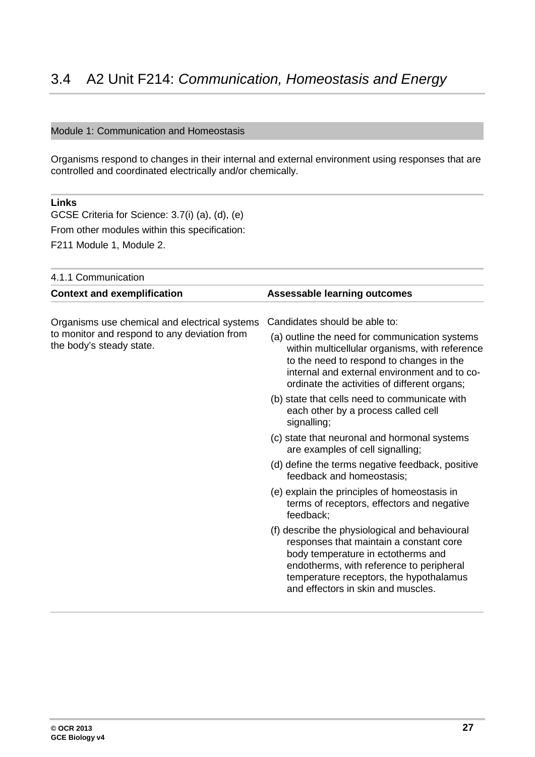#### <span id="page-26-0"></span>Module 1: Communication and Homeostasis

Organisms respond to changes in their internal and external environment using responses that are controlled and coordinated electrically and/or chemically.

#### **Links**

GCSE Criteria for Science: 3.7(i) (a), (d), (e) From other modules within this specification: F211 Module 1, Module 2.

| 4.1.1 Communication                                                      |                                                                                                                                                                                                                                                              |
|--------------------------------------------------------------------------|--------------------------------------------------------------------------------------------------------------------------------------------------------------------------------------------------------------------------------------------------------------|
| <b>Context and exemplification</b>                                       | <b>Assessable learning outcomes</b>                                                                                                                                                                                                                          |
| Organisms use chemical and electrical systems                            | Candidates should be able to:                                                                                                                                                                                                                                |
| to monitor and respond to any deviation from<br>the body's steady state. | (a) outline the need for communication systems<br>within multicellular organisms, with reference<br>to the need to respond to changes in the<br>internal and external environment and to co-<br>ordinate the activities of different organs;                 |
|                                                                          | (b) state that cells need to communicate with<br>each other by a process called cell<br>signalling;                                                                                                                                                          |
|                                                                          | (c) state that neuronal and hormonal systems<br>are examples of cell signalling;                                                                                                                                                                             |
|                                                                          | (d) define the terms negative feedback, positive<br>feedback and homeostasis;                                                                                                                                                                                |
|                                                                          | (e) explain the principles of homeostasis in<br>terms of receptors, effectors and negative<br>feedback;                                                                                                                                                      |
|                                                                          | (f) describe the physiological and behavioural<br>responses that maintain a constant core<br>body temperature in ectotherms and<br>endotherms, with reference to peripheral<br>temperature receptors, the hypothalamus<br>and effectors in skin and muscles. |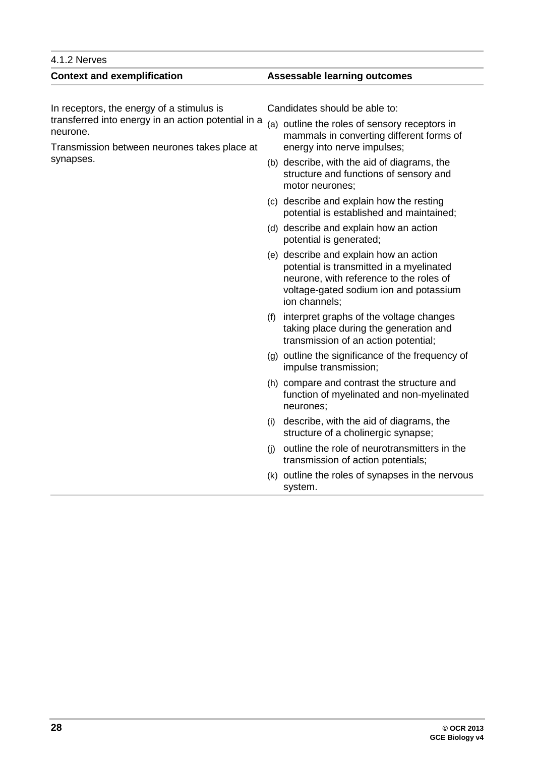#### 4.1.2 Nerves **Context and exemplification Assessable learning outcomes** In receptors, the energy of a stimulus is transferred into energy in an action potential in a neurone. Transmission between neurones takes place at synapses. Candidates should be able to: (a) outline the roles of sensory receptors in mammals in converting different forms of energy into nerve impulses; (b) describe, with the aid of diagrams, the structure and functions of sensory and motor neurones; (c) describe and explain how the resting potential is established and maintained; (d) describe and explain how an action potential is generated; (e) describe and explain how an action potential is transmitted in a myelinated neurone, with reference to the roles of voltage-gated sodium ion and potassium ion channels; (f) interpret graphs of the voltage changes taking place during the generation and transmission of an action potential; (g) outline the significance of the frequency of impulse transmission; (h) compare and contrast the structure and function of myelinated and non-myelinated neurones; (i) describe, with the aid of diagrams, the structure of a cholinergic synapse; (j) outline the role of neurotransmitters in the transmission of action potentials; (k) outline the roles of synapses in the nervous system.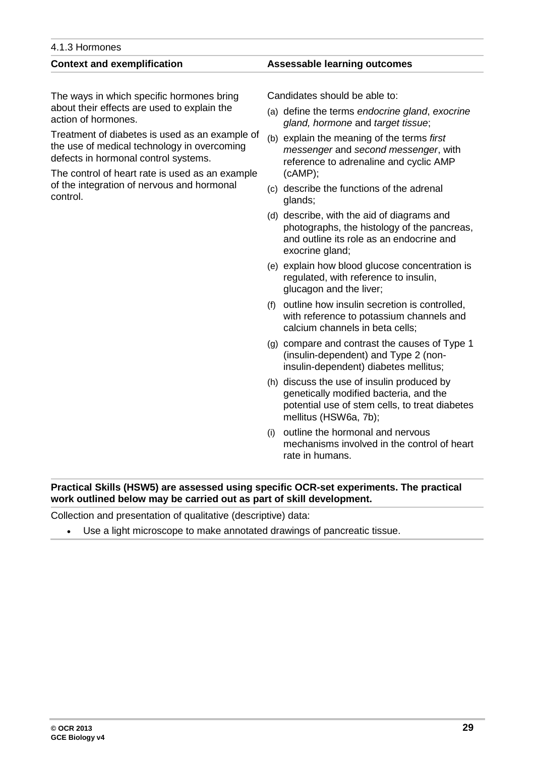**GCE Biology v4**

### 4.1.3 Hormones

The ways in which specific hormones bring about their effects are used to explain the action of hormones.

Treatment of diabetes is used as an example of the use of medical technology in overcoming defects in hormonal control systems.

The control of heart rate is used as an example of the integration of nervous and hormonal control.

#### **Context and exemplification Assessable learning outcomes**

Candidates should be able to:

- (a) define the terms *endocrine gland*, *exocrine gland, hormone* and *target tissue*;
- (b) explain the meaning of the terms *first messenger* and *second messenger*, with reference to adrenaline and cyclic AMP (cAMP);
- (c) describe the functions of the adrenal glands;
- (d) describe, with the aid of diagrams and photographs, the histology of the pancreas, and outline its role as an endocrine and exocrine gland;
- (e) explain how blood glucose concentration is regulated, with reference to insulin, glucagon and the liver;
- (f) outline how insulin secretion is controlled, with reference to potassium channels and calcium channels in beta cells;
- (g) compare and contrast the causes of Type 1 (insulin-dependent) and Type 2 (noninsulin-dependent) diabetes mellitus;
- (h) discuss the use of insulin produced by genetically modified bacteria, and the potential use of stem cells, to treat diabetes mellitus (HSW6a, 7b);
- (i) outline the hormonal and nervous mechanisms involved in the control of heart rate in humans.

#### **Practical Skills (HSW5) are assessed using specific OCR-set experiments. The practical work outlined below may be carried out as part of skill development.**

Collection and presentation of qualitative (descriptive) data:

• Use a light microscope to make annotated drawings of pancreatic tissue.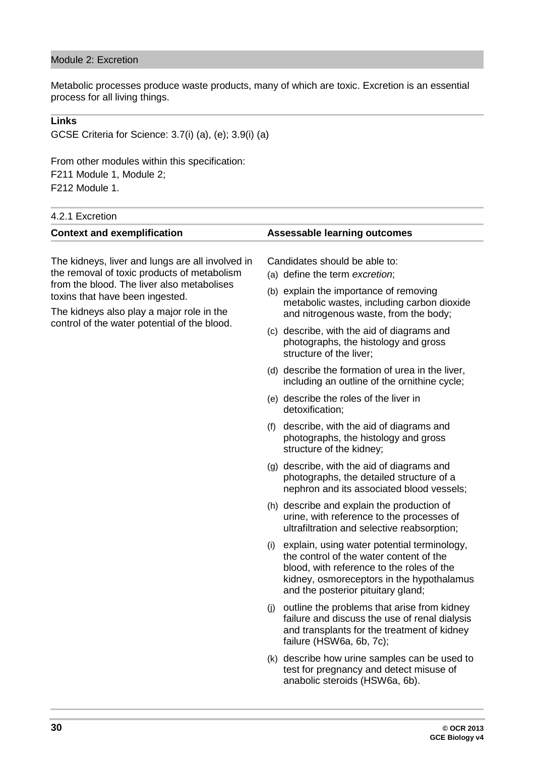#### Module 2: Excretion

Metabolic processes produce waste products, many of which are toxic. Excretion is an essential process for all living things.

#### **Links**

GCSE Criteria for Science: 3.7(i) (a), (e); 3.9(i) (a)

From other modules within this specification: F211 Module 1, Module 2; F212 Module 1.

### 4.2.1 Excretion

| 4.Z. I EXUI <del>c</del> uuii                                                                                                                                                                                                                                                 |                                                                                                                                                                                                                            |
|-------------------------------------------------------------------------------------------------------------------------------------------------------------------------------------------------------------------------------------------------------------------------------|----------------------------------------------------------------------------------------------------------------------------------------------------------------------------------------------------------------------------|
| <b>Context and exemplification</b>                                                                                                                                                                                                                                            | <b>Assessable learning outcomes</b>                                                                                                                                                                                        |
| The kidneys, liver and lungs are all involved in<br>the removal of toxic products of metabolism<br>from the blood. The liver also metabolises<br>toxins that have been ingested.<br>The kidneys also play a major role in the<br>control of the water potential of the blood. | Candidates should be able to:<br>(a) define the term excretion;                                                                                                                                                            |
|                                                                                                                                                                                                                                                                               | (b) explain the importance of removing<br>metabolic wastes, including carbon dioxide<br>and nitrogenous waste, from the body;                                                                                              |
|                                                                                                                                                                                                                                                                               | (c) describe, with the aid of diagrams and<br>photographs, the histology and gross<br>structure of the liver;                                                                                                              |
|                                                                                                                                                                                                                                                                               | (d) describe the formation of urea in the liver,<br>including an outline of the ornithine cycle;                                                                                                                           |
|                                                                                                                                                                                                                                                                               | (e) describe the roles of the liver in<br>detoxification;                                                                                                                                                                  |
|                                                                                                                                                                                                                                                                               | describe, with the aid of diagrams and<br>(f)<br>photographs, the histology and gross<br>structure of the kidney;                                                                                                          |
|                                                                                                                                                                                                                                                                               | (g) describe, with the aid of diagrams and<br>photographs, the detailed structure of a<br>nephron and its associated blood vessels;                                                                                        |
|                                                                                                                                                                                                                                                                               | (h) describe and explain the production of<br>urine, with reference to the processes of<br>ultrafiltration and selective reabsorption;                                                                                     |
|                                                                                                                                                                                                                                                                               | (i) explain, using water potential terminology,<br>the control of the water content of the<br>blood, with reference to the roles of the<br>kidney, osmoreceptors in the hypothalamus<br>and the posterior pituitary gland; |
|                                                                                                                                                                                                                                                                               | (j) outline the problems that arise from kidney<br>failure and discuss the use of renal dialysis<br>and transplants for the treatment of kidney<br>failure (HSW6a, 6b, 7c);                                                |
|                                                                                                                                                                                                                                                                               | (k) describe how urine samples can be used to<br>test for pregnancy and detect misuse of<br>anabolic steroids (HSW6a, 6b).                                                                                                 |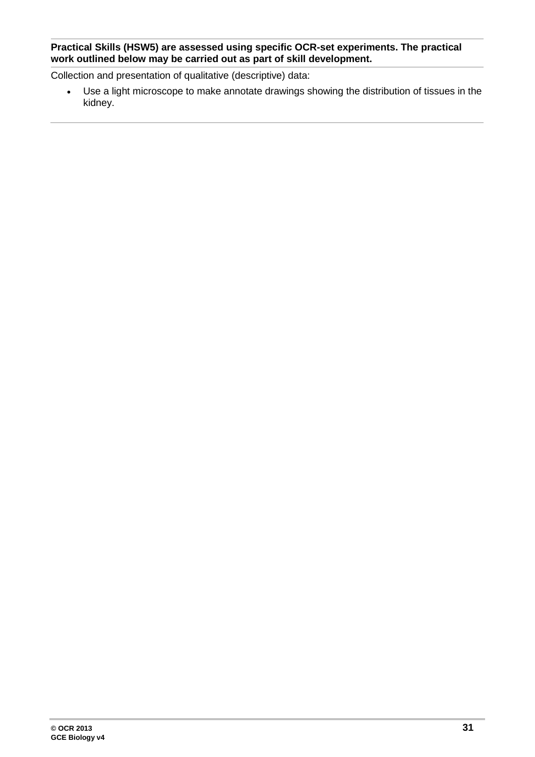#### **Practical Skills (HSW5) are assessed using specific OCR-set experiments. The practical work outlined below may be carried out as part of skill development.**

Collection and presentation of qualitative (descriptive) data:

• Use a light microscope to make annotate drawings showing the distribution of tissues in the kidney.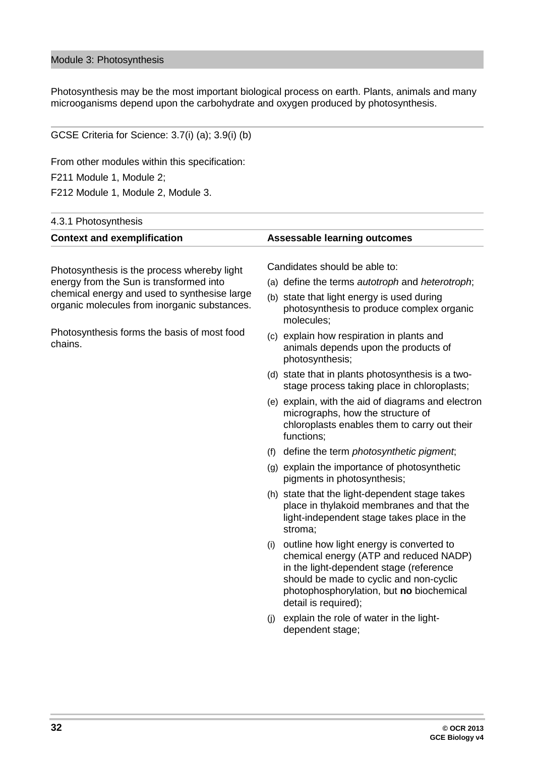#### Module 3: Photosynthesis

Photosynthesis may be the most important biological process on earth. Plants, animals and many microoganisms depend upon the carbohydrate and oxygen produced by photosynthesis.

| GCSE Criteria for Science: 3.7(i) (a); 3.9(i) (b)                                            |                                                                                                                                                                                                                                                     |
|----------------------------------------------------------------------------------------------|-----------------------------------------------------------------------------------------------------------------------------------------------------------------------------------------------------------------------------------------------------|
| From other modules within this specification:                                                |                                                                                                                                                                                                                                                     |
| F211 Module 1, Module 2;                                                                     |                                                                                                                                                                                                                                                     |
| F212 Module 1, Module 2, Module 3.                                                           |                                                                                                                                                                                                                                                     |
| 4.3.1 Photosynthesis                                                                         |                                                                                                                                                                                                                                                     |
| <b>Context and exemplification</b>                                                           | <b>Assessable learning outcomes</b>                                                                                                                                                                                                                 |
| Photosynthesis is the process whereby light                                                  | Candidates should be able to:                                                                                                                                                                                                                       |
| energy from the Sun is transformed into                                                      | (a) define the terms <i>autotroph</i> and <i>heterotroph</i> ;                                                                                                                                                                                      |
| chemical energy and used to synthesise large<br>organic molecules from inorganic substances. | (b) state that light energy is used during<br>photosynthesis to produce complex organic<br>molecules;                                                                                                                                               |
| Photosynthesis forms the basis of most food<br>chains.                                       | (c) explain how respiration in plants and<br>animals depends upon the products of<br>photosynthesis;                                                                                                                                                |
|                                                                                              | (d) state that in plants photosynthesis is a two-<br>stage process taking place in chloroplasts;                                                                                                                                                    |
|                                                                                              | (e) explain, with the aid of diagrams and electron<br>micrographs, how the structure of<br>chloroplasts enables them to carry out their<br>functions;                                                                                               |
|                                                                                              | define the term <i>photosynthetic pigment</i> ;<br>(f)                                                                                                                                                                                              |
|                                                                                              | (g) explain the importance of photosynthetic<br>pigments in photosynthesis;                                                                                                                                                                         |
|                                                                                              | (h) state that the light-dependent stage takes<br>place in thylakoid membranes and that the<br>light-independent stage takes place in the<br>stroma;                                                                                                |
|                                                                                              | outline how light energy is converted to<br>(i)<br>chemical energy (ATP and reduced NADP)<br>in the light-dependent stage (reference<br>should be made to cyclic and non-cyclic<br>photophosphorylation, but no biochemical<br>detail is required); |
|                                                                                              | explain the role of water in the light-<br>(i)<br>dependent stage;                                                                                                                                                                                  |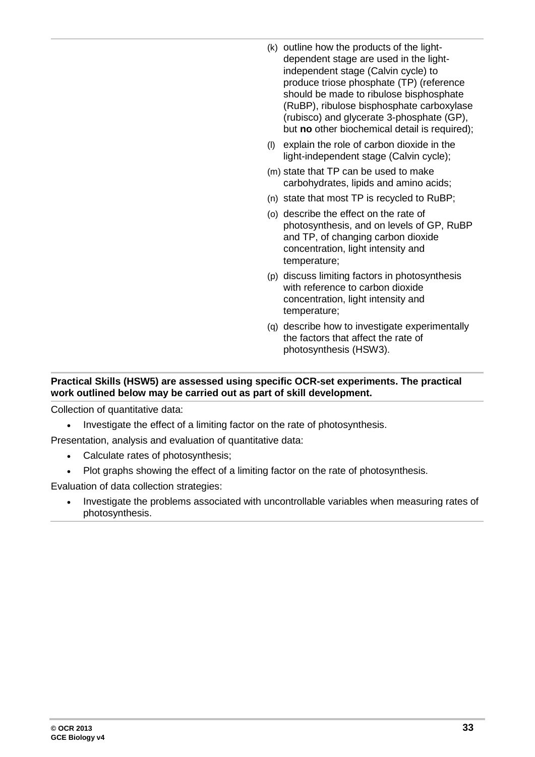- (k) outline how the products of the lightdependent stage are used in the lightindependent stage (Calvin cycle) to produce triose phosphate (TP) (reference should be made to ribulose bisphosphate (RuBP), ribulose bisphosphate carboxylase (rubisco) and glycerate 3-phosphate (GP), but **no** other biochemical detail is required);
- (l) explain the role of carbon dioxide in the light-independent stage (Calvin cycle);
- (m) state that TP can be used to make carbohydrates, lipids and amino acids;
- (n) state that most TP is recycled to RuBP;
- (o) describe the effect on the rate of photosynthesis, and on levels of GP, RuBP and TP, of changing carbon dioxide concentration, light intensity and temperature;
- (p) discuss limiting factors in photosynthesis with reference to carbon dioxide concentration, light intensity and temperature;
- (q) describe how to investigate experimentally the factors that affect the rate of photosynthesis (HSW3).

#### **Practical Skills (HSW5) are assessed using specific OCR-set experiments. The practical work outlined below may be carried out as part of skill development.**

Collection of quantitative data:

• Investigate the effect of a limiting factor on the rate of photosynthesis.

Presentation, analysis and evaluation of quantitative data:

- Calculate rates of photosynthesis;
- Plot graphs showing the effect of a limiting factor on the rate of photosynthesis.

Evaluation of data collection strategies:

• Investigate the problems associated with uncontrollable variables when measuring rates of photosynthesis.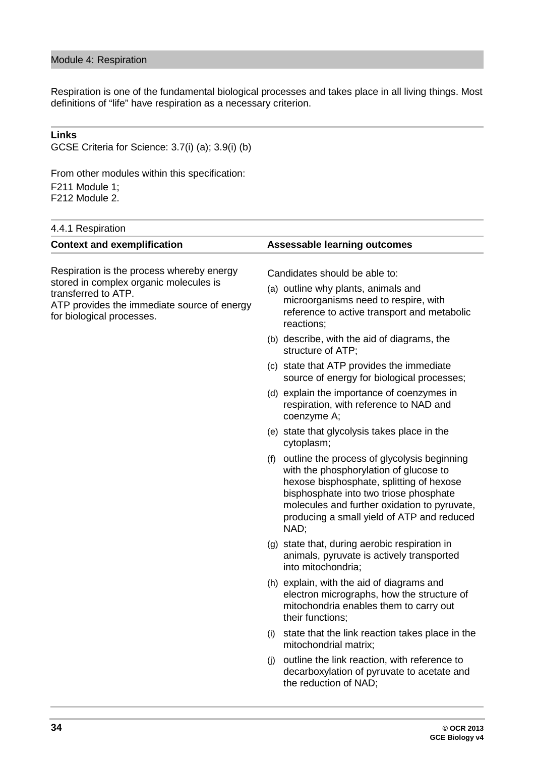Respiration is one of the fundamental biological processes and takes place in all living things. Most definitions of "life" have respiration as a necessary criterion.

#### **Links**

GCSE Criteria for Science: 3.7(i) (a); 3.9(i) (b)

From other modules within this specification: F211 Module 1; F212 Module 2.

| 4.4.1 Respiration                                                                                                                         |                                                                                                                                                                                                                                                                                       |  |
|-------------------------------------------------------------------------------------------------------------------------------------------|---------------------------------------------------------------------------------------------------------------------------------------------------------------------------------------------------------------------------------------------------------------------------------------|--|
| <b>Context and exemplification</b>                                                                                                        | <b>Assessable learning outcomes</b>                                                                                                                                                                                                                                                   |  |
| Respiration is the process whereby energy                                                                                                 | Candidates should be able to:                                                                                                                                                                                                                                                         |  |
| stored in complex organic molecules is<br>transferred to ATP.<br>ATP provides the immediate source of energy<br>for biological processes. | (a) outline why plants, animals and<br>microorganisms need to respire, with<br>reference to active transport and metabolic<br>reactions;                                                                                                                                              |  |
|                                                                                                                                           | (b) describe, with the aid of diagrams, the<br>structure of ATP;                                                                                                                                                                                                                      |  |
|                                                                                                                                           | (c) state that ATP provides the immediate<br>source of energy for biological processes;                                                                                                                                                                                               |  |
|                                                                                                                                           | (d) explain the importance of coenzymes in<br>respiration, with reference to NAD and<br>coenzyme A;                                                                                                                                                                                   |  |
|                                                                                                                                           | (e) state that glycolysis takes place in the<br>cytoplasm;                                                                                                                                                                                                                            |  |
|                                                                                                                                           | (f) outline the process of glycolysis beginning<br>with the phosphorylation of glucose to<br>hexose bisphosphate, splitting of hexose<br>bisphosphate into two triose phosphate<br>molecules and further oxidation to pyruvate,<br>producing a small yield of ATP and reduced<br>NAD; |  |
|                                                                                                                                           | (g) state that, during aerobic respiration in<br>animals, pyruvate is actively transported<br>into mitochondria;                                                                                                                                                                      |  |
|                                                                                                                                           | (h) explain, with the aid of diagrams and<br>electron micrographs, how the structure of<br>mitochondria enables them to carry out<br>their functions;                                                                                                                                 |  |
|                                                                                                                                           | (i) state that the link reaction takes place in the<br>mitochondrial matrix;                                                                                                                                                                                                          |  |
|                                                                                                                                           | outline the link reaction, with reference to<br>(j)<br>decarboxylation of pyruvate to acetate and<br>the reduction of NAD;                                                                                                                                                            |  |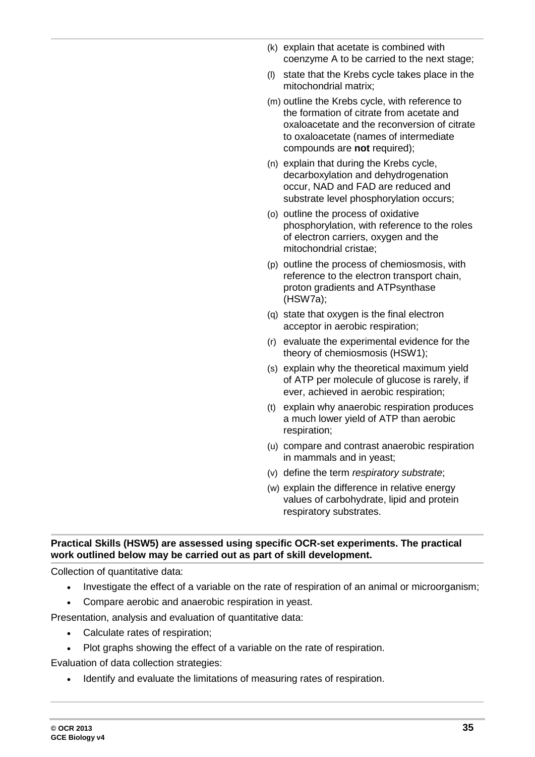- (k) explain that acetate is combined with coenzyme A to be carried to the next stage;
- (l) state that the Krebs cycle takes place in the mitochondrial matrix;
- (m) outline the Krebs cycle, with reference to the formation of citrate from acetate and oxaloacetate and the reconversion of citrate to oxaloacetate (names of intermediate compounds are **not** required);
- (n) explain that during the Krebs cycle, decarboxylation and dehydrogenation occur, NAD and FAD are reduced and substrate level phosphorylation occurs;
- (o) outline the process of oxidative phosphorylation, with reference to the roles of electron carriers, oxygen and the mitochondrial cristae;
- (p) outline the process of chemiosmosis, with reference to the electron transport chain, proton gradients and ATPsynthase (HSW7a);
- (q) state that oxygen is the final electron acceptor in aerobic respiration;
- (r) evaluate the experimental evidence for the theory of chemiosmosis (HSW1);
- (s) explain why the theoretical maximum yield of ATP per molecule of glucose is rarely, if ever, achieved in aerobic respiration;
- (t) explain why anaerobic respiration produces a much lower yield of ATP than aerobic respiration;
- (u) compare and contrast anaerobic respiration in mammals and in yeast;
- (v) define the term *respiratory substrate*;
- (w) explain the difference in relative energy values of carbohydrate, lipid and protein respiratory substrates.

#### **Practical Skills (HSW5) are assessed using specific OCR-set experiments. The practical work outlined below may be carried out as part of skill development.**

Collection of quantitative data:

- Investigate the effect of a variable on the rate of respiration of an animal or microorganism;
- Compare aerobic and anaerobic respiration in yeast.

Presentation, analysis and evaluation of quantitative data:

- Calculate rates of respiration;
- Plot graphs showing the effect of a variable on the rate of respiration.

Evaluation of data collection strategies:

Identify and evaluate the limitations of measuring rates of respiration.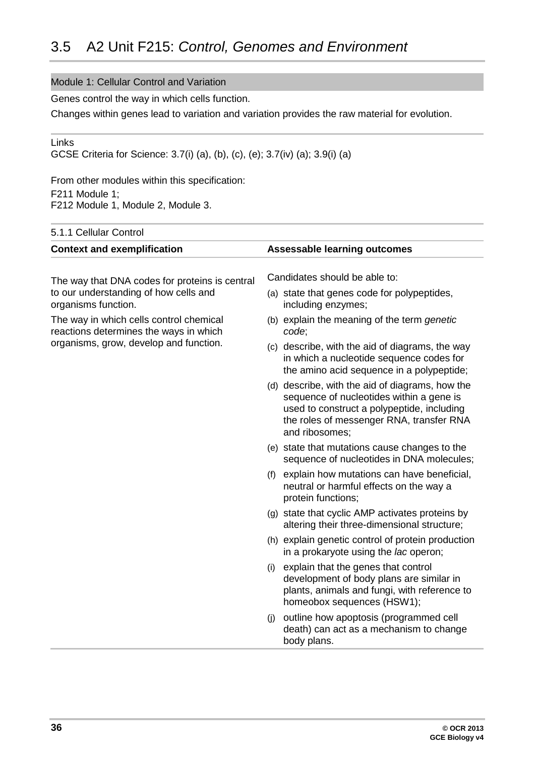#### <span id="page-35-0"></span>Module 1: Cellular Control and Variation

Genes control the way in which cells function.

Changes within genes lead to variation and variation provides the raw material for evolution.

Links

GCSE Criteria for Science: 3.7(i) (a), (b), (c), (e); 3.7(iv) (a); 3.9(i) (a)

From other modules within this specification: F211 Module 1; F212 Module 1, Module 2, Module 3.

| <b>Assessable learning outcomes</b>                                                                                                                                                                     |
|---------------------------------------------------------------------------------------------------------------------------------------------------------------------------------------------------------|
| Candidates should be able to:                                                                                                                                                                           |
|                                                                                                                                                                                                         |
| (a) state that genes code for polypeptides,<br>including enzymes;                                                                                                                                       |
| (b) explain the meaning of the term genetic<br>code;                                                                                                                                                    |
| (c) describe, with the aid of diagrams, the way<br>in which a nucleotide sequence codes for<br>the amino acid sequence in a polypeptide;                                                                |
| (d) describe, with the aid of diagrams, how the<br>sequence of nucleotides within a gene is<br>used to construct a polypeptide, including<br>the roles of messenger RNA, transfer RNA<br>and ribosomes; |
| (e) state that mutations cause changes to the<br>sequence of nucleotides in DNA molecules;                                                                                                              |
| explain how mutations can have beneficial,<br>(f)<br>neutral or harmful effects on the way a<br>protein functions;                                                                                      |
| (g) state that cyclic AMP activates proteins by<br>altering their three-dimensional structure;                                                                                                          |
| (h) explain genetic control of protein production<br>in a prokaryote using the lac operon;                                                                                                              |
| explain that the genes that control<br>(i)<br>development of body plans are similar in<br>plants, animals and fungi, with reference to<br>homeobox sequences (HSW1);                                    |
| outline how apoptosis (programmed cell<br>(i)<br>death) can act as a mechanism to change<br>body plans.                                                                                                 |
|                                                                                                                                                                                                         |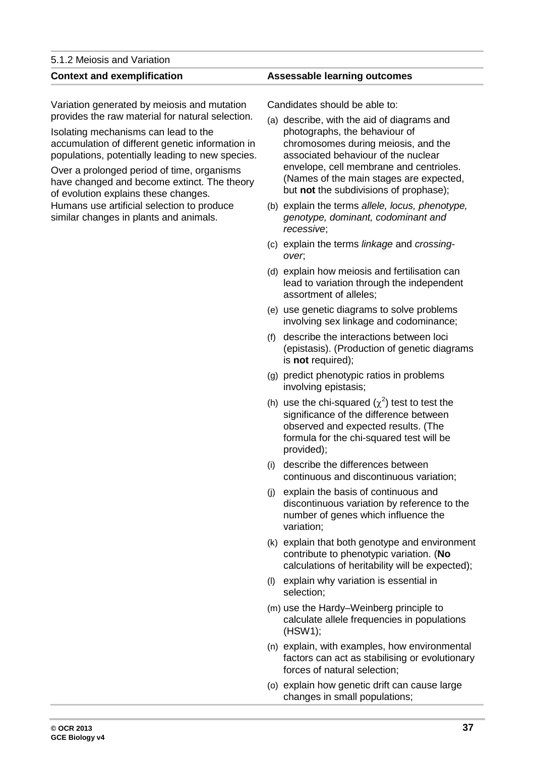#### 5.1.2 Meiosis and Variation

Variation generated by meiosis and mutation provides the raw material for natural selection.

Isolating mechanisms can lead to the accumulation of different genetic information in populations, potentially leading to new species.

Over a prolonged period of time, organisms have changed and become extinct. The theory of evolution explains these changes. Humans use artificial selection to produce similar changes in plants and animals.

#### **Context and exemplification Assessable learning outcomes**

Candidates should be able to:

- (a) describe, with the aid of diagrams and photographs, the behaviour of chromosomes during meiosis, and the associated behaviour of the nuclear envelope, cell membrane and centrioles. (Names of the main stages are expected, but **not** the subdivisions of prophase);
- (b) explain the terms *allele, locus, phenotype, genotype, dominant, codominant and recessive*;
- (c) explain the terms *linkage* and *crossingover*;
- (d) explain how meiosis and fertilisation can lead to variation through the independent assortment of alleles;
- (e) use genetic diagrams to solve problems involving sex linkage and codominance;
- (f) describe the interactions between loci (epistasis). (Production of genetic diagrams is **not** required);
- (g) predict phenotypic ratios in problems involving epistasis;
- (h) use the chi-squared  $(\chi^2)$  test to test the significance of the difference between observed and expected results. (The formula for the chi-squared test will be provided);
- (i) describe the differences between continuous and discontinuous variation;
- (j) explain the basis of continuous and discontinuous variation by reference to the number of genes which influence the variation;
- (k) explain that both genotype and environment contribute to phenotypic variation. (**No**  calculations of heritability will be expected);
- (l) explain why variation is essential in selection;
- (m) use the Hardy–Weinberg principle to calculate allele frequencies in populations (HSW1);
- (n) explain, with examples, how environmental factors can act as stabilising or evolutionary forces of natural selection;
- (o) explain how genetic drift can cause large changes in small populations;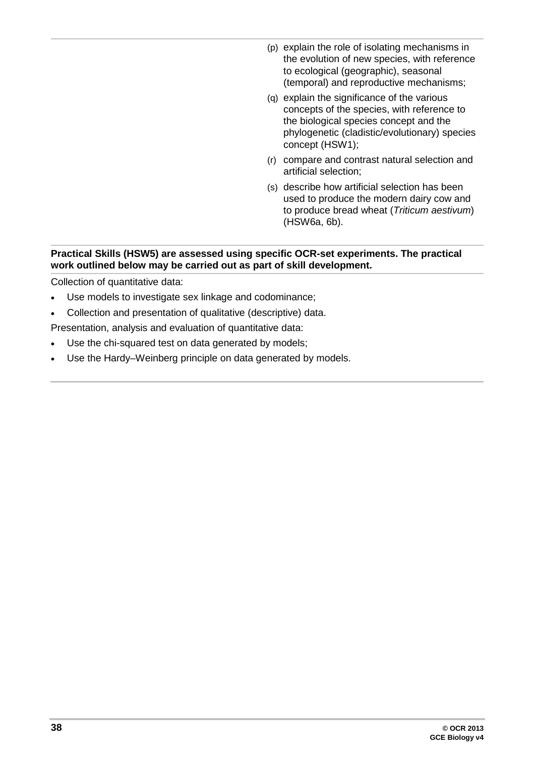- (p) explain the role of isolating mechanisms in the evolution of new species, with reference to ecological (geographic), seasonal (temporal) and reproductive mechanisms;
- (q) explain the significance of the various concepts of the species, with reference to the biological species concept and the phylogenetic (cladistic/evolutionary) species concept (HSW1);
- (r) compare and contrast natural selection and artificial selection;
- (s) describe how artificial selection has been used to produce the modern dairy cow and to produce bread wheat (*Triticum aestivum*) (HSW6a, 6b).

#### **Practical Skills (HSW5) are assessed using specific OCR-set experiments. The practical work outlined below may be carried out as part of skill development.**

Collection of quantitative data:

- Use models to investigate sex linkage and codominance;
- Collection and presentation of qualitative (descriptive) data.

Presentation, analysis and evaluation of quantitative data:

- Use the chi-squared test on data generated by models;
- Use the Hardy–Weinberg principle on data generated by models.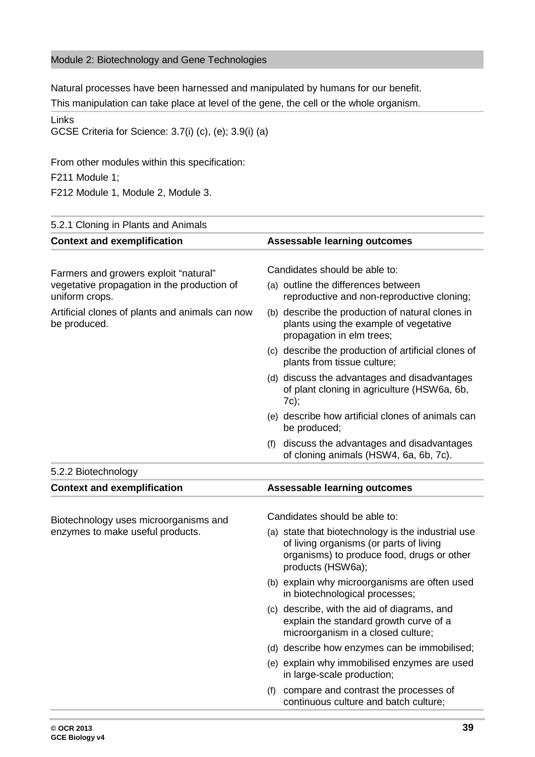#### Module 2: Biotechnology and Gene Technologies

Natural processes have been harnessed and manipulated by humans for our benefit.

This manipulation can take place at level of the gene, the cell or the whole organism.

Links

GCSE Criteria for Science: 3.7(i) (c), (e); 3.9(i) (a)

From other modules within this specification:

F211 Module 1;

F212 Module 1, Module 2, Module 3.

| 5.2.1 Cloning in Plants and Animals                                       |                                                                                                                                                                  |
|---------------------------------------------------------------------------|------------------------------------------------------------------------------------------------------------------------------------------------------------------|
| <b>Context and exemplification</b>                                        | <b>Assessable learning outcomes</b>                                                                                                                              |
| Farmers and growers exploit "natural"                                     | Candidates should be able to:                                                                                                                                    |
| vegetative propagation in the production of<br>uniform crops.             | (a) outline the differences between<br>reproductive and non-reproductive cloning;                                                                                |
| Artificial clones of plants and animals can now<br>be produced.           | (b) describe the production of natural clones in<br>plants using the example of vegetative<br>propagation in elm trees;                                          |
|                                                                           | (c) describe the production of artificial clones of<br>plants from tissue culture;                                                                               |
|                                                                           | (d) discuss the advantages and disadvantages<br>of plant cloning in agriculture (HSW6a, 6b,<br>7c);                                                              |
|                                                                           | (e) describe how artificial clones of animals can<br>be produced;                                                                                                |
|                                                                           | discuss the advantages and disadvantages<br>(f)<br>of cloning animals (HSW4, 6a, 6b, 7c).                                                                        |
| 5.2.2 Biotechnology                                                       |                                                                                                                                                                  |
| <b>Context and exemplification</b>                                        | <b>Assessable learning outcomes</b>                                                                                                                              |
|                                                                           | Candidates should be able to:                                                                                                                                    |
| Biotechnology uses microorganisms and<br>enzymes to make useful products. | (a) state that biotechnology is the industrial use<br>of living organisms (or parts of living<br>organisms) to produce food, drugs or other<br>products (HSW6a); |
|                                                                           | (b) explain why microorganisms are often used<br>in biotechnological processes;                                                                                  |
|                                                                           | (c) describe, with the aid of diagrams, and<br>explain the standard growth curve of a<br>microorganism in a closed culture;                                      |
|                                                                           | (d) describe how enzymes can be immobilised;                                                                                                                     |
|                                                                           | (e) explain why immobilised enzymes are used<br>in large-scale production;                                                                                       |
|                                                                           | compare and contrast the processes of<br>(f)<br>continuous culture and batch culture;                                                                            |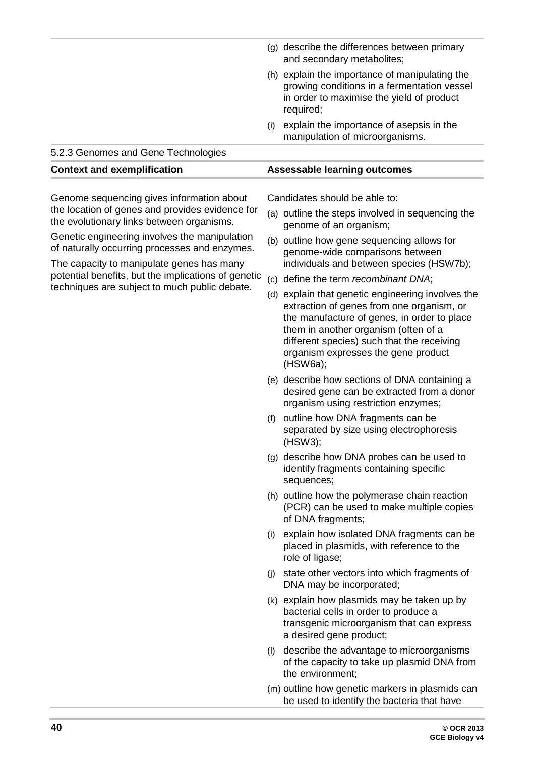|                                                                                                                                             |     | (g) describe the differences between primary<br>and secondary metabolites;                                                                                                                                                                                                             |
|---------------------------------------------------------------------------------------------------------------------------------------------|-----|----------------------------------------------------------------------------------------------------------------------------------------------------------------------------------------------------------------------------------------------------------------------------------------|
|                                                                                                                                             |     | (h) explain the importance of manipulating the<br>growing conditions in a fermentation vessel<br>in order to maximise the yield of product<br>required;                                                                                                                                |
|                                                                                                                                             | (i) | explain the importance of asepsis in the<br>manipulation of microorganisms.                                                                                                                                                                                                            |
| 5.2.3 Genomes and Gene Technologies                                                                                                         |     |                                                                                                                                                                                                                                                                                        |
| <b>Context and exemplification</b>                                                                                                          |     | <b>Assessable learning outcomes</b>                                                                                                                                                                                                                                                    |
| Genome sequencing gives information about                                                                                                   |     | Candidates should be able to:                                                                                                                                                                                                                                                          |
| the location of genes and provides evidence for<br>the evolutionary links between organisms.                                                |     | (a) outline the steps involved in sequencing the<br>genome of an organism;                                                                                                                                                                                                             |
| Genetic engineering involves the manipulation<br>of naturally occurring processes and enzymes.<br>The capacity to manipulate genes has many |     | (b) outline how gene sequencing allows for<br>genome-wide comparisons between<br>individuals and between species (HSW7b);                                                                                                                                                              |
| potential benefits, but the implications of genetic                                                                                         |     | (c) define the term recombinant DNA;                                                                                                                                                                                                                                                   |
| techniques are subject to much public debate.                                                                                               |     | (d) explain that genetic engineering involves the<br>extraction of genes from one organism, or<br>the manufacture of genes, in order to place<br>them in another organism (often of a<br>different species) such that the receiving<br>organism expresses the gene product<br>(HSW6a); |
|                                                                                                                                             |     | (e) describe how sections of DNA containing a<br>desired gene can be extracted from a donor<br>organism using restriction enzymes;                                                                                                                                                     |
|                                                                                                                                             | (f) | outline how DNA fragments can be<br>separated by size using electrophoresis<br>(HSW3);                                                                                                                                                                                                 |
|                                                                                                                                             |     | (g) describe how DNA probes can be used to<br>identify fragments containing specific<br>sequences;                                                                                                                                                                                     |
|                                                                                                                                             |     | (h) outline how the polymerase chain reaction<br>(PCR) can be used to make multiple copies<br>of DNA fragments;                                                                                                                                                                        |
|                                                                                                                                             | (i) | explain how isolated DNA fragments can be<br>placed in plasmids, with reference to the<br>role of ligase;                                                                                                                                                                              |
|                                                                                                                                             | (j) | state other vectors into which fragments of<br>DNA may be incorporated;                                                                                                                                                                                                                |
|                                                                                                                                             |     | (k) explain how plasmids may be taken up by<br>bacterial cells in order to produce a<br>transgenic microorganism that can express<br>a desired gene product;                                                                                                                           |
|                                                                                                                                             | (1) | describe the advantage to microorganisms<br>of the capacity to take up plasmid DNA from<br>the environment;                                                                                                                                                                            |
|                                                                                                                                             |     | (m) outline how genetic markers in plasmids can<br>be used to identify the bacteria that have                                                                                                                                                                                          |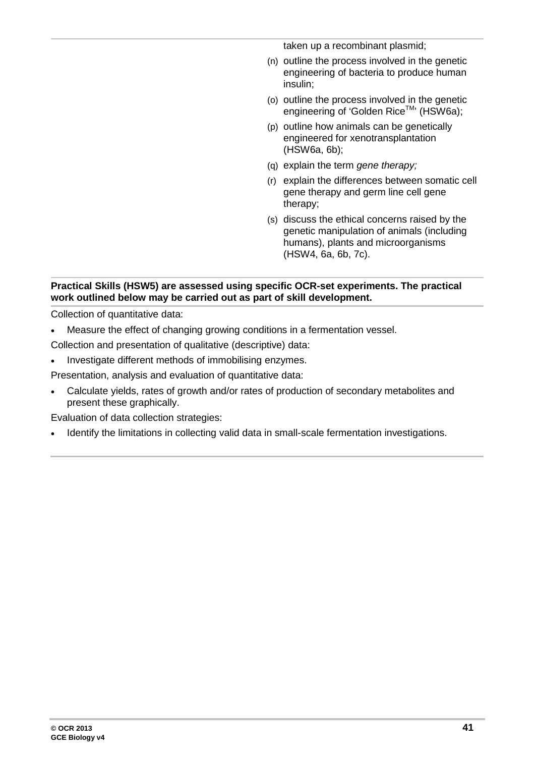taken up a recombinant plasmid;

- (n) outline the process involved in the genetic engineering of bacteria to produce human insulin;
- (o) outline the process involved in the genetic engineering of 'Golden Rice™' (HSW6a);
- (p) outline how animals can be genetically engineered for xenotransplantation (HSW6a, 6b);
- (q) explain the term *gene therapy;*
- (r) explain the differences between somatic cell gene therapy and germ line cell gene therapy;
- (s) discuss the ethical concerns raised by the genetic manipulation of animals (including humans), plants and microorganisms (HSW4, 6a, 6b, 7c).

#### **Practical Skills (HSW5) are assessed using specific OCR-set experiments. The practical work outlined below may be carried out as part of skill development.**

Collection of quantitative data:

- Measure the effect of changing growing conditions in a fermentation vessel.
- Collection and presentation of qualitative (descriptive) data:
- Investigate different methods of immobilising enzymes.

Presentation, analysis and evaluation of quantitative data:

• Calculate yields, rates of growth and/or rates of production of secondary metabolites and present these graphically.

Evaluation of data collection strategies:

• Identify the limitations in collecting valid data in small-scale fermentation investigations.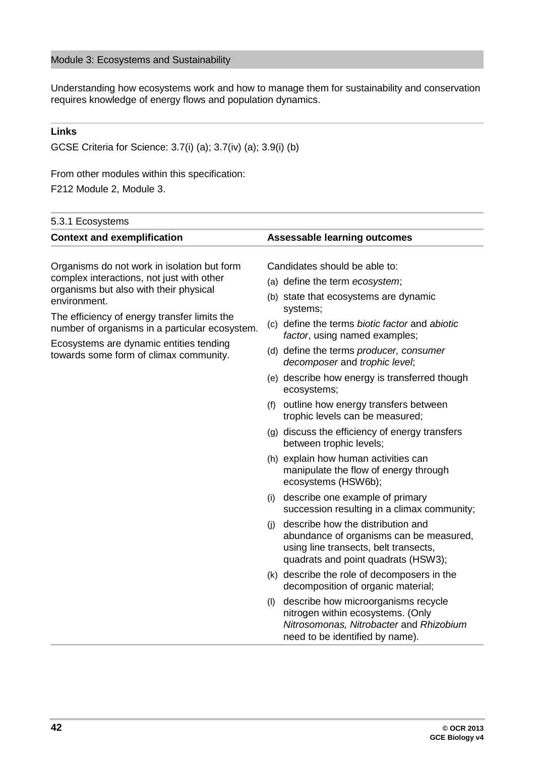#### Module 3: Ecosystems and Sustainability

Understanding how ecosystems work and how to manage them for sustainability and conservation requires knowledge of energy flows and population dynamics.

#### **Links**

GCSE Criteria for Science: 3.7(i) (a); 3.7(iv) (a); 3.9(i) (b)

#### From other modules within this specification:

F212 Module 2, Module 3.

| 5.3.1 Ecosystems |                                                                                                                                                                                                                                                                                                                                           |                                                                                                                                                                                                                                                                                                                                                                                                                                                                                                                                                                                                                                                                                                                                                                                                                                                                                                                                        |
|------------------|-------------------------------------------------------------------------------------------------------------------------------------------------------------------------------------------------------------------------------------------------------------------------------------------------------------------------------------------|----------------------------------------------------------------------------------------------------------------------------------------------------------------------------------------------------------------------------------------------------------------------------------------------------------------------------------------------------------------------------------------------------------------------------------------------------------------------------------------------------------------------------------------------------------------------------------------------------------------------------------------------------------------------------------------------------------------------------------------------------------------------------------------------------------------------------------------------------------------------------------------------------------------------------------------|
|                  | <b>Context and exemplification</b>                                                                                                                                                                                                                                                                                                        | <b>Assessable learning outcomes</b>                                                                                                                                                                                                                                                                                                                                                                                                                                                                                                                                                                                                                                                                                                                                                                                                                                                                                                    |
|                  | Organisms do not work in isolation but form<br>complex interactions, not just with other<br>organisms but also with their physical<br>environment.<br>The efficiency of energy transfer limits the<br>number of organisms in a particular ecosystem.<br>Ecosystems are dynamic entities tending<br>towards some form of climax community. | Candidates should be able to:<br>(a) define the term ecosystem;<br>(b) state that ecosystems are dynamic<br>systems;<br>(c) define the terms biotic factor and abiotic<br>factor, using named examples;<br>(d) define the terms producer, consumer<br>decomposer and trophic level;<br>(e) describe how energy is transferred though<br>ecosystems;<br>(f) outline how energy transfers between<br>trophic levels can be measured;<br>(g) discuss the efficiency of energy transfers<br>between trophic levels;<br>(h) explain how human activities can<br>manipulate the flow of energy through<br>ecosystems (HSW6b);<br>describe one example of primary<br>(i)<br>succession resulting in a climax community;<br>describe how the distribution and<br>(i)<br>abundance of organisms can be measured,<br>using line transects, belt transects,<br>quadrats and point quadrats (HSW3);<br>(k) describe the role of decomposers in the |
|                  |                                                                                                                                                                                                                                                                                                                                           | decomposition of organic material;                                                                                                                                                                                                                                                                                                                                                                                                                                                                                                                                                                                                                                                                                                                                                                                                                                                                                                     |
|                  |                                                                                                                                                                                                                                                                                                                                           |                                                                                                                                                                                                                                                                                                                                                                                                                                                                                                                                                                                                                                                                                                                                                                                                                                                                                                                                        |
|                  |                                                                                                                                                                                                                                                                                                                                           |                                                                                                                                                                                                                                                                                                                                                                                                                                                                                                                                                                                                                                                                                                                                                                                                                                                                                                                                        |
|                  |                                                                                                                                                                                                                                                                                                                                           |                                                                                                                                                                                                                                                                                                                                                                                                                                                                                                                                                                                                                                                                                                                                                                                                                                                                                                                                        |
|                  |                                                                                                                                                                                                                                                                                                                                           |                                                                                                                                                                                                                                                                                                                                                                                                                                                                                                                                                                                                                                                                                                                                                                                                                                                                                                                                        |
|                  |                                                                                                                                                                                                                                                                                                                                           |                                                                                                                                                                                                                                                                                                                                                                                                                                                                                                                                                                                                                                                                                                                                                                                                                                                                                                                                        |
|                  |                                                                                                                                                                                                                                                                                                                                           |                                                                                                                                                                                                                                                                                                                                                                                                                                                                                                                                                                                                                                                                                                                                                                                                                                                                                                                                        |
|                  |                                                                                                                                                                                                                                                                                                                                           |                                                                                                                                                                                                                                                                                                                                                                                                                                                                                                                                                                                                                                                                                                                                                                                                                                                                                                                                        |
|                  |                                                                                                                                                                                                                                                                                                                                           |                                                                                                                                                                                                                                                                                                                                                                                                                                                                                                                                                                                                                                                                                                                                                                                                                                                                                                                                        |
|                  |                                                                                                                                                                                                                                                                                                                                           |                                                                                                                                                                                                                                                                                                                                                                                                                                                                                                                                                                                                                                                                                                                                                                                                                                                                                                                                        |
|                  |                                                                                                                                                                                                                                                                                                                                           |                                                                                                                                                                                                                                                                                                                                                                                                                                                                                                                                                                                                                                                                                                                                                                                                                                                                                                                                        |
|                  |                                                                                                                                                                                                                                                                                                                                           |                                                                                                                                                                                                                                                                                                                                                                                                                                                                                                                                                                                                                                                                                                                                                                                                                                                                                                                                        |
|                  |                                                                                                                                                                                                                                                                                                                                           |                                                                                                                                                                                                                                                                                                                                                                                                                                                                                                                                                                                                                                                                                                                                                                                                                                                                                                                                        |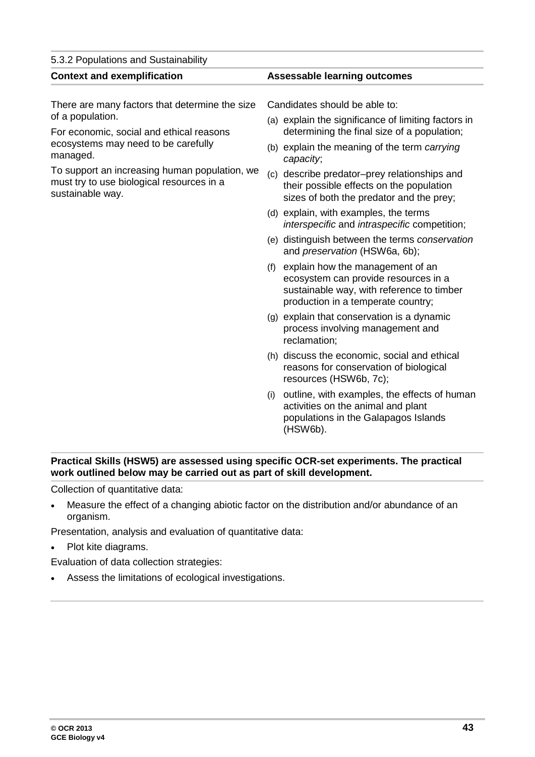| 5.3.2 Populations and Sustainability                                                                                                                                                                                                                                                |                                                                                                                                                                                                                                                                                                                                                                                                                                                                                                                                                                                                                                                                                                                                                                                                                                                                                                                                                                                                                                                                              |  |
|-------------------------------------------------------------------------------------------------------------------------------------------------------------------------------------------------------------------------------------------------------------------------------------|------------------------------------------------------------------------------------------------------------------------------------------------------------------------------------------------------------------------------------------------------------------------------------------------------------------------------------------------------------------------------------------------------------------------------------------------------------------------------------------------------------------------------------------------------------------------------------------------------------------------------------------------------------------------------------------------------------------------------------------------------------------------------------------------------------------------------------------------------------------------------------------------------------------------------------------------------------------------------------------------------------------------------------------------------------------------------|--|
| <b>Context and exemplification</b>                                                                                                                                                                                                                                                  | <b>Assessable learning outcomes</b>                                                                                                                                                                                                                                                                                                                                                                                                                                                                                                                                                                                                                                                                                                                                                                                                                                                                                                                                                                                                                                          |  |
| There are many factors that determine the size<br>of a population.<br>For economic, social and ethical reasons<br>ecosystems may need to be carefully<br>managed.<br>To support an increasing human population, we<br>must try to use biological resources in a<br>sustainable way. | Candidates should be able to:<br>(a) explain the significance of limiting factors in<br>determining the final size of a population;<br>(b) explain the meaning of the term carrying<br>capacity;<br>(c) describe predator-prey relationships and<br>their possible effects on the population<br>sizes of both the predator and the prey;<br>(d) explain, with examples, the terms<br><i>interspecific</i> and <i>intraspecific</i> competition;<br>(e) distinguish between the terms conservation<br>and preservation (HSW6a, 6b);<br>(f) explain how the management of an<br>ecosystem can provide resources in a<br>sustainable way, with reference to timber<br>production in a temperate country;<br>(g) explain that conservation is a dynamic<br>process involving management and<br>reclamation;<br>(h) discuss the economic, social and ethical<br>reasons for conservation of biological<br>resources (HSW6b, 7c);<br>outline, with examples, the effects of human<br>(i)<br>activities on the animal and plant<br>populations in the Galapagos Islands<br>(HSW6b). |  |

#### **Practical Skills (HSW5) are assessed using specific OCR-set experiments. The practical work outlined below may be carried out as part of skill development.**

Collection of quantitative data:

• Measure the effect of a changing abiotic factor on the distribution and/or abundance of an organism.

Presentation, analysis and evaluation of quantitative data:

• Plot kite diagrams.

Evaluation of data collection strategies:

• Assess the limitations of ecological investigations.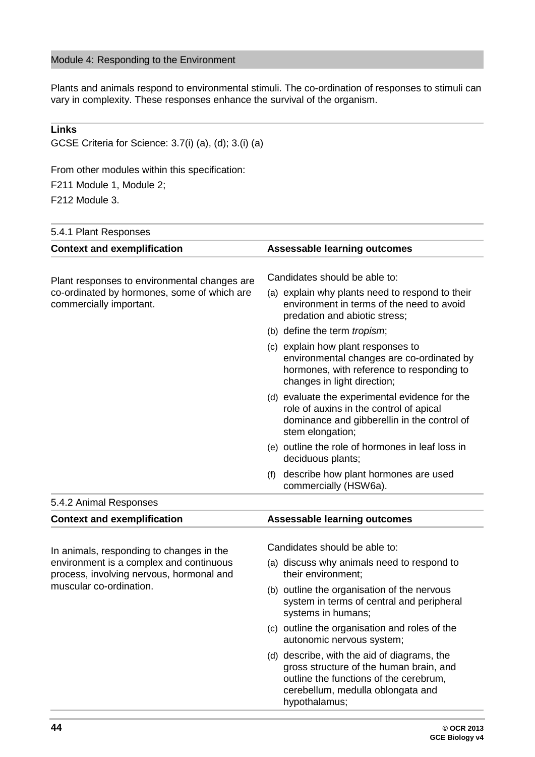#### Module 4: Responding to the Environment

Plants and animals respond to environmental stimuli. The co-ordination of responses to stimuli can vary in complexity. These responses enhance the survival of the organism.

#### **Links**

GCSE Criteria for Science: 3.7(i) (a), (d); 3.(i) (a)

From other modules within this specification:

F211 Module 1, Module 2;

F212 Module 3.

| 5.4.1 Plant Responses                                                                                          |                                                                                                                                                                                        |
|----------------------------------------------------------------------------------------------------------------|----------------------------------------------------------------------------------------------------------------------------------------------------------------------------------------|
| <b>Context and exemplification</b>                                                                             | <b>Assessable learning outcomes</b>                                                                                                                                                    |
| Plant responses to environmental changes are                                                                   | Candidates should be able to:                                                                                                                                                          |
| co-ordinated by hormones, some of which are<br>commercially important.                                         | (a) explain why plants need to respond to their<br>environment in terms of the need to avoid<br>predation and abiotic stress;                                                          |
|                                                                                                                | (b) define the term <i>tropism</i> ;                                                                                                                                                   |
|                                                                                                                | (c) explain how plant responses to<br>environmental changes are co-ordinated by<br>hormones, with reference to responding to<br>changes in light direction;                            |
|                                                                                                                | (d) evaluate the experimental evidence for the<br>role of auxins in the control of apical<br>dominance and gibberellin in the control of<br>stem elongation;                           |
|                                                                                                                | (e) outline the role of hormones in leaf loss in<br>deciduous plants;                                                                                                                  |
|                                                                                                                | (f) describe how plant hormones are used<br>commercially (HSW6a).                                                                                                                      |
| 5.4.2 Animal Responses                                                                                         |                                                                                                                                                                                        |
| <b>Context and exemplification</b>                                                                             | <b>Assessable learning outcomes</b>                                                                                                                                                    |
| In animals, responding to changes in the                                                                       | Candidates should be able to:                                                                                                                                                          |
| environment is a complex and continuous<br>process, involving nervous, hormonal and<br>muscular co-ordination. | (a) discuss why animals need to respond to<br>their environment;                                                                                                                       |
|                                                                                                                | (b) outline the organisation of the nervous<br>system in terms of central and peripheral<br>systems in humans;                                                                         |
|                                                                                                                | (c) outline the organisation and roles of the<br>autonomic nervous system;                                                                                                             |
|                                                                                                                | (d) describe, with the aid of diagrams, the<br>gross structure of the human brain, and<br>outline the functions of the cerebrum,<br>cerebellum, medulla oblongata and<br>hypothalamus; |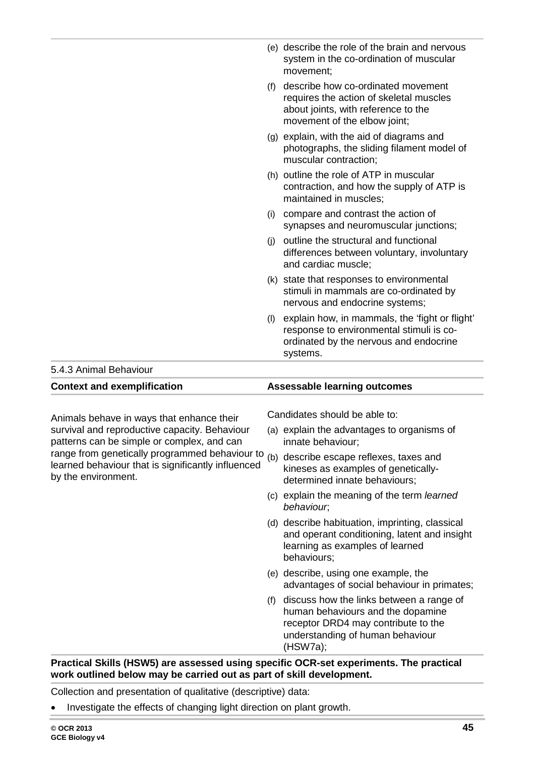|                                                                                                                                                    |     | (e) describe the role of the brain and nervous<br>system in the co-ordination of muscular<br>movement;                                               |
|----------------------------------------------------------------------------------------------------------------------------------------------------|-----|------------------------------------------------------------------------------------------------------------------------------------------------------|
|                                                                                                                                                    | (f) | describe how co-ordinated movement<br>requires the action of skeletal muscles<br>about joints, with reference to the<br>movement of the elbow joint; |
|                                                                                                                                                    |     | (g) explain, with the aid of diagrams and<br>photographs, the sliding filament model of<br>muscular contraction;                                     |
|                                                                                                                                                    |     | (h) outline the role of ATP in muscular<br>contraction, and how the supply of ATP is<br>maintained in muscles;                                       |
|                                                                                                                                                    |     | (i) compare and contrast the action of<br>synapses and neuromuscular junctions;                                                                      |
|                                                                                                                                                    | (i) | outline the structural and functional<br>differences between voluntary, involuntary<br>and cardiac muscle;                                           |
|                                                                                                                                                    |     | (k) state that responses to environmental<br>stimuli in mammals are co-ordinated by<br>nervous and endocrine systems;                                |
|                                                                                                                                                    | (1) | explain how, in mammals, the 'fight or flight'<br>response to environmental stimuli is co-<br>ordinated by the nervous and endocrine<br>systems.     |
| 5.4.3 Animal Behaviour                                                                                                                             |     |                                                                                                                                                      |
| <b>Context and exemplification</b>                                                                                                                 |     | <b>Assessable learning outcomes</b>                                                                                                                  |
| Animals behave in ways that enhance their<br>survival and reproductive capacity. Behaviour                                                         |     | Candidates should be able to:<br>(a) explain the advantages to organisms of                                                                          |
| patterns can be simple or complex, and can<br>range from genetically programmed behaviour to<br>learned behaviour that is significantly influenced |     | innate behaviour;<br>(b) describe escape reflexes, taxes and<br>kingses as examples of genetically.                                                  |

(b) describe escape reflexes, taxes and kineses as examples of geneticallydetermined innate behaviours;

- (c) explain the meaning of the term *learned behaviour*;
- (d) describe habituation, imprinting, classical and operant conditioning, latent and insight learning as examples of learned behaviours;
- (e) describe, using one example, the advantages of social behaviour in primates;
- (f) discuss how the links between a range of human behaviours and the dopamine receptor DRD4 may contribute to the understanding of human behaviour (HSW7a);

#### **Practical Skills (HSW5) are assessed using specific OCR-set experiments. The practical work outlined below may be carried out as part of skill development.**

Collection and presentation of qualitative (descriptive) data:

• Investigate the effects of changing light direction on plant growth.

by the environment.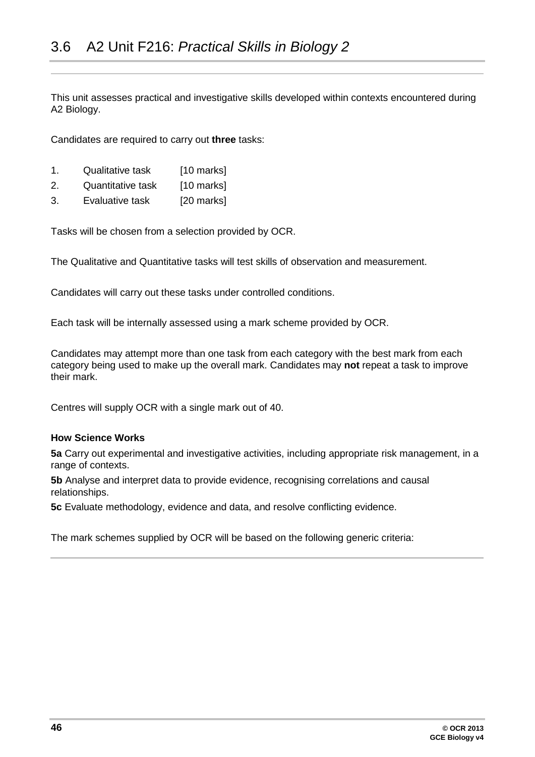<span id="page-45-0"></span>This unit assesses practical and investigative skills developed within contexts encountered during A2 Biology.

Candidates are required to carry out **three** tasks:

- 1. Qualitative task [10 marks]
- 2. Quantitative task [10 marks]
- 3. Evaluative task [20 marks]

Tasks will be chosen from a selection provided by OCR.

The Qualitative and Quantitative tasks will test skills of observation and measurement.

Candidates will carry out these tasks under controlled conditions.

Each task will be internally assessed using a mark scheme provided by OCR.

Candidates may attempt more than one task from each category with the best mark from each category being used to make up the overall mark. Candidates may **not** repeat a task to improve their mark.

Centres will supply OCR with a single mark out of 40.

#### **How Science Works**

**5a** Carry out experimental and investigative activities, including appropriate risk management, in a range of contexts.

**5b** Analyse and interpret data to provide evidence, recognising correlations and causal relationships.

**5c** Evaluate methodology, evidence and data, and resolve conflicting evidence.

The mark schemes supplied by OCR will be based on the following generic criteria: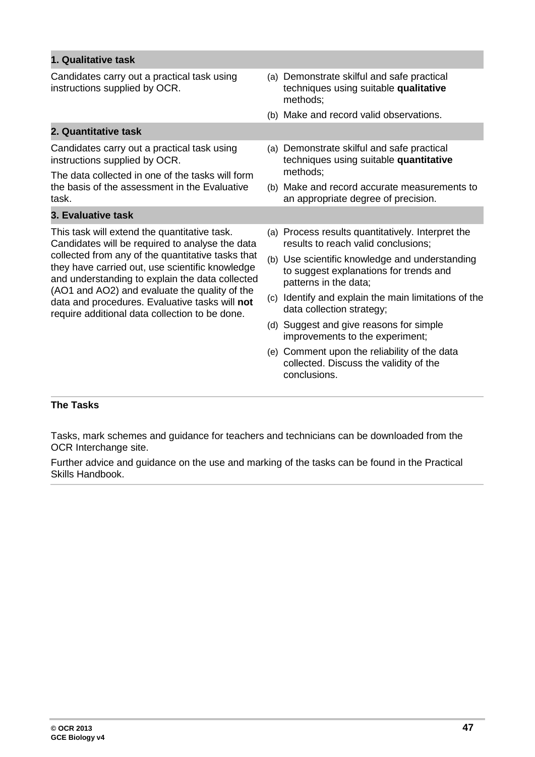| 1. Qualitative task                                                                                                                                                                                      |                                                                                                                   |
|----------------------------------------------------------------------------------------------------------------------------------------------------------------------------------------------------------|-------------------------------------------------------------------------------------------------------------------|
| Candidates carry out a practical task using<br>instructions supplied by OCR.                                                                                                                             | (a) Demonstrate skilful and safe practical<br>techniques using suitable qualitative<br>methods;                   |
|                                                                                                                                                                                                          | (b) Make and record valid observations.                                                                           |
| 2. Quantitative task                                                                                                                                                                                     |                                                                                                                   |
| Candidates carry out a practical task using<br>instructions supplied by OCR.                                                                                                                             | (a) Demonstrate skilful and safe practical<br>techniques using suitable quantitative                              |
| The data collected in one of the tasks will form                                                                                                                                                         | methods:                                                                                                          |
| the basis of the assessment in the Evaluative<br>task.                                                                                                                                                   | (b) Make and record accurate measurements to<br>an appropriate degree of precision.                               |
| 3. Evaluative task                                                                                                                                                                                       |                                                                                                                   |
| This task will extend the quantitative task.<br>Candidates will be required to analyse the data                                                                                                          | (a) Process results quantitatively. Interpret the<br>results to reach valid conclusions;                          |
| collected from any of the quantitative tasks that<br>they have carried out, use scientific knowledge<br>and understanding to explain the data collected<br>(AO1 and AO2) and evaluate the quality of the | (b) Use scientific knowledge and understanding<br>to suggest explanations for trends and<br>patterns in the data; |
| data and procedures. Evaluative tasks will not<br>require additional data collection to be done.                                                                                                         | (c) Identify and explain the main limitations of the<br>data collection strategy;                                 |
|                                                                                                                                                                                                          | (d) Suggest and give reasons for simple<br>improvements to the experiment;                                        |
|                                                                                                                                                                                                          | (e) Comment upon the reliability of the data<br>collected. Discuss the validity of the<br>conclusions.            |

#### **The Tasks**

Tasks, mark schemes and guidance for teachers and technicians can be downloaded from the OCR Interchange site.

Further advice and guidance on the use and marking of the tasks can be found in the Practical Skills Handbook.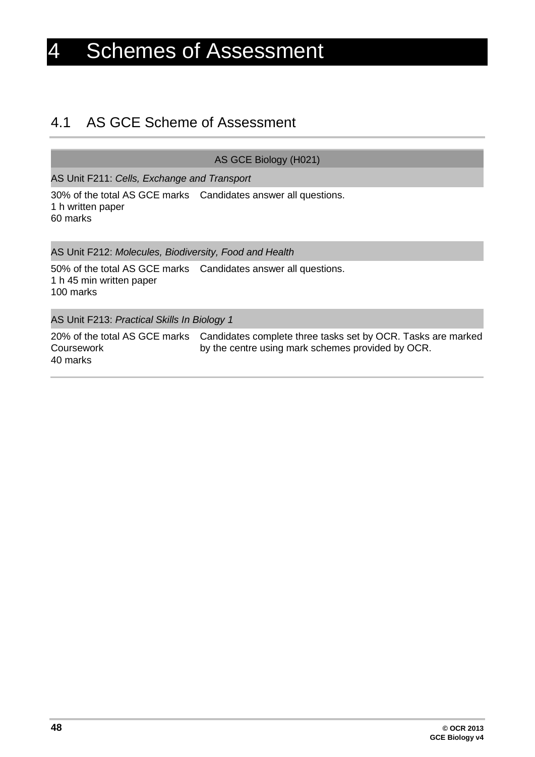# <span id="page-47-0"></span>4 Schemes of Assessment

### <span id="page-47-1"></span>4.1 AS GCE Scheme of Assessment

AS GCE Biology (H021)

AS Unit F211: *Cells, Exchange and Transport*

30% of the total AS GCE marks Candidates answer all questions. 1 h written paper 60 marks

AS Unit F212: *Molecules, Biodiversity, Food and Health*

50% of the total AS GCE marks Candidates answer all questions. 1 h 45 min written paper 100 marks

AS Unit F213: *Practical Skills In Biology 1*

20% of the total AS GCE marks Candidates complete three tasks set by OCR. Tasks are marked **Coursework** 40 marks by the centre using mark schemes provided by OCR.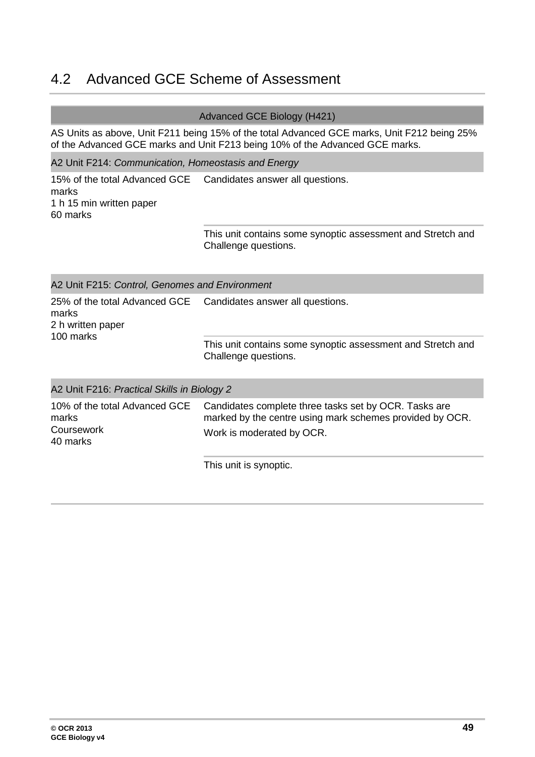# <span id="page-48-0"></span>4.2 Advanced GCE Scheme of Assessment

#### Advanced GCE Biology (H421)

AS Units as above, Unit F211 being 15% of the total Advanced GCE marks, Unit F212 being 25% of the Advanced GCE marks and Unit F213 being 10% of the Advanced GCE marks.

A2 Unit F214: *Communication, Homeostasis and Energy*

15% of the total Advanced GCE Candidates answer all questions. marks 1 h 15 min written paper 60 marks

This unit contains some synoptic assessment and Stretch and Challenge questions.

| A2 Unit F215: Control, Genomes and Environment                           |                                                                                                                   |  |  |  |  |  |
|--------------------------------------------------------------------------|-------------------------------------------------------------------------------------------------------------------|--|--|--|--|--|
| 25% of the total Advanced GCE<br>marks<br>2 h written paper<br>100 marks | Candidates answer all questions.                                                                                  |  |  |  |  |  |
|                                                                          | This unit contains some synoptic assessment and Stretch and<br>Challenge questions.                               |  |  |  |  |  |
| A2 Unit F216: Practical Skills in Biology 2                              |                                                                                                                   |  |  |  |  |  |
| 10% of the total Advanced GCE<br>marks                                   | Candidates complete three tasks set by OCR. Tasks are<br>marked by the centre using mark schemes provided by OCR. |  |  |  |  |  |
| Coursework<br>40 marks                                                   | Work is moderated by OCR.                                                                                         |  |  |  |  |  |

This unit is synoptic.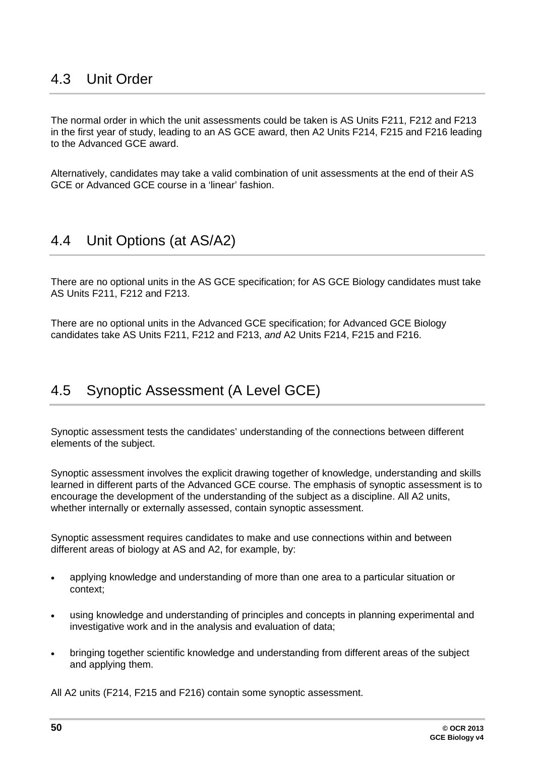<span id="page-49-0"></span>The normal order in which the unit assessments could be taken is AS Units F211, F212 and F213 in the first year of study, leading to an AS GCE award, then A2 Units F214, F215 and F216 leading to the Advanced GCE award.

Alternatively, candidates may take a valid combination of unit assessments at the end of their AS GCE or Advanced GCE course in a 'linear' fashion.

# <span id="page-49-1"></span>4.4 Unit Options (at AS/A2)

There are no optional units in the AS GCE specification; for AS GCE Biology candidates must take AS Units F211, F212 and F213.

<span id="page-49-2"></span>There are no optional units in the Advanced GCE specification; for Advanced GCE Biology candidates take AS Units F211, F212 and F213, *and* A2 Units F214, F215 and F216.

# 4.5 Synoptic Assessment (A Level GCE)

Synoptic assessment tests the candidates' understanding of the connections between different elements of the subject.

Synoptic assessment involves the explicit drawing together of knowledge, understanding and skills learned in different parts of the Advanced GCE course. The emphasis of synoptic assessment is to encourage the development of the understanding of the subject as a discipline. All A2 units, whether internally or externally assessed, contain synoptic assessment.

Synoptic assessment requires candidates to make and use connections within and between different areas of biology at AS and A2, for example, by:

- applying knowledge and understanding of more than one area to a particular situation or context;
- using knowledge and understanding of principles and concepts in planning experimental and investigative work and in the analysis and evaluation of data;
- bringing together scientific knowledge and understanding from different areas of the subject and applying them.

All A2 units (F214, F215 and F216) contain some synoptic assessment.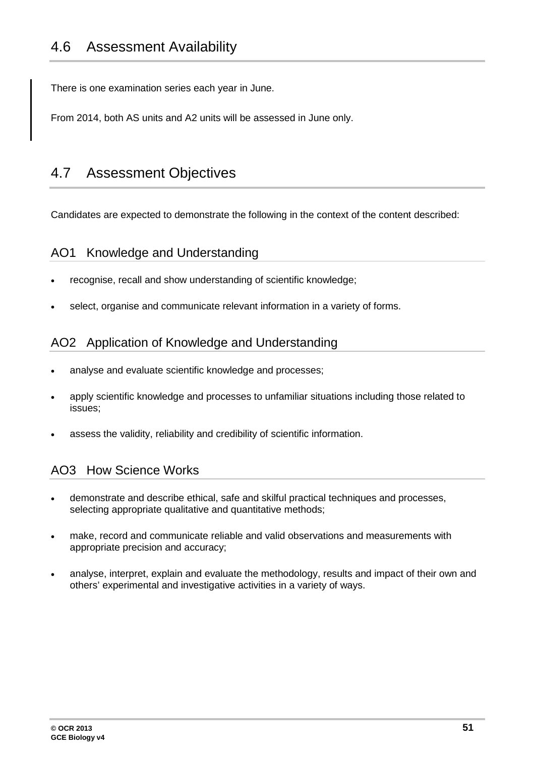<span id="page-50-0"></span>There is one examination series each year in June.

<span id="page-50-1"></span>From 2014, both AS units and A2 units will be assessed in June only.

# 4.7 Assessment Objectives

Candidates are expected to demonstrate the following in the context of the content described:

### AO1 Knowledge and Understanding

- recognise, recall and show understanding of scientific knowledge;
- select, organise and communicate relevant information in a variety of forms.

### AO2 Application of Knowledge and Understanding

- analyse and evaluate scientific knowledge and processes;
- apply scientific knowledge and processes to unfamiliar situations including those related to issues;
- assess the validity, reliability and credibility of scientific information.

### AO3 How Science Works

- demonstrate and describe ethical, safe and skilful practical techniques and processes, selecting appropriate qualitative and quantitative methods;
- make, record and communicate reliable and valid observations and measurements with appropriate precision and accuracy;
- analyse, interpret, explain and evaluate the methodology, results and impact of their own and others' experimental and investigative activities in a variety of ways.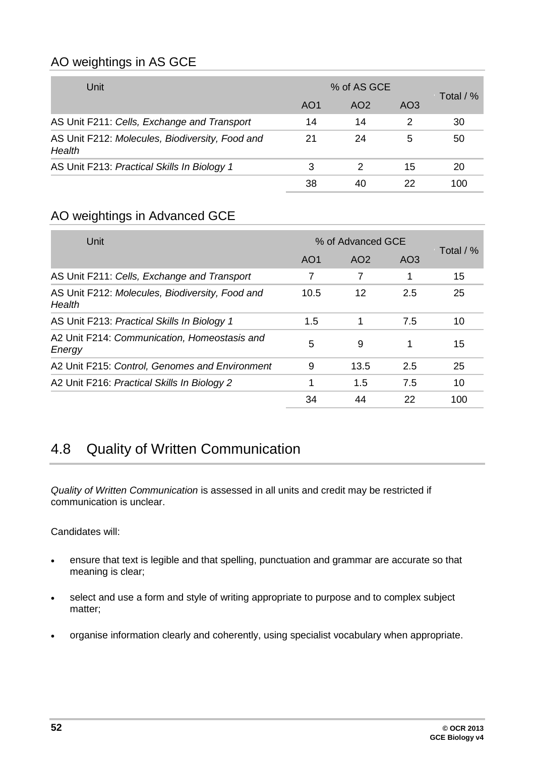### AO weightings in AS GCE

| Unit                                                      | % of AS GCE     |                 |                 |             |
|-----------------------------------------------------------|-----------------|-----------------|-----------------|-------------|
|                                                           | AO <sub>1</sub> | AO <sub>2</sub> | AO <sub>3</sub> | Total $/$ % |
| AS Unit F211: Cells, Exchange and Transport               | 14              | 14              | 2               | 30          |
| AS Unit F212: Molecules, Biodiversity, Food and<br>Health | 21              | 24              | 5               | 50          |
| AS Unit F213: Practical Skills In Biology 1               | 3               | 2               | 15              | 20          |
|                                                           | 38              | 40              | 22              | 100         |

### AO weightings in Advanced GCE

| Unit                                                      | % of Advanced GCE |      |                 |             |
|-----------------------------------------------------------|-------------------|------|-----------------|-------------|
|                                                           | AO <sub>1</sub>   | AO2  | AO <sub>3</sub> | Total $/$ % |
| AS Unit F211: Cells, Exchange and Transport               | 7                 | 7    | 1               | 15          |
| AS Unit F212: Molecules, Biodiversity, Food and<br>Health | 10.5              | 12   | 2.5             | 25          |
| AS Unit F213: Practical Skills In Biology 1               | 1.5               | 1    | 7.5             | 10          |
| A2 Unit F214: Communication, Homeostasis and<br>Energy    | 5                 | 9    |                 | 15          |
| A2 Unit F215: Control, Genomes and Environment            | 9                 | 13.5 | 2.5             | 25          |
| A2 Unit F216: Practical Skills In Biology 2               |                   | 1.5  | 7.5             | 10          |
|                                                           | 34                | 44   | 22              | 100         |

# <span id="page-51-0"></span>4.8 Quality of Written Communication

*Quality of Written Communication* is assessed in all units and credit may be restricted if communication is unclear.

Candidates will:

- ensure that text is legible and that spelling, punctuation and grammar are accurate so that meaning is clear;
- select and use a form and style of writing appropriate to purpose and to complex subject matter;
- organise information clearly and coherently, using specialist vocabulary when appropriate.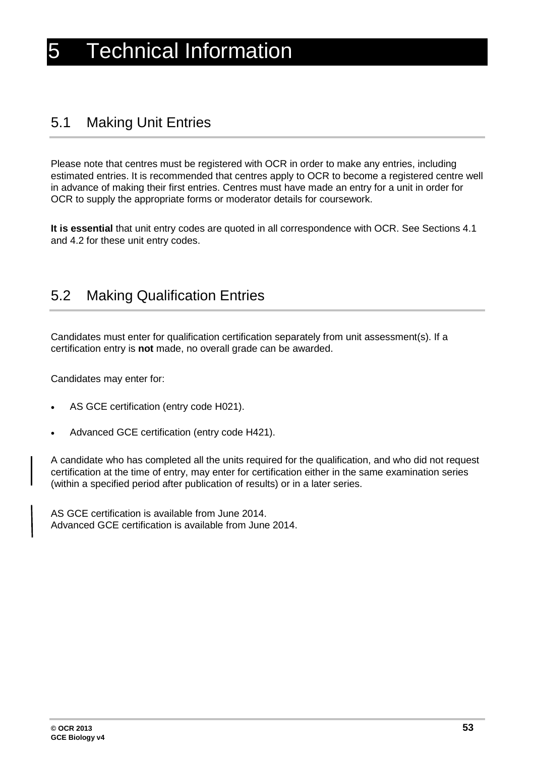# <span id="page-52-1"></span><span id="page-52-0"></span>5.1 Making Unit Entries

Please note that centres must be registered with OCR in order to make any entries, including estimated entries. It is recommended that centres apply to OCR to become a registered centre well in advance of making their first entries. Centres must have made an entry for a unit in order for OCR to supply the appropriate forms or moderator details for coursework.

**It is essential** that unit entry codes are quoted in all correspondence with OCR. See Sections 4.1 and 4.2 for these unit entry codes.

# <span id="page-52-2"></span>5.2 Making Qualification Entries

Candidates must enter for qualification certification separately from unit assessment(s). If a certification entry is **not** made, no overall grade can be awarded.

Candidates may enter for:

- AS GCE certification (entry code H021).
- Advanced GCE certification (entry code H421).

A candidate who has completed all the units required for the qualification, and who did not request certification at the time of entry, may enter for certification either in the same examination series (within a specified period after publication of results) or in a later series.

AS GCE certification is available from June 2014. Advanced GCE certification is available from June 2014.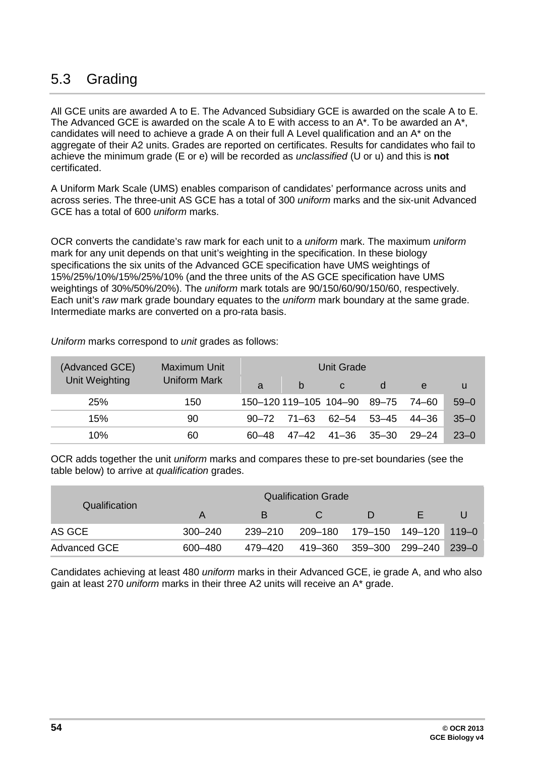# <span id="page-53-0"></span>5.3 Grading

All GCE units are awarded A to E. The Advanced Subsidiary GCE is awarded on the scale A to E. The Advanced GCE is awarded on the scale A to E with access to an A\*. To be awarded an A\*, candidates will need to achieve a grade A on their full A Level qualification and an A\* on the aggregate of their A2 units. Grades are reported on certificates. Results for candidates who fail to achieve the minimum grade (E or e) will be recorded as *unclassified* (U or u) and this is **not** certificated.

A Uniform Mark Scale (UMS) enables comparison of candidates' performance across units and across series. The three-unit AS GCE has a total of 300 *uniform* marks and the six-unit Advanced GCE has a total of 600 *uniform* marks.

OCR converts the candidate's raw mark for each unit to a *uniform* mark. The maximum *uniform* mark for any unit depends on that unit's weighting in the specification. In these biology specifications the six units of the Advanced GCE specification have UMS weightings of 15%/25%/10%/15%/25%/10% (and the three units of the AS GCE specification have UMS weightings of 30%/50%/20%). The *uniform* mark totals are 90/150/60/90/150/60, respectively. Each unit's *raw* mark grade boundary equates to the *uniform* mark boundary at the same grade. Intermediate marks are converted on a pro-rata basis.

| (Advanced GCE) | Maximum Unit | Unit Grade |                        |             |       |       |          |  |
|----------------|--------------|------------|------------------------|-------------|-------|-------|----------|--|
| Unit Weighting | Uniform Mark | a          | b                      | C           | d     | e     | u        |  |
| 25%            | 150          |            | 150-120 119-105 104-90 |             | 89–75 | 74–60 | $59 - 0$ |  |
| 15%            | 90           |            | $90 - 72$ 71-63        | 62–54       | 53–45 | 44–36 | $35 - 0$ |  |
| 10%            | 60           | 60–48      |                        | 47-42 41-36 | 35–30 | 29–24 | $23 - 0$ |  |

*Uniform* marks correspond to *unit* grades as follows:

OCR adds together the unit *uniform* marks and compares these to pre-set boundaries (see the table below) to arrive at *qualification* grades.

|                     | <b>Qualification Grade</b> |         |  |                                  |  |  |  |  |
|---------------------|----------------------------|---------|--|----------------------------------|--|--|--|--|
| Qualification       | A                          | В       |  | D                                |  |  |  |  |
| AS GCE              | $300 - 240$                | 239-210 |  | 209-180  179-150  149-120  119-0 |  |  |  |  |
| <b>Advanced GCE</b> | 600–480                    | 479–420 |  | 419-360 359-300 299-240 239-0    |  |  |  |  |

Candidates achieving at least 480 *uniform* marks in their Advanced GCE, ie grade A, and who also gain at least 270 *uniform* marks in their three A2 units will receive an A\* grade.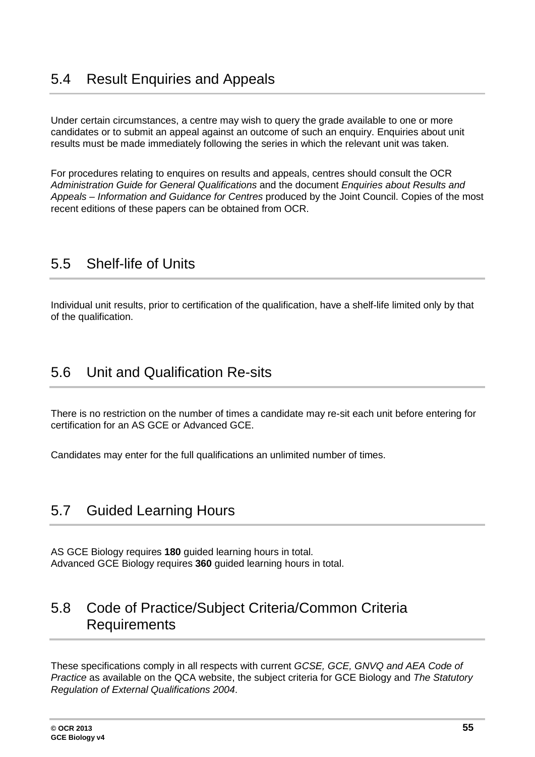<span id="page-54-0"></span>Under certain circumstances, a centre may wish to query the grade available to one or more candidates or to submit an appeal against an outcome of such an enquiry. Enquiries about unit results must be made immediately following the series in which the relevant unit was taken.

For procedures relating to enquires on results and appeals, centres should consult the OCR *Administration Guide for General Qualifications* and the document *Enquiries about Results and Appeals – Information and Guidance for Centres* produced by the Joint Council. Copies of the most recent editions of these papers can be obtained from OCR.

# <span id="page-54-1"></span>5.5 Shelf-life of Units

<span id="page-54-2"></span>Individual unit results, prior to certification of the qualification, have a shelf-life limited only by that of the qualification.

## 5.6 Unit and Qualification Re-sits

There is no restriction on the number of times a candidate may re-sit each unit before entering for certification for an AS GCE or Advanced GCE.

<span id="page-54-3"></span>Candidates may enter for the full qualifications an unlimited number of times.

# 5.7 Guided Learning Hours

AS GCE Biology requires **180** guided learning hours in total. Advanced GCE Biology requires **360** guided learning hours in total.

## <span id="page-54-4"></span>5.8 Code of Practice/Subject Criteria/Common Criteria **Requirements**

These specifications comply in all respects with current *GCSE, GCE, GNVQ and AEA Code of Practice* as available on the QCA website, the subject criteria for GCE Biology and *The Statutory Regulation of External Qualifications 2004*.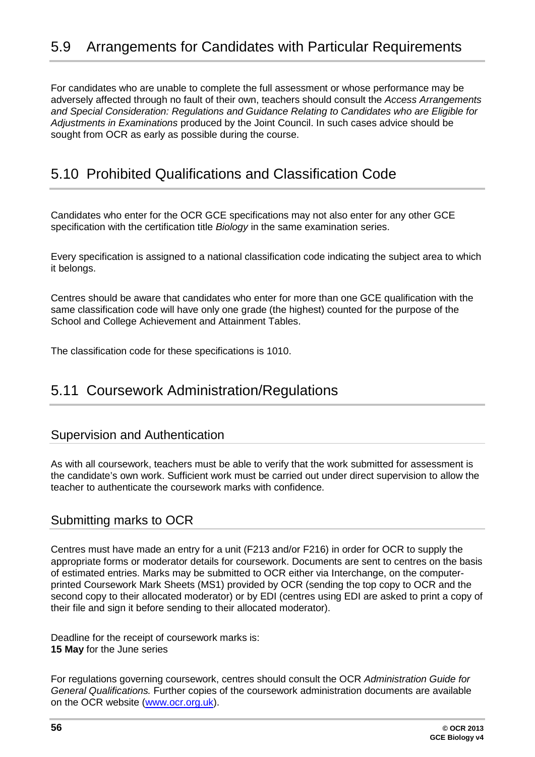<span id="page-55-0"></span>For candidates who are unable to complete the full assessment or whose performance may be adversely affected through no fault of their own, teachers should consult the *Access Arrangements and Special Consideration: Regulations and Guidance Relating to Candidates who are Eligible for Adjustments in Examinations* produced by the Joint Council. In such cases advice should be sought from OCR as early as possible during the course.

# <span id="page-55-1"></span>5.10 Prohibited Qualifications and Classification Code

Candidates who enter for the OCR GCE specifications may not also enter for any other GCE specification with the certification title *Biology* in the same examination series.

Every specification is assigned to a national classification code indicating the subject area to which it belongs.

Centres should be aware that candidates who enter for more than one GCE qualification with the same classification code will have only one grade (the highest) counted for the purpose of the School and College Achievement and Attainment Tables.

The classification code for these specifications is 1010.

### <span id="page-55-2"></span>5.11 Coursework Administration/Regulations

#### Supervision and Authentication

As with all coursework, teachers must be able to verify that the work submitted for assessment is the candidate's own work. Sufficient work must be carried out under direct supervision to allow the teacher to authenticate the coursework marks with confidence.

### Submitting marks to OCR

Centres must have made an entry for a unit (F213 and/or F216) in order for OCR to supply the appropriate forms or moderator details for coursework. Documents are sent to centres on the basis of estimated entries. Marks may be submitted to OCR either via Interchange, on the computerprinted Coursework Mark Sheets (MS1) provided by OCR (sending the top copy to OCR and the second copy to their allocated moderator) or by EDI (centres using EDI are asked to print a copy of their file and sign it before sending to their allocated moderator).

Deadline for the receipt of coursework marks is: **15 May** for the June series

For regulations governing coursework, centres should consult the OCR *Administration Guide for General Qualifications.* Further copies of the coursework administration documents are available on the OCR website [\(www.ocr.org.uk\)](http://www.ocr.org.uk/).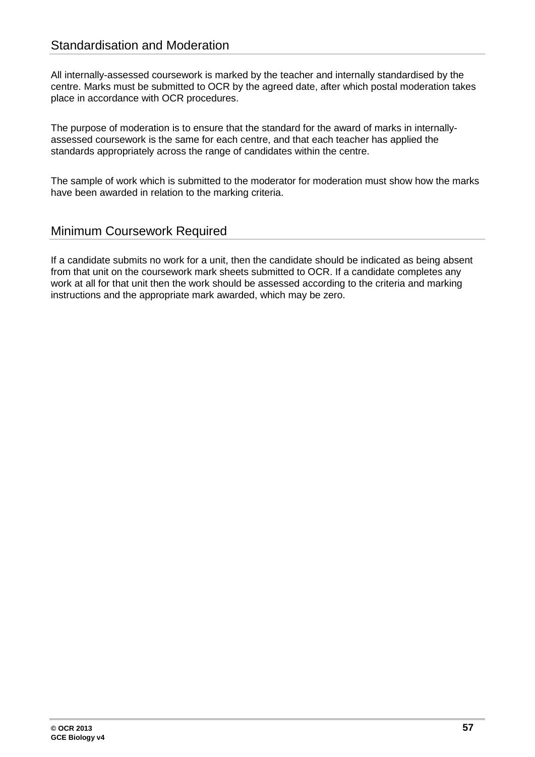All internally-assessed coursework is marked by the teacher and internally standardised by the centre. Marks must be submitted to OCR by the agreed date, after which postal moderation takes place in accordance with OCR procedures.

The purpose of moderation is to ensure that the standard for the award of marks in internallyassessed coursework is the same for each centre, and that each teacher has applied the standards appropriately across the range of candidates within the centre.

The sample of work which is submitted to the moderator for moderation must show how the marks have been awarded in relation to the marking criteria.

### Minimum Coursework Required

If a candidate submits no work for a unit, then the candidate should be indicated as being absent from that unit on the coursework mark sheets submitted to OCR. If a candidate completes any work at all for that unit then the work should be assessed according to the criteria and marking instructions and the appropriate mark awarded, which may be zero.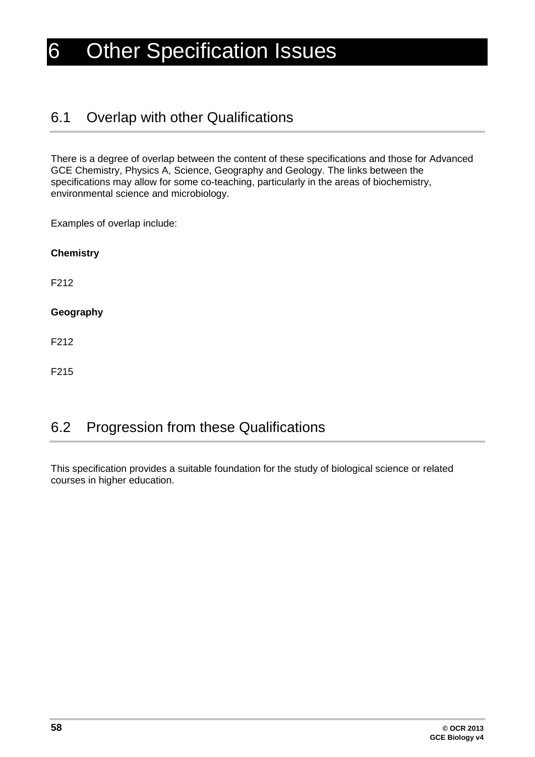# <span id="page-57-0"></span>6 Other Specification Issues

# <span id="page-57-1"></span>6.1 Overlap with other Qualifications

There is a degree of overlap between the content of these specifications and those for Advanced GCE Chemistry, Physics A, Science, Geography and Geology. The links between the specifications may allow for some co-teaching, particularly in the areas of biochemistry, environmental science and microbiology.

Examples of overlap include:

| <b>Chemistry</b> |  |  |
|------------------|--|--|
| F212             |  |  |
| Geography        |  |  |
| F212             |  |  |
|                  |  |  |

<span id="page-57-2"></span>F215

# 6.2 Progression from these Qualifications

This specification provides a suitable foundation for the study of biological science or related courses in higher education.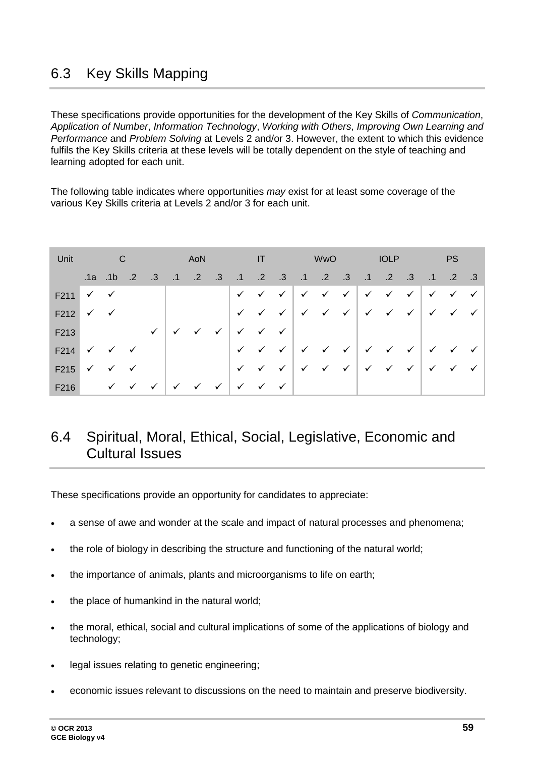# <span id="page-58-0"></span>6.3 Key Skills Mapping

These specifications provide opportunities for the development of the Key Skills of *Communication*, *Application of Number*, *Information Technology*, *Working with Others*, *Improving Own Learning and Performance* and *Problem Solving* at Levels 2 and/or 3. However, the extent to which this evidence fulfils the Key Skills criteria at these levels will be totally dependent on the style of teaching and learning adopted for each unit.

The following table indicates where opportunities *may* exist for at least some coverage of the various Key Skills criteria at Levels 2 and/or 3 for each unit.

| Unit                                     |         | $\mathbb C$                            |                   |              |                        | AoN          |              |                           |              |              |                                                                                                         | <b>WwO</b> |  | <b>IOLP</b> |              |                                        | <b>PS</b>     |              |
|------------------------------------------|---------|----------------------------------------|-------------------|--------------|------------------------|--------------|--------------|---------------------------|--------------|--------------|---------------------------------------------------------------------------------------------------------|------------|--|-------------|--------------|----------------------------------------|---------------|--------------|
|                                          | .1a .1b |                                        | $\blacksquare$ .2 | $\cdot$ .3   | $.1 \t .2 \t .3 \t .1$ |              |              |                           |              |              | .2 .3 .1 .2 .3 .1 .2 .3                                                                                 |            |  |             |              | $\blacktriangleleft \cdot$             | $.2 \quad .3$ |              |
| $F211 \checkmark \checkmark$             |         |                                        |                   |              |                        |              |              |                           |              |              | $\checkmark$ $\checkmark$ $\checkmark$ $\checkmark$ $\checkmark$ $\checkmark$ $\checkmark$ $\checkmark$ |            |  |             | $\checkmark$ | $\checkmark$ $\checkmark$              |               | $\checkmark$ |
| $F212 \checkmark \checkmark$             |         |                                        |                   |              |                        |              |              |                           |              |              | √ √ √   √ √ √   √ √ √ √ √ √   √ √ √                                                                     |            |  |             |              |                                        |               |              |
| F213                                     |         |                                        |                   | $\checkmark$ | $\checkmark$           | $\checkmark$ | $\checkmark$ | $\checkmark$              | $\checkmark$ | $\checkmark$ |                                                                                                         |            |  |             |              |                                        |               |              |
| F214                                     |         | $\checkmark$ $\checkmark$ $\checkmark$ |                   |              |                        |              |              |                           |              |              | $\checkmark$ $\checkmark$ $\checkmark$ $\checkmark$ $\checkmark$ $\checkmark$ $\checkmark$ $\checkmark$ |            |  |             |              | $\checkmark$ $\checkmark$ $\checkmark$ |               | $\checkmark$ |
| $F215 \quad \checkmark \quad \checkmark$ |         |                                        | $\checkmark$      |              |                        |              |              | $\checkmark$ $\checkmark$ |              |              | <b>√ √ √ √ √ √ √ √ √</b> √                                                                              |            |  |             |              |                                        |               |              |
| F216                                     |         | $\checkmark$ $\checkmark$              |                   | $\checkmark$ | $\checkmark$           | $\checkmark$ | $\checkmark$ | $\checkmark$              | $\checkmark$ | $\checkmark$ |                                                                                                         |            |  |             |              |                                        |               |              |

# <span id="page-58-1"></span>6.4 Spiritual, Moral, Ethical, Social, Legislative, Economic and Cultural Issues

These specifications provide an opportunity for candidates to appreciate:

- a sense of awe and wonder at the scale and impact of natural processes and phenomena;
- the role of biology in describing the structure and functioning of the natural world;
- the importance of animals, plants and microorganisms to life on earth;
- the place of humankind in the natural world;
- the moral, ethical, social and cultural implications of some of the applications of biology and technology;
- legal issues relating to genetic engineering;
- economic issues relevant to discussions on the need to maintain and preserve biodiversity.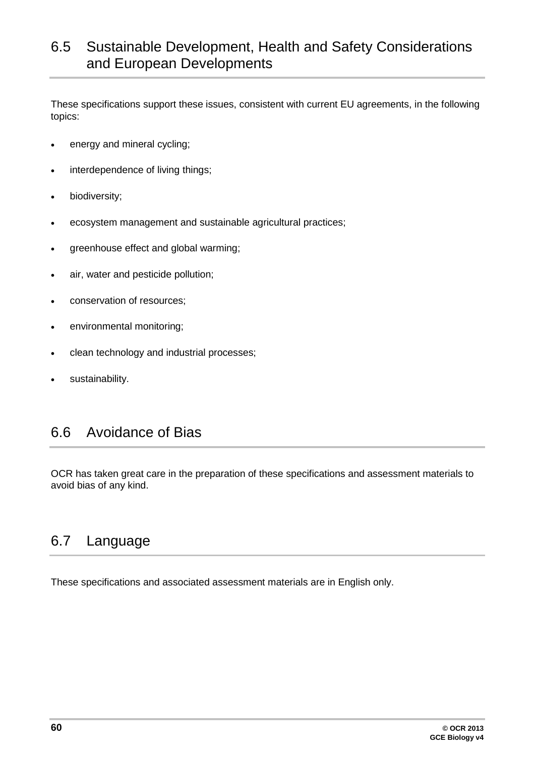# <span id="page-59-0"></span>6.5 Sustainable Development, Health and Safety Considerations and European Developments

These specifications support these issues, consistent with current EU agreements, in the following topics:

- energy and mineral cycling;
- interdependence of living things;
- biodiversity;
- ecosystem management and sustainable agricultural practices;
- greenhouse effect and global warming;
- air, water and pesticide pollution;
- conservation of resources;
- environmental monitoring;
- clean technology and industrial processes;
- <span id="page-59-1"></span>sustainability.

# 6.6 Avoidance of Bias

<span id="page-59-2"></span>OCR has taken great care in the preparation of these specifications and assessment materials to avoid bias of any kind.

### 6.7 Language

These specifications and associated assessment materials are in English only.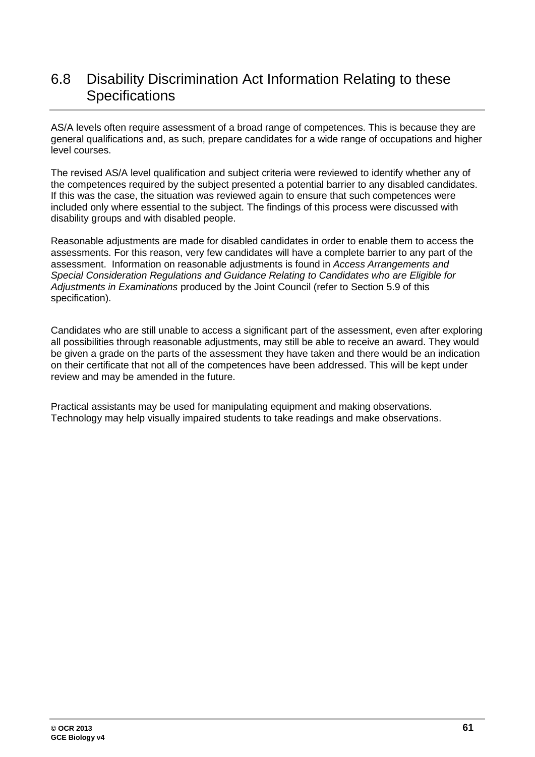# <span id="page-60-0"></span>6.8 Disability Discrimination Act Information Relating to these **Specifications**

AS/A levels often require assessment of a broad range of competences. This is because they are general qualifications and, as such, prepare candidates for a wide range of occupations and higher level courses.

The revised AS/A level qualification and subject criteria were reviewed to identify whether any of the competences required by the subject presented a potential barrier to any disabled candidates. If this was the case, the situation was reviewed again to ensure that such competences were included only where essential to the subject. The findings of this process were discussed with disability groups and with disabled people.

Reasonable adjustments are made for disabled candidates in order to enable them to access the assessments. For this reason, very few candidates will have a complete barrier to any part of the assessment. Information on reasonable adjustments is found in *Access Arrangements and Special Consideration Regulations and Guidance Relating to Candidates who are Eligible for Adjustments in Examinations* produced by the Joint Council (refer to Section 5.9 of this specification).

Candidates who are still unable to access a significant part of the assessment, even after exploring all possibilities through reasonable adjustments, may still be able to receive an award. They would be given a grade on the parts of the assessment they have taken and there would be an indication on their certificate that not all of the competences have been addressed. This will be kept under review and may be amended in the future.

Practical assistants may be used for manipulating equipment and making observations. Technology may help visually impaired students to take readings and make observations.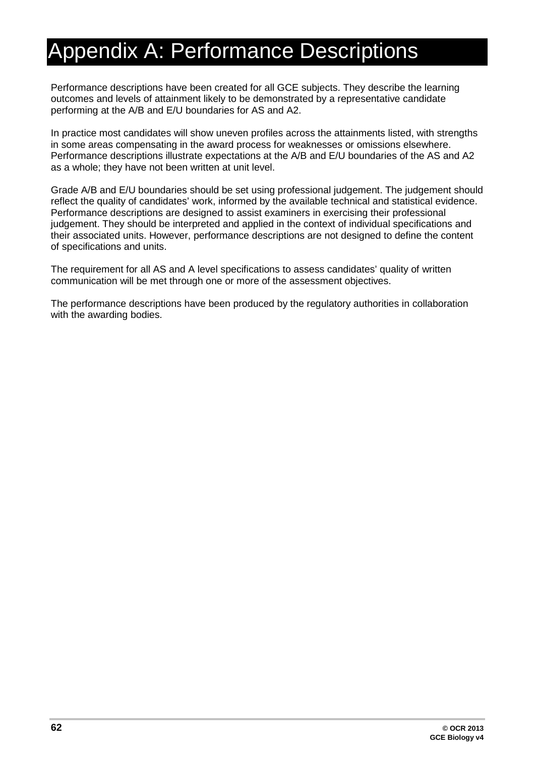# <span id="page-61-0"></span>Appendix A: Performance Descriptions

Performance descriptions have been created for all GCE subjects. They describe the learning outcomes and levels of attainment likely to be demonstrated by a representative candidate performing at the A/B and E/U boundaries for AS and A2.

In practice most candidates will show uneven profiles across the attainments listed, with strengths in some areas compensating in the award process for weaknesses or omissions elsewhere. Performance descriptions illustrate expectations at the A/B and E/U boundaries of the AS and A2 as a whole; they have not been written at unit level.

Grade A/B and E/U boundaries should be set using professional judgement. The judgement should reflect the quality of candidates' work, informed by the available technical and statistical evidence. Performance descriptions are designed to assist examiners in exercising their professional judgement. They should be interpreted and applied in the context of individual specifications and their associated units. However, performance descriptions are not designed to define the content of specifications and units.

The requirement for all AS and A level specifications to assess candidates' quality of written communication will be met through one or more of the assessment objectives.

The performance descriptions have been produced by the regulatory authorities in collaboration with the awarding bodies.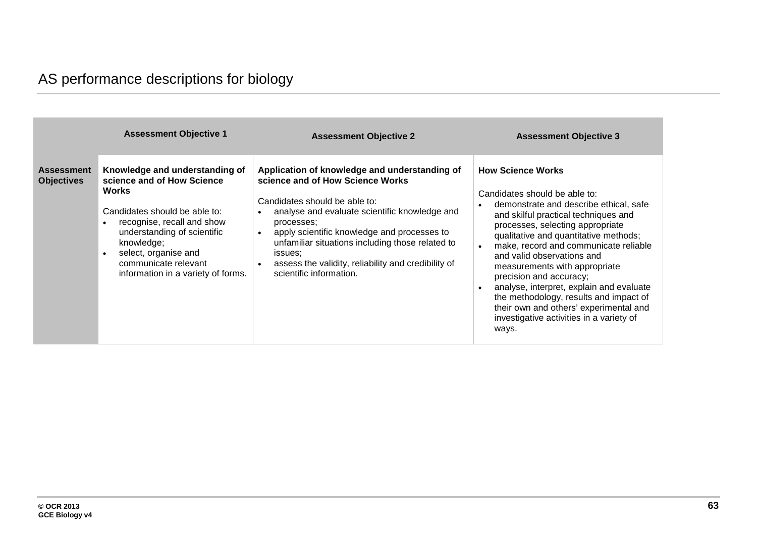|                                        | <b>Assessment Objective 1</b>                                                                                                                                                                                                                                                               | <b>Assessment Objective 2</b>                                                                                                                                                                                                                                                                                                                                                     | <b>Assessment Objective 3</b>                                                                                                                                                                                                                                                                                                                                                                                                                                                                                                                                 |  |  |
|----------------------------------------|---------------------------------------------------------------------------------------------------------------------------------------------------------------------------------------------------------------------------------------------------------------------------------------------|-----------------------------------------------------------------------------------------------------------------------------------------------------------------------------------------------------------------------------------------------------------------------------------------------------------------------------------------------------------------------------------|---------------------------------------------------------------------------------------------------------------------------------------------------------------------------------------------------------------------------------------------------------------------------------------------------------------------------------------------------------------------------------------------------------------------------------------------------------------------------------------------------------------------------------------------------------------|--|--|
| <b>Assessment</b><br><b>Objectives</b> | Knowledge and understanding of<br>science and of How Science<br><b>Works</b><br>Candidates should be able to:<br>recognise, recall and show<br>understanding of scientific<br>knowledge;<br>select, organise and<br>$\bullet$<br>communicate relevant<br>information in a variety of forms. | Application of knowledge and understanding of<br>science and of How Science Works<br>Candidates should be able to:<br>analyse and evaluate scientific knowledge and<br>processes;<br>apply scientific knowledge and processes to<br>unfamiliar situations including those related to<br>issues:<br>assess the validity, reliability and credibility of<br>scientific information. | <b>How Science Works</b><br>Candidates should be able to:<br>demonstrate and describe ethical, safe<br>$\bullet$<br>and skilful practical techniques and<br>processes, selecting appropriate<br>qualitative and quantitative methods;<br>make, record and communicate reliable<br>and valid observations and<br>measurements with appropriate<br>precision and accuracy;<br>analyse, interpret, explain and evaluate<br>the methodology, results and impact of<br>their own and others' experimental and<br>investigative activities in a variety of<br>ways. |  |  |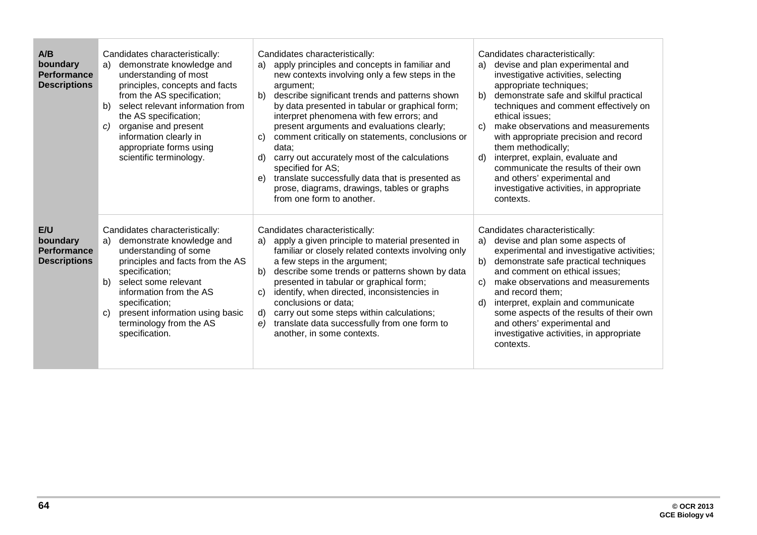| A/B<br>boundary<br><b>Performance</b><br><b>Descriptions</b> | Candidates characteristically:<br>demonstrate knowledge and<br>a)<br>understanding of most<br>principles, concepts and facts<br>from the AS specification;<br>select relevant information from<br>b)<br>the AS specification;<br>organise and present<br>C)<br>information clearly in<br>appropriate forms using<br>scientific terminology. | Candidates characteristically:<br>apply principles and concepts in familiar and<br>a)<br>new contexts involving only a few steps in the<br>argument;<br>describe significant trends and patterns shown<br>b)<br>by data presented in tabular or graphical form;<br>interpret phenomena with few errors; and<br>present arguments and evaluations clearly;<br>comment critically on statements, conclusions or<br>C)<br>data:<br>carry out accurately most of the calculations<br>d)<br>specified for AS;<br>translate successfully data that is presented as<br>e)<br>prose, diagrams, drawings, tables or graphs<br>from one form to another. | Candidates characteristically:<br>devise and plan experimental and<br>a)<br>investigative activities, selecting<br>appropriate techniques;<br>demonstrate safe and skilful practical<br>b)<br>techniques and comment effectively on<br>ethical issues;<br>make observations and measurements<br>C)<br>with appropriate precision and record<br>them methodically;<br>interpret, explain, evaluate and<br>d)<br>communicate the results of their own<br>and others' experimental and<br>investigative activities, in appropriate<br>contexts. |  |  |  |
|--------------------------------------------------------------|---------------------------------------------------------------------------------------------------------------------------------------------------------------------------------------------------------------------------------------------------------------------------------------------------------------------------------------------|------------------------------------------------------------------------------------------------------------------------------------------------------------------------------------------------------------------------------------------------------------------------------------------------------------------------------------------------------------------------------------------------------------------------------------------------------------------------------------------------------------------------------------------------------------------------------------------------------------------------------------------------|----------------------------------------------------------------------------------------------------------------------------------------------------------------------------------------------------------------------------------------------------------------------------------------------------------------------------------------------------------------------------------------------------------------------------------------------------------------------------------------------------------------------------------------------|--|--|--|
| E/U<br>boundary<br><b>Performance</b><br><b>Descriptions</b> | Candidates characteristically:<br>demonstrate knowledge and<br>a)<br>understanding of some<br>principles and facts from the AS<br>specification;<br>select some relevant<br>b)<br>information from the AS<br>specification;<br>present information using basic<br>C)<br>terminology from the AS<br>specification.                           | Candidates characteristically:<br>apply a given principle to material presented in<br>a)<br>familiar or closely related contexts involving only<br>a few steps in the argument;<br>describe some trends or patterns shown by data<br>b)<br>presented in tabular or graphical form;<br>identify, when directed, inconsistencies in<br>C)<br>conclusions or data;<br>carry out some steps within calculations;<br>d)<br>translate data successfully from one form to<br>e)<br>another, in some contexts.                                                                                                                                         | Candidates characteristically:<br>devise and plan some aspects of<br>a)<br>experimental and investigative activities;<br>demonstrate safe practical techniques<br>b)<br>and comment on ethical issues;<br>make observations and measurements<br>C)<br>and record them;<br>interpret, explain and communicate<br>d)<br>some aspects of the results of their own<br>and others' experimental and<br>investigative activities, in appropriate<br>contexts.                                                                                      |  |  |  |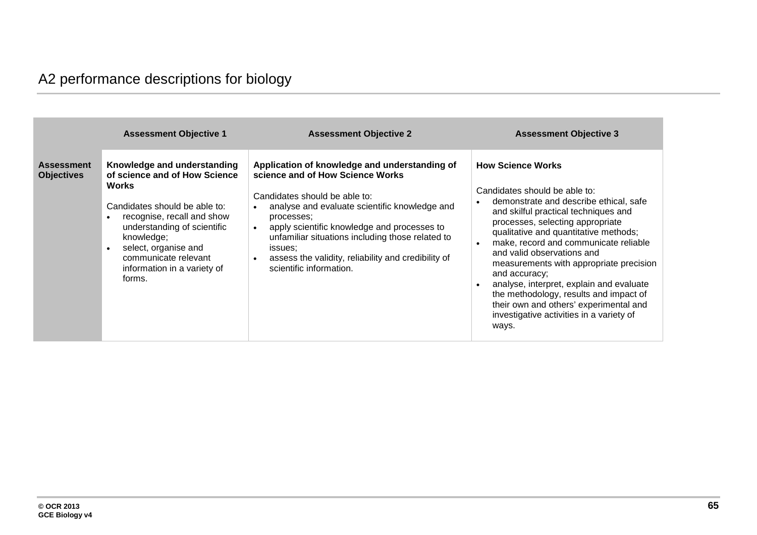# A2 performance descriptions for biology

|                                        | <b>Assessment Objective 1</b>                                                                                                                                                                                                                                                     | <b>Assessment Objective 2</b>                                                                                                                                                                                                                                                                                                                                                                                            | <b>Assessment Objective 3</b>                                                                                                                                                                                                                                                                                                                                                                                                                                                                                                                    |
|----------------------------------------|-----------------------------------------------------------------------------------------------------------------------------------------------------------------------------------------------------------------------------------------------------------------------------------|--------------------------------------------------------------------------------------------------------------------------------------------------------------------------------------------------------------------------------------------------------------------------------------------------------------------------------------------------------------------------------------------------------------------------|--------------------------------------------------------------------------------------------------------------------------------------------------------------------------------------------------------------------------------------------------------------------------------------------------------------------------------------------------------------------------------------------------------------------------------------------------------------------------------------------------------------------------------------------------|
| <b>Assessment</b><br><b>Objectives</b> | Knowledge and understanding<br>of science and of How Science<br><b>Works</b><br>Candidates should be able to:<br>recognise, recall and show<br>understanding of scientific<br>knowledge;<br>select, organise and<br>communicate relevant<br>information in a variety of<br>forms. | Application of knowledge and understanding of<br>science and of How Science Works<br>Candidates should be able to:<br>analyse and evaluate scientific knowledge and<br>$\bullet$<br>processes;<br>apply scientific knowledge and processes to<br>$\bullet$<br>unfamiliar situations including those related to<br>issues:<br>assess the validity, reliability and credibility of<br>$\bullet$<br>scientific information. | <b>How Science Works</b><br>Candidates should be able to:<br>demonstrate and describe ethical, safe<br>and skilful practical techniques and<br>processes, selecting appropriate<br>qualitative and quantitative methods;<br>make, record and communicate reliable<br>and valid observations and<br>measurements with appropriate precision<br>and accuracy;<br>analyse, interpret, explain and evaluate<br>the methodology, results and impact of<br>their own and others' experimental and<br>investigative activities in a variety of<br>ways. |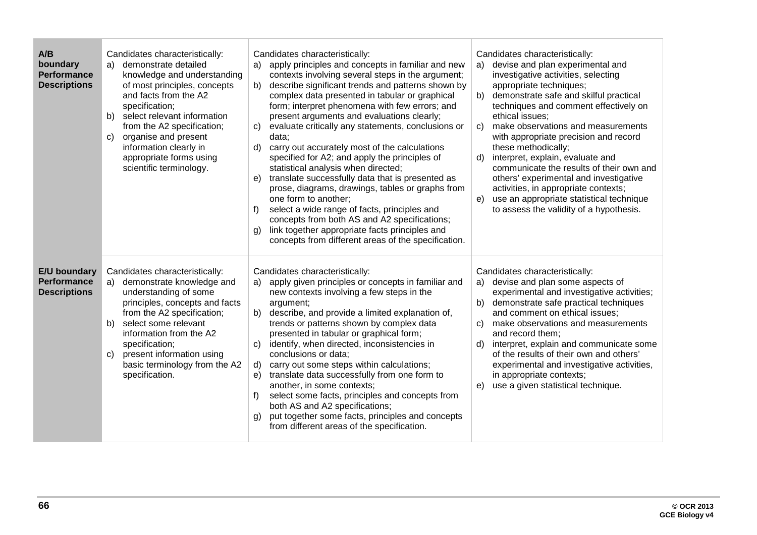| A/B<br>boundary<br><b>Performance</b><br><b>Descriptions</b> | Candidates characteristically:<br>demonstrate detailed<br>a)<br>knowledge and understanding<br>of most principles, concepts<br>and facts from the A2<br>specification;<br>select relevant information<br>b)<br>from the A2 specification;<br>organise and present<br>C)<br>information clearly in<br>appropriate forms using<br>scientific terminology. | Candidates characteristically:<br>apply principles and concepts in familiar and new<br>a)<br>contexts involving several steps in the argument;<br>describe significant trends and patterns shown by<br>b)<br>complex data presented in tabular or graphical<br>form; interpret phenomena with few errors; and<br>present arguments and evaluations clearly;<br>evaluate critically any statements, conclusions or<br>C)<br>data;<br>carry out accurately most of the calculations<br>d)<br>specified for A2; and apply the principles of<br>statistical analysis when directed;<br>translate successfully data that is presented as<br>e)<br>prose, diagrams, drawings, tables or graphs from<br>one form to another;<br>select a wide range of facts, principles and<br>f)<br>concepts from both AS and A2 specifications;<br>link together appropriate facts principles and<br>$\mathfrak{g}$<br>concepts from different areas of the specification. | Candidates characteristically:<br>devise and plan experimental and<br>a)<br>investigative activities, selecting<br>appropriate techniques;<br>demonstrate safe and skilful practical<br>b)<br>techniques and comment effectively on<br>ethical issues;<br>make observations and measurements<br>C)<br>with appropriate precision and record<br>these methodically;<br>interpret, explain, evaluate and<br>d)<br>communicate the results of their own and<br>others' experimental and investigative<br>activities, in appropriate contexts;<br>use an appropriate statistical technique<br>e)<br>to assess the validity of a hypothesis. |
|--------------------------------------------------------------|---------------------------------------------------------------------------------------------------------------------------------------------------------------------------------------------------------------------------------------------------------------------------------------------------------------------------------------------------------|--------------------------------------------------------------------------------------------------------------------------------------------------------------------------------------------------------------------------------------------------------------------------------------------------------------------------------------------------------------------------------------------------------------------------------------------------------------------------------------------------------------------------------------------------------------------------------------------------------------------------------------------------------------------------------------------------------------------------------------------------------------------------------------------------------------------------------------------------------------------------------------------------------------------------------------------------------|-----------------------------------------------------------------------------------------------------------------------------------------------------------------------------------------------------------------------------------------------------------------------------------------------------------------------------------------------------------------------------------------------------------------------------------------------------------------------------------------------------------------------------------------------------------------------------------------------------------------------------------------|
| E/U boundary<br><b>Performance</b><br><b>Descriptions</b>    | Candidates characteristically:<br>demonstrate knowledge and<br>a)<br>understanding of some<br>principles, concepts and facts<br>from the A2 specification;<br>select some relevant<br>b)<br>information from the A2<br>specification;<br>present information using<br>C)<br>basic terminology from the A2<br>specification.                             | Candidates characteristically:<br>apply given principles or concepts in familiar and<br>a)<br>new contexts involving a few steps in the<br>argument;<br>describe, and provide a limited explanation of,<br>b)<br>trends or patterns shown by complex data<br>presented in tabular or graphical form;<br>identify, when directed, inconsistencies in<br>C)<br>conclusions or data;<br>carry out some steps within calculations;<br>d)<br>translate data successfully from one form to<br>e)<br>another, in some contexts;<br>select some facts, principles and concepts from<br>both AS and A2 specifications;<br>put together some facts, principles and concepts<br>g)<br>from different areas of the specification.                                                                                                                                                                                                                                  | Candidates characteristically:<br>a) devise and plan some aspects of<br>experimental and investigative activities;<br>demonstrate safe practical techniques<br>b)<br>and comment on ethical issues;<br>make observations and measurements<br>C)<br>and record them;<br>interpret, explain and communicate some<br>d)<br>of the results of their own and others'<br>experimental and investigative activities,<br>in appropriate contexts;<br>e)<br>use a given statistical technique.                                                                                                                                                   |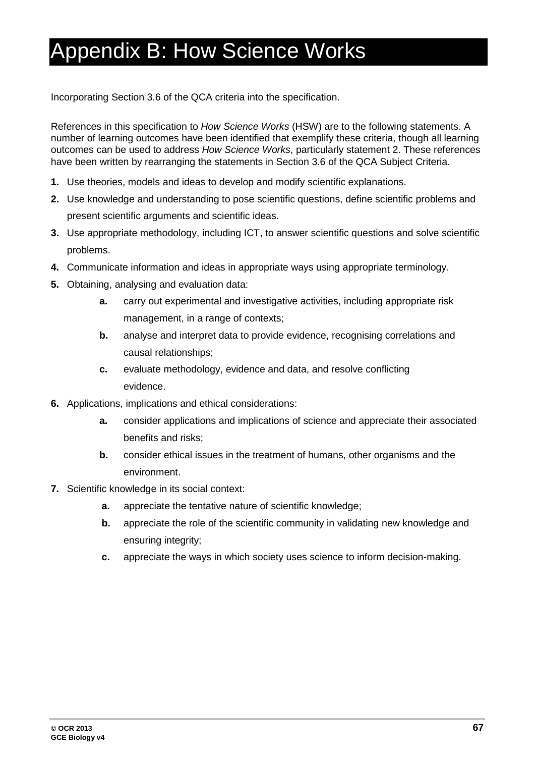# <span id="page-66-0"></span>Appendix B: How Science Works

Incorporating Section 3.6 of the QCA criteria into the specification.

References in this specification to *How Science Works* (HSW) are to the following statements. A number of learning outcomes have been identified that exemplify these criteria, though all learning outcomes can be used to address *How Science Works*, particularly statement 2. These references have been written by rearranging the statements in Section 3.6 of the QCA Subject Criteria.

- **1.** Use theories, models and ideas to develop and modify scientific explanations.
- **2.** Use knowledge and understanding to pose scientific questions, define scientific problems and present scientific arguments and scientific ideas.
- **3.** Use appropriate methodology, including ICT, to answer scientific questions and solve scientific problems.
- **4.** Communicate information and ideas in appropriate ways using appropriate terminology.
- **5.** Obtaining, analysing and evaluation data:
	- **a.** carry out experimental and investigative activities, including appropriate risk management, in a range of contexts;
	- **b.** analyse and interpret data to provide evidence, recognising correlations and causal relationships;
	- **c.** evaluate methodology, evidence and data, and resolve conflicting evidence.
- **6.** Applications, implications and ethical considerations:
	- **a.** consider applications and implications of science and appreciate their associated benefits and risks;
	- **b.** consider ethical issues in the treatment of humans, other organisms and the environment.
- **7.** Scientific knowledge in its social context:
	- **a.** appreciate the tentative nature of scientific knowledge;
	- **b.** appreciate the role of the scientific community in validating new knowledge and ensuring integrity;
	- **c.** appreciate the ways in which society uses science to inform decision-making.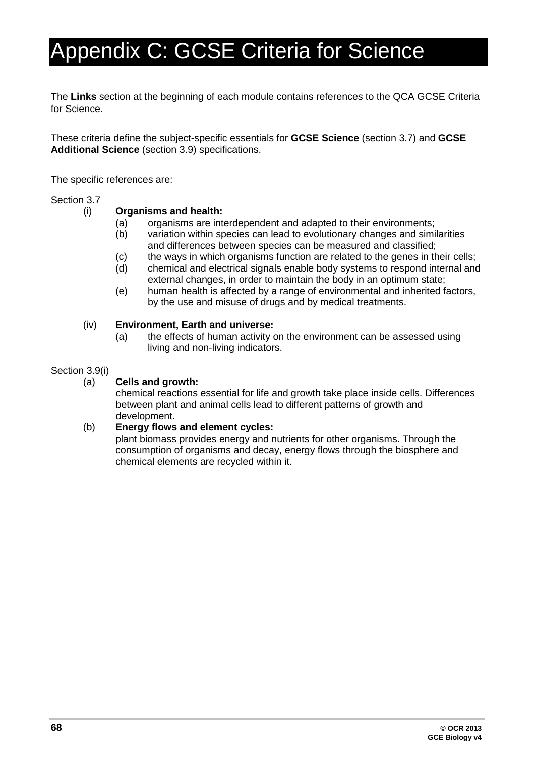# <span id="page-67-0"></span>Appendix C: GCSE Criteria for Science

The **Links** section at the beginning of each module contains references to the QCA GCSE Criteria for Science.

These criteria define the subject-specific essentials for **GCSE Science** (section 3.7) and **GCSE Additional Science** (section 3.9) specifications.

The specific references are:

# Section 3.7<br>(i)

# Organisms and health:<br>(a) organisms are inte

- (a) organisms are interdependent and adapted to their environments;<br>(b) variation within species can lead to evolutionary changes and simi
- variation within species can lead to evolutionary changes and similarities and differences between species can be measured and classified;
- (c) the ways in which organisms function are related to the genes in their cells;
- (d) chemical and electrical signals enable body systems to respond internal and external changes, in order to maintain the body in an optimum state;
- (e) human health is affected by a range of environmental and inherited factors, by the use and misuse of drugs and by medical treatments.

#### (iv) **Environment, Earth and universe:**

(a) the effects of human activity on the environment can be assessed using living and non-living indicators.

# Section 3.9(i)

#### **Cells and growth:**

chemical reactions essential for life and growth take place inside cells. Differences between plant and animal cells lead to different patterns of growth and development.

#### (b) **Energy flows and element cycles:**

plant biomass provides energy and nutrients for other organisms. Through the consumption of organisms and decay, energy flows through the biosphere and chemical elements are recycled within it.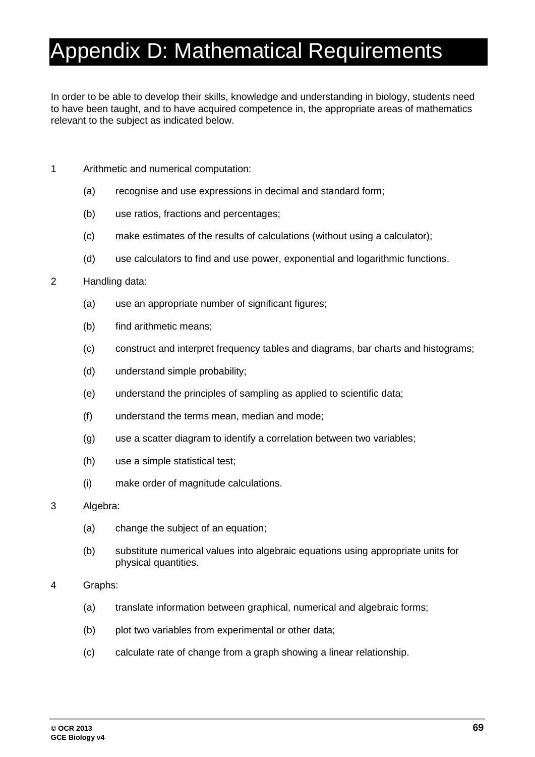# <span id="page-68-0"></span>Appendix D: Mathematical Requirements

In order to be able to develop their skills, knowledge and understanding in biology, students need to have been taught, and to have acquired competence in, the appropriate areas of mathematics relevant to the subject as indicated below.

- 1 Arithmetic and numerical computation:
	- (a) recognise and use expressions in decimal and standard form;
	- (b) use ratios, fractions and percentages;
	- (c) make estimates of the results of calculations (without using a calculator);
	- (d) use calculators to find and use power, exponential and logarithmic functions.

#### 2 Handling data:

- (a) use an appropriate number of significant figures;
- (b) find arithmetic means;
- (c) construct and interpret frequency tables and diagrams, bar charts and histograms;
- (d) understand simple probability;
- (e) understand the principles of sampling as applied to scientific data;
- (f) understand the terms mean, median and mode;
- (g) use a scatter diagram to identify a correlation between two variables;
- (h) use a simple statistical test;
- (i) make order of magnitude calculations.
- 3 Algebra:
	- (a) change the subject of an equation;
	- (b) substitute numerical values into algebraic equations using appropriate units for physical quantities.
- 4 Graphs:
	- (a) translate information between graphical, numerical and algebraic forms;
	- (b) plot two variables from experimental or other data;
	- (c) calculate rate of change from a graph showing a linear relationship.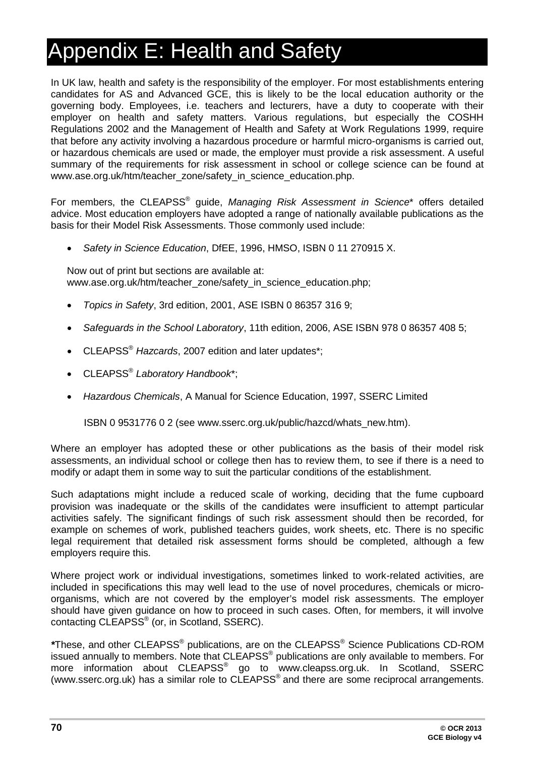# <span id="page-69-0"></span>Appendix E: Health and Safety

In UK law, health and safety is the responsibility of the employer. For most establishments entering candidates for AS and Advanced GCE, this is likely to be the local education authority or the governing body. Employees, i.e. teachers and lecturers, have a duty to cooperate with their employer on health and safety matters. Various regulations, but especially the COSHH Regulations 2002 and the Management of Health and Safety at Work Regulations 1999, require that before any activity involving a hazardous procedure or harmful micro-organisms is carried out, or hazardous chemicals are used or made, the employer must provide a risk assessment. A useful summary of the requirements for risk assessment in school or college science can be found at www.ase.org.uk/htm/teacher\_zone/safety\_in\_science\_education.php.

For members, the CLEAPSS® guide, *Managing Risk Assessment in Science*\* offers detailed advice. Most education employers have adopted a range of nationally available publications as the basis for their Model Risk Assessments. Those commonly used include:

• *Safety in Science Education*, DfEE, 1996, HMSO, ISBN 0 11 270915 X.

Now out of print but sections are available at: www.ase.org.uk/htm/teacher\_zone/safety\_in\_science\_education.php;

- *Topics in Safety*, 3rd edition, 2001, ASE ISBN 0 86357 316 9;
- *Safeguards in the School Laboratory*, 11th edition, 2006, ASE ISBN 978 0 86357 408 5;
- CLEAPSS® *Hazcards*, 2007 edition and later updates\*;
- CLEAPSS® *Laboratory Handbook*\*;
- *Hazardous Chemicals*, A Manual for Science Education, 1997, SSERC Limited

ISBN 0 9531776 0 2 (see www.sserc.org.uk/public/hazcd/whats\_new.htm).

Where an employer has adopted these or other publications as the basis of their model risk assessments, an individual school or college then has to review them, to see if there is a need to modify or adapt them in some way to suit the particular conditions of the establishment.

Such adaptations might include a reduced scale of working, deciding that the fume cupboard provision was inadequate or the skills of the candidates were insufficient to attempt particular activities safely. The significant findings of such risk assessment should then be recorded, for example on schemes of work, published teachers guides, work sheets, etc. There is no specific legal requirement that detailed risk assessment forms should be completed, although a few employers require this.

Where project work or individual investigations, sometimes linked to work-related activities, are included in specifications this may well lead to the use of novel procedures, chemicals or microorganisms, which are not covered by the employer's model risk assessments. The employer should have given guidance on how to proceed in such cases. Often, for members, it will involve contacting CLEAPSS® (or, in Scotland, SSERC).

*\**These, and other CLEAPSS® publications, are on the CLEAPSS® Science Publications CD-ROM issued annually to members. Note that CLEAPSS® publications are only available to members. For more information about CLEAPSS<sup>®</sup> go to www.cleapss.org.uk. In Scotland, SSERC (www.sserc.org.uk) has a similar role to CLEAPSS<sup>®</sup> and there are some reciprocal arrangements.